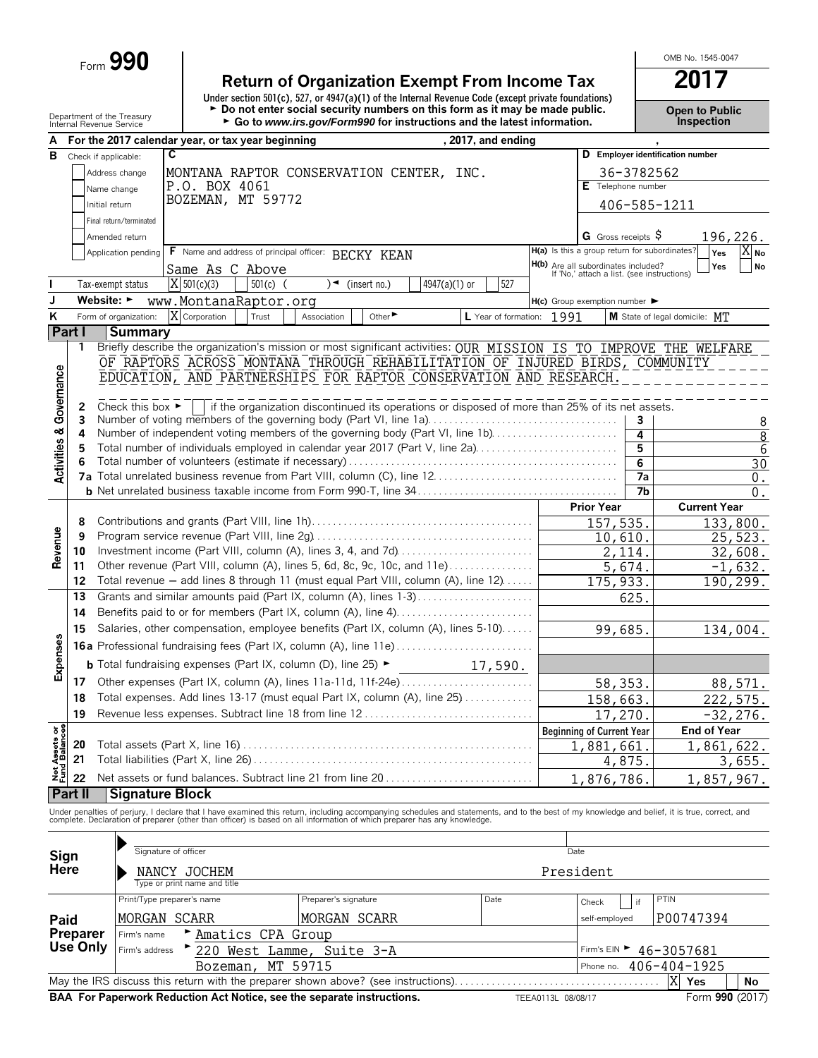Form **990**

**Return of Organization Exempt From Income Tax** 2017<br>
Under section 501(c), 527, or 4947(a)(1) of the Internal Revenue Code (except private foundations) Department of the Treasury **Depent of Public**<br>Internal Revenue Service **Proper to Public**<br>Internal Revenue Service **Propertion Fig. of the Uniternal Revenue Service Propertion** 

OMB No. 1545-0047

| А                                  |                                |                                      | For the 2017 calendar year, or tax year beginning                                        |                                                                                                                                                                                                                                                                                                                          | , 2017, and ending        |                                                                                   |                                  |                               |                |
|------------------------------------|--------------------------------|--------------------------------------|------------------------------------------------------------------------------------------|--------------------------------------------------------------------------------------------------------------------------------------------------------------------------------------------------------------------------------------------------------------------------------------------------------------------------|---------------------------|-----------------------------------------------------------------------------------|----------------------------------|-------------------------------|----------------|
| в                                  | Check if applicable:           |                                      | C                                                                                        |                                                                                                                                                                                                                                                                                                                          |                           |                                                                                   | D Employer identification number |                               |                |
|                                    |                                | Address change                       |                                                                                          | MONTANA RAPTOR CONSERVATION CENTER, INC.                                                                                                                                                                                                                                                                                 |                           |                                                                                   | 36-3782562                       |                               |                |
|                                    |                                | Name change                          | P.O. BOX 4061                                                                            |                                                                                                                                                                                                                                                                                                                          |                           |                                                                                   | $E$ Telephone number             |                               |                |
|                                    |                                | Initial return                       | BOZEMAN, MT 59772                                                                        |                                                                                                                                                                                                                                                                                                                          |                           |                                                                                   |                                  |                               |                |
|                                    |                                |                                      |                                                                                          |                                                                                                                                                                                                                                                                                                                          |                           |                                                                                   | 406-585-1211                     |                               |                |
|                                    |                                | Final return/terminated              |                                                                                          |                                                                                                                                                                                                                                                                                                                          |                           |                                                                                   |                                  |                               |                |
|                                    |                                | Amended return                       |                                                                                          |                                                                                                                                                                                                                                                                                                                          |                           | <b>G</b> Gross receipts $\varphi$                                                 |                                  |                               | 196,226.       |
|                                    |                                | Application pending                  | F Name and address of principal officer: BECKY KEAN                                      |                                                                                                                                                                                                                                                                                                                          |                           | H(a) Is this a group return for subordinates?                                     |                                  | Yes                           | $X_{N0}$       |
|                                    |                                |                                      | Same As C Above                                                                          |                                                                                                                                                                                                                                                                                                                          |                           | H(b) Are all subordinates included?<br>If 'No,' attach a list. (see instructions) |                                  | Yes                           | No             |
|                                    |                                | Tax-exempt status                    | $X$ 501(c)(3)<br>$501(c)$ (                                                              | )◄<br>(insert no.)                                                                                                                                                                                                                                                                                                       | 527<br>$4947(a)(1)$ or    |                                                                                   |                                  |                               |                |
| J                                  | Website: $\blacktriangleright$ |                                      | www.MontanaRaptor.org                                                                    |                                                                                                                                                                                                                                                                                                                          |                           | $H(c)$ Group exemption number $\blacktriangleright$                               |                                  |                               |                |
| ĸ                                  |                                | Form of organization:                | X Corporation<br>Trust                                                                   | Other<br>Association                                                                                                                                                                                                                                                                                                     | L Year of formation: 1991 |                                                                                   |                                  | M State of legal domicile: MT |                |
|                                    | Part I                         | <b>Summary</b>                       |                                                                                          |                                                                                                                                                                                                                                                                                                                          |                           |                                                                                   |                                  |                               |                |
|                                    | 1                              |                                      |                                                                                          | Briefly describe the organization's mission or most significant activities: OUR MISSION IS TO IMPROVE THE WELFARE                                                                                                                                                                                                        |                           |                                                                                   |                                  |                               |                |
|                                    |                                |                                      | OF RAPTORS ACROSS MONTANA THROUGH REHABILITATION OF INJURED BIRDS, COMMUNITY             |                                                                                                                                                                                                                                                                                                                          |                           |                                                                                   |                                  |                               |                |
|                                    |                                |                                      | EDUCATION, AND PARTNERSHIPS FOR RAPTOR CONSERVATION AND RESEARCH.                        |                                                                                                                                                                                                                                                                                                                          |                           |                                                                                   |                                  |                               |                |
| <b>Activities &amp; Governance</b> |                                |                                      |                                                                                          |                                                                                                                                                                                                                                                                                                                          |                           |                                                                                   |                                  |                               |                |
|                                    | 2                              | Check this box $\blacktriangleright$ |                                                                                          | if the organization discontinued its operations or disposed of more than 25% of its net assets.                                                                                                                                                                                                                          |                           |                                                                                   |                                  |                               |                |
|                                    | 3                              |                                      |                                                                                          | Number of voting members of the governing body (Part VI, line 1a)                                                                                                                                                                                                                                                        |                           |                                                                                   | 3                                |                               | 8              |
|                                    | 4                              |                                      |                                                                                          | Number of independent voting members of the governing body (Part VI, line 1b)                                                                                                                                                                                                                                            |                           |                                                                                   | 4                                |                               | $\overline{8}$ |
|                                    | 5                              |                                      |                                                                                          | Total number of individuals employed in calendar year 2017 (Part V, line 2a)                                                                                                                                                                                                                                             |                           |                                                                                   | 5                                |                               | $\sqrt{6}$     |
|                                    | 6                              |                                      |                                                                                          |                                                                                                                                                                                                                                                                                                                          |                           |                                                                                   | 6                                |                               | 30             |
|                                    |                                |                                      |                                                                                          |                                                                                                                                                                                                                                                                                                                          |                           |                                                                                   | 7a                               |                               | $0$ .          |
|                                    |                                |                                      |                                                                                          |                                                                                                                                                                                                                                                                                                                          |                           |                                                                                   | 7 <sub>b</sub>                   |                               | $0$ .          |
|                                    |                                |                                      |                                                                                          |                                                                                                                                                                                                                                                                                                                          |                           | <b>Prior Year</b>                                                                 |                                  | <b>Current Year</b>           |                |
|                                    | 8                              |                                      |                                                                                          |                                                                                                                                                                                                                                                                                                                          |                           | 157,535.                                                                          |                                  |                               | 133,800.       |
|                                    | 9                              |                                      |                                                                                          |                                                                                                                                                                                                                                                                                                                          |                           | 10,610.                                                                           |                                  |                               | 25,523.        |
| Revenue                            | 10                             |                                      |                                                                                          | Investment income (Part VIII, column (A), lines 3, 4, and 7d)                                                                                                                                                                                                                                                            |                           |                                                                                   | 2,114.                           |                               | 32,608.        |
|                                    | 11                             |                                      |                                                                                          | Other revenue (Part VIII, column (A), lines 5, 6d, 8c, 9c, 10c, and 11e)                                                                                                                                                                                                                                                 |                           |                                                                                   | 5,674.                           |                               | $-1,632.$      |
|                                    | 12                             |                                      |                                                                                          | Total revenue - add lines 8 through 11 (must equal Part VIII, column (A), line 12)                                                                                                                                                                                                                                       |                           | 175, 933.                                                                         |                                  |                               | 190,299.       |
|                                    | 13                             |                                      |                                                                                          | Grants and similar amounts paid (Part IX, column (A), lines 1-3)                                                                                                                                                                                                                                                         |                           |                                                                                   | 625.                             |                               |                |
|                                    | 14                             |                                      | Benefits paid to or for members (Part IX, column (A), line 4)                            |                                                                                                                                                                                                                                                                                                                          |                           |                                                                                   |                                  |                               |                |
|                                    | 15                             |                                      | Salaries, other compensation, employee benefits (Part IX, column (A), lines 5-10)        | 99,685.                                                                                                                                                                                                                                                                                                                  |                           |                                                                                   | 134,004.                         |                               |                |
| Expenses                           |                                |                                      | 16a Professional fundraising fees (Part IX, column (A), line 11e)                        |                                                                                                                                                                                                                                                                                                                          |                           |                                                                                   |                                  |                               |                |
|                                    |                                |                                      | <b>b</b> Total fundraising expenses (Part IX, column (D), line 25) $\blacktriangleright$ |                                                                                                                                                                                                                                                                                                                          | 17,590.                   |                                                                                   |                                  |                               |                |
|                                    | 17                             |                                      |                                                                                          |                                                                                                                                                                                                                                                                                                                          |                           |                                                                                   |                                  |                               |                |
|                                    | 18                             |                                      |                                                                                          | Total expenses. Add lines 13-17 (must equal Part IX, column (A), line 25)                                                                                                                                                                                                                                                |                           |                                                                                   | 58,353.                          |                               | 88,571.        |
|                                    |                                |                                      |                                                                                          |                                                                                                                                                                                                                                                                                                                          |                           | 158,663.                                                                          |                                  |                               | 222,575.       |
| $\frac{1}{5}$ 8                    | 19                             |                                      |                                                                                          |                                                                                                                                                                                                                                                                                                                          |                           | 17,270.                                                                           |                                  |                               | $-32, 276.$    |
|                                    |                                |                                      |                                                                                          |                                                                                                                                                                                                                                                                                                                          |                           | <b>Beginning of Current Year</b>                                                  |                                  | End of Year                   |                |
|                                    | 20                             |                                      |                                                                                          |                                                                                                                                                                                                                                                                                                                          |                           | 1,881,661                                                                         |                                  | 1,861,622.                    |                |
| Net Assets<br>Fund Balance         | 21                             |                                      |                                                                                          |                                                                                                                                                                                                                                                                                                                          |                           |                                                                                   | 4,875                            |                               | 3,655.         |
|                                    | 22                             |                                      |                                                                                          |                                                                                                                                                                                                                                                                                                                          |                           | 1,876,786.                                                                        |                                  | 1,857,967.                    |                |
|                                    | Part II                        | <b>Signature Block</b>               |                                                                                          |                                                                                                                                                                                                                                                                                                                          |                           |                                                                                   |                                  |                               |                |
|                                    |                                |                                      |                                                                                          | Under penalties of perjury, I declare that I have examined this return, including accompanying schedules and statements, and to the best of my knowledge and belief, it is true, correct, and<br>complete. Declaration of preparer (other than officer) is based on all information of which preparer has any knowledge. |                           |                                                                                   |                                  |                               |                |
|                                    |                                |                                      |                                                                                          |                                                                                                                                                                                                                                                                                                                          |                           |                                                                                   |                                  |                               |                |
|                                    |                                |                                      | Signature of officer                                                                     |                                                                                                                                                                                                                                                                                                                          |                           | Date                                                                              |                                  |                               |                |
| Sign<br>Here                       |                                |                                      |                                                                                          |                                                                                                                                                                                                                                                                                                                          |                           |                                                                                   |                                  |                               |                |
|                                    |                                |                                      | NANCY JOCHEM                                                                             |                                                                                                                                                                                                                                                                                                                          |                           | President                                                                         |                                  |                               |                |
|                                    |                                |                                      | Type or print name and title                                                             |                                                                                                                                                                                                                                                                                                                          |                           |                                                                                   |                                  |                               |                |
|                                    |                                |                                      | Print/Type preparer's name                                                               | Preparer's signature                                                                                                                                                                                                                                                                                                     | Date                      | Check                                                                             | PTIN<br>if                       |                               |                |
| Paid                               |                                |                                      | MORGAN SCARR                                                                             | MORGAN SCARR                                                                                                                                                                                                                                                                                                             |                           | self-employed                                                                     |                                  | P00747394                     |                |
|                                    | <b>Preparer</b>                | Firm's name                          | Amatics CPA Group                                                                        |                                                                                                                                                                                                                                                                                                                          |                           |                                                                                   |                                  |                               |                |
|                                    | <b>Use Only</b>                | Firm's address                       |                                                                                          | 220 West Lamme, Suite 3-A                                                                                                                                                                                                                                                                                                |                           | Firm's $EIN$                                                                      |                                  | 46-3057681                    |                |
|                                    |                                |                                      | Bozeman,                                                                                 | MT 59715                                                                                                                                                                                                                                                                                                                 |                           | Phone no.                                                                         |                                  | 406-404-1925                  |                |
|                                    |                                |                                      |                                                                                          | May the IRS discuss this return with the preparer shown above? (see instructions)                                                                                                                                                                                                                                        |                           |                                                                                   | X                                | Yes                           | No             |
|                                    |                                |                                      | BAA For Paperwork Reduction Act Notice, see the separate instructions.                   |                                                                                                                                                                                                                                                                                                                          |                           | TEEA0113L 08/08/17                                                                |                                  | Form 990 (2017)               |                |
|                                    |                                |                                      |                                                                                          |                                                                                                                                                                                                                                                                                                                          |                           |                                                                                   |                                  |                               |                |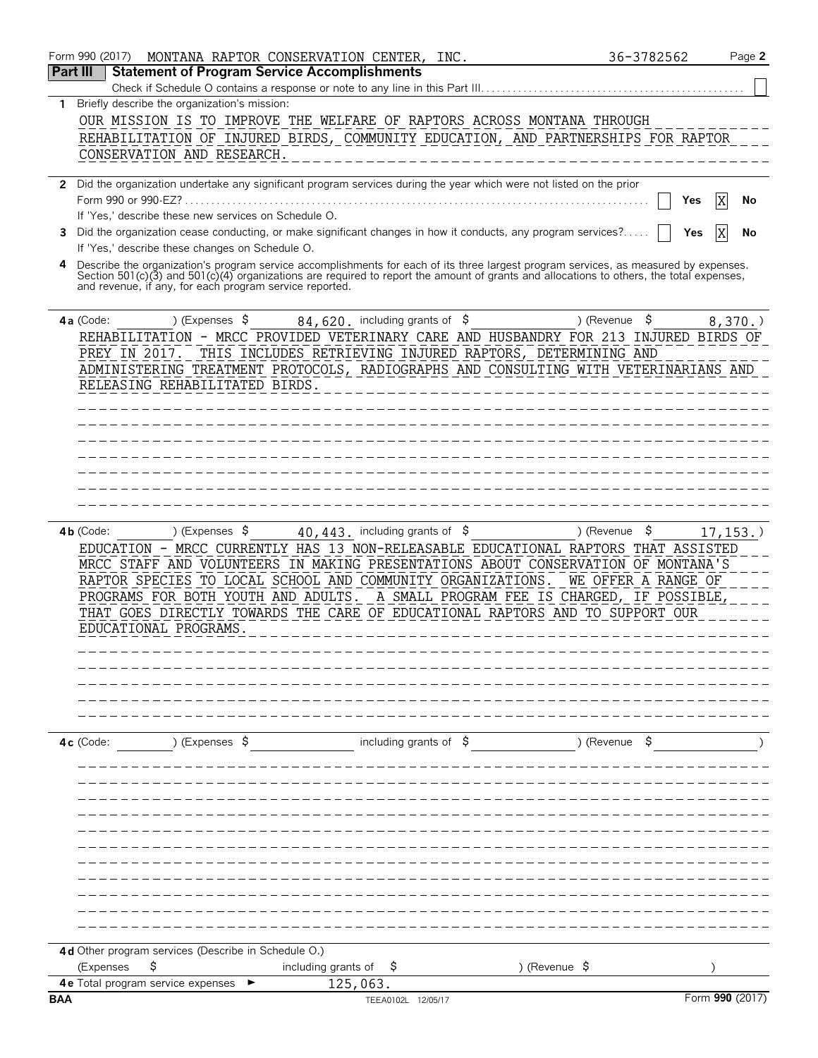|            | Form 990 (2017)<br>MONTANA RAPTOR CONSERVATION CENTER, INC.                                                                                                       |                              | 36-3782562               | Page 2          |
|------------|-------------------------------------------------------------------------------------------------------------------------------------------------------------------|------------------------------|--------------------------|-----------------|
| Part III   | <b>Statement of Program Service Accomplishments</b>                                                                                                               |                              |                          |                 |
|            | Check if Schedule O contains a response or note to any line in this Part III.                                                                                     |                              |                          |                 |
| 1.         | Briefly describe the organization's mission:<br>OUR MISSION IS TO IMPROVE THE WELFARE OF RAPTORS ACROSS MONTANA THROUGH                                           |                              |                          |                 |
|            | REHABILITATION OF INJURED BIRDS, COMMUNITY EDUCATION, AND PARTNERSHIPS FOR RAPTOR                                                                                 |                              |                          |                 |
|            | CONSERVATION AND RESEARCH.                                                                                                                                        |                              |                          |                 |
|            |                                                                                                                                                                   |                              |                          |                 |
|            | 2 Did the organization undertake any significant program services during the year which were not listed on the prior                                              |                              |                          |                 |
|            | Form 990 or 990-EZ?                                                                                                                                               |                              |                          | X<br>Yes<br>No  |
|            | If 'Yes,' describe these new services on Schedule O.                                                                                                              |                              |                          |                 |
| 3          | Did the organization cease conducting, or make significant changes in how it conducts, any program services?<br>If 'Yes,' describe these changes on Schedule O.   |                              |                          | X<br>Yes<br>No  |
|            | Describe the organization's program service accomplishments for each of its three largest program services, as measured by expenses.                              |                              |                          |                 |
|            | Section 501(c)(3) and 501(c)(4) organizations are required to report the amount of grants and allocations to others, the total expenses,                          |                              |                          |                 |
|            | and revenue, if any, for each program service reported.                                                                                                           |                              |                          |                 |
|            | $84,620$ . including grants of $$$<br>4a (Code:<br>) (Expenses \$                                                                                                 |                              | \$<br>) (Revenue         | 8,370.          |
|            | REHABILITATION - MRCC PROVIDED VETERINARY CARE AND HUSBANDRY FOR 213 INJURED BIRDS OF                                                                             |                              |                          |                 |
|            | THIS INCLUDES RETRIEVING INJURED RAPTORS, DETERMINING AND<br>PREY IN 2017.                                                                                        |                              |                          |                 |
|            | ADMINISTERING TREATMENT PROTOCOLS, RADIOGRAPHS AND CONSULTING WITH VETERINARIANS AND                                                                              |                              |                          |                 |
|            | RELEASING REHABILITATED BIRDS.                                                                                                                                    |                              |                          |                 |
|            |                                                                                                                                                                   |                              |                          |                 |
|            |                                                                                                                                                                   |                              |                          |                 |
|            |                                                                                                                                                                   |                              |                          |                 |
|            |                                                                                                                                                                   |                              |                          |                 |
|            |                                                                                                                                                                   |                              |                          |                 |
|            |                                                                                                                                                                   |                              |                          |                 |
|            |                                                                                                                                                                   |                              |                          |                 |
|            | ) (Expenses $\sqrt{5}$<br>$40,443$ . including grants of $$$<br>$4b$ (Code:                                                                                       |                              | \$<br>) (Revenue         | 17, 153.        |
|            | EDUCATION - MRCC CURRENTLY HAS 13 NON-RELEASABLE EDUCATIONAL RAPTORS THAT ASSISTED                                                                                |                              |                          |                 |
|            | MRCC STAFF AND VOLUNTEERS IN MAKING PRESENTATIONS ABOUT CONSERVATION OF MONTANA'S                                                                                 |                              |                          |                 |
|            | RAPTOR SPECIES TO LOCAL SCHOOL AND COMMUNITY ORGANIZATIONS.                                                                                                       |                              | WE OFFER A RANGE OF      |                 |
|            | PROGRAMS FOR BOTH YOUTH AND ADULTS. A SMALL PROGRAM FEE IS CHARGED, IF POSSIBLE,<br>THAT GOES DIRECTLY TOWARDS THE CARE OF EDUCATIONAL RAPTORS AND TO SUPPORT OUR |                              |                          |                 |
|            | EDUCATIONAL PROGRAMS                                                                                                                                              |                              |                          |                 |
|            |                                                                                                                                                                   |                              |                          |                 |
|            |                                                                                                                                                                   |                              |                          |                 |
|            |                                                                                                                                                                   |                              |                          |                 |
|            |                                                                                                                                                                   |                              |                          |                 |
|            |                                                                                                                                                                   |                              |                          |                 |
|            | ) (Expenses \$                                                                                                                                                    |                              |                          |                 |
|            | $4c$ (Code:                                                                                                                                                       | including grants of $\sharp$ | ) (Revenue \$            |                 |
|            |                                                                                                                                                                   |                              |                          |                 |
|            |                                                                                                                                                                   |                              |                          |                 |
|            |                                                                                                                                                                   |                              |                          |                 |
|            |                                                                                                                                                                   |                              |                          |                 |
|            |                                                                                                                                                                   |                              |                          |                 |
|            |                                                                                                                                                                   |                              |                          |                 |
|            |                                                                                                                                                                   |                              |                          |                 |
|            |                                                                                                                                                                   |                              |                          |                 |
|            |                                                                                                                                                                   |                              |                          |                 |
|            |                                                                                                                                                                   |                              |                          |                 |
|            | 4d Other program services (Describe in Schedule O.)                                                                                                               |                              |                          |                 |
|            | \$<br>including grants of<br>(Expenses                                                                                                                            | Ş                            | ) (Revenue $\frac{1}{2}$ |                 |
|            | 125,063.<br>4e Total program service expenses                                                                                                                     |                              |                          |                 |
| <b>BAA</b> |                                                                                                                                                                   | TEEA0102L 12/05/17           |                          | Form 990 (2017) |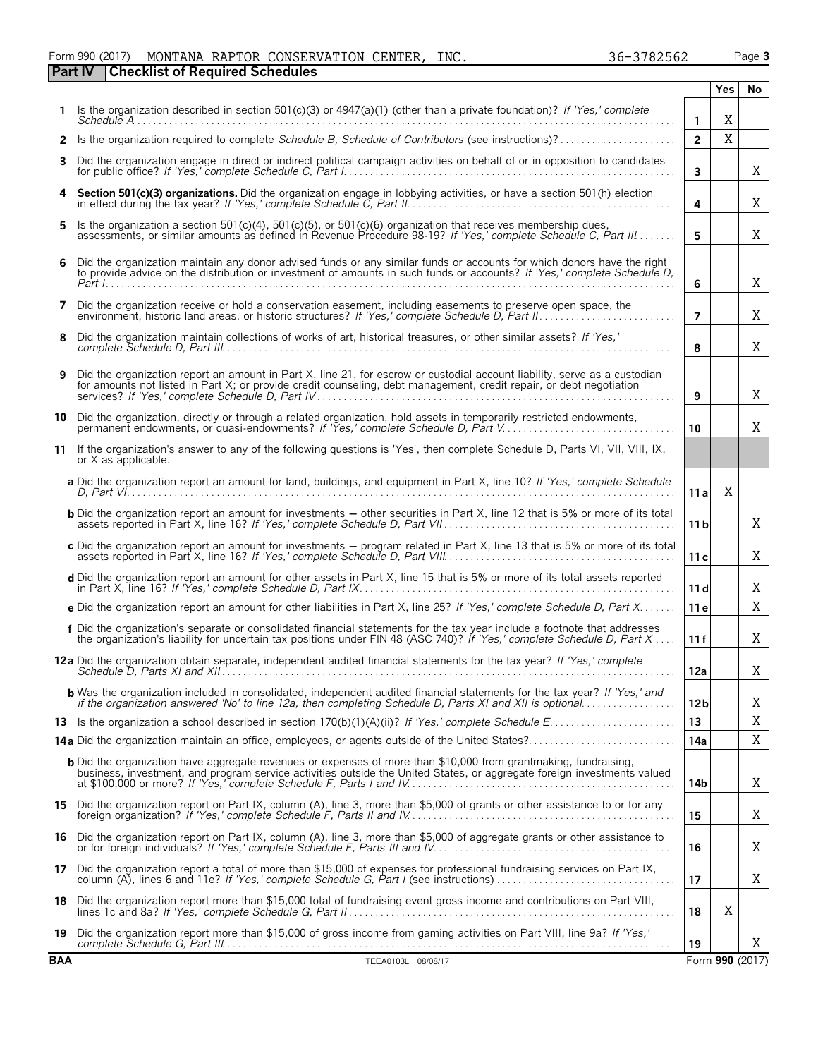#### Form 990 (2017) Page **3** MONTANA RAPTOR CONSERVATION CENTER, INC. 36-3782562 **Part IV Checklist of Required Schedules**

|    |                                                                                                                                                                                                                                                     |                 | <b>Yes</b> | No |
|----|-----------------------------------------------------------------------------------------------------------------------------------------------------------------------------------------------------------------------------------------------------|-----------------|------------|----|
| 1. | Is the organization described in section 501(c)(3) or 4947(a)(1) (other than a private foundation)? If 'Yes,' complete                                                                                                                              | 1               | Χ          |    |
| 2  | Is the organization required to complete Schedule B, Schedule of Contributors (see instructions)?                                                                                                                                                   | $\overline{2}$  | X          |    |
| 3  | Did the organization engage in direct or indirect political campaign activities on behalf of or in opposition to candidates                                                                                                                         | 3               |            | Χ  |
| 4  | Section 501(c)(3) organizations. Did the organization engage in lobbying activities, or have a section 501(h) election in effect during the tax year? If 'Yes,' complete Schedule C, Part II.                                                       | 4               |            | X  |
| 5  | Is the organization a section 501(c)(4), 501(c)(5), or 501(c)(6) organization that receives membership dues,<br>assessments, or similar amounts as defined in Revenue Procedure 98-19? If 'Yes,' complete Schedule C. Part III                      | 5               |            | X  |
| 6  | Did the organization maintain any donor advised funds or any similar funds or accounts for which donors have the right<br>to provide advice on the distribution or investment of amounts in such funds or accounts? If 'Yes,' complete Schedule D,  | 6               |            | X  |
| 7  | Did the organization receive or hold a conservation easement, including easements to preserve open space, the                                                                                                                                       | $\overline{7}$  |            | X  |
| 8  | Did the organization maintain collections of works of art, historical treasures, or other similar assets? If 'Yes,'                                                                                                                                 | 8               |            | X  |
| 9  | Did the organization report an amount in Part X, line 21, for escrow or custodial account liability, serve as a custodian<br>for amounts not listed in Part X; or provide credit counseling, debt management, credit repair, or debt negotiation    | 9               |            | Χ  |
| 10 | Did the organization, directly or through a related organization, hold assets in temporarily restricted endowments,<br>permanent endowments, or quasi-endowments? If 'Yes,' complete Schedule D, Part V.                                            | 10              |            | X  |
| 11 | If the organization's answer to any of the following questions is 'Yes', then complete Schedule D, Parts VI, VII, VIII, IX,<br>or X as applicable.                                                                                                  |                 |            |    |
|    | a Did the organization report an amount for land, buildings, and equipment in Part X, line 10? If 'Yes,' complete Schedule                                                                                                                          | 11 a            | Χ          |    |
|    | <b>b</b> Did the organization report an amount for investments – other securities in Part X, line 12 that is 5% or more of its total                                                                                                                | 11 <sub>b</sub> |            | X  |
|    | c Did the organization report an amount for investments - program related in Part X, line 13 that is 5% or more of its total                                                                                                                        | 11c             |            | X  |
|    | d Did the organization report an amount for other assets in Part X, line 15 that is 5% or more of its total assets reported                                                                                                                         | 11d             |            | X  |
|    | e Did the organization report an amount for other liabilities in Part X, line 25? If 'Yes,' complete Schedule D, Part X                                                                                                                             | 11e             |            | X  |
|    | f Did the organization's separate or consolidated financial statements for the tax year include a footnote that addresses<br>the organization's liability for uncertain tax positions under FIN 48 (ASC 740)? If 'Yes,' complete Schedule D, Part X | 11 f            |            | X  |
|    | 12a Did the organization obtain separate, independent audited financial statements for the tax year? If 'Yes,' complete                                                                                                                             | 12a             |            | Χ  |
|    | <b>b</b> Was the organization included in consolidated, independent audited financial statements for the tax year? If 'Yes,' and<br>if the organization answered 'No' to line 12a, then completing Schedule D, Parts XI and XII is optional         | 12 <sub>b</sub> |            | Χ  |
|    |                                                                                                                                                                                                                                                     | 13              |            | X  |
|    | 14a Did the organization maintain an office, employees, or agents outside of the United States?                                                                                                                                                     | 14a             |            | Χ  |
|    | <b>b</b> Did the organization have aggregate revenues or expenses of more than \$10,000 from grantmaking, fundraising,<br>business, investment, and program service activities outside the United States, or aggregate foreign investments valued   | 14b             |            | Χ  |
|    | 15 Did the organization report on Part IX, column (A), line 3, more than \$5,000 of grants or other assistance to or for any                                                                                                                        | 15              |            | Χ  |
|    | 16 Did the organization report on Part IX, column (A), line 3, more than \$5,000 of aggregate grants or other assistance to                                                                                                                         | 16              |            | Χ  |
|    | 17 Did the organization report a total of more than \$15,000 of expenses for professional fundraising services on Part IX,                                                                                                                          | 17              |            | Χ  |
| 18 | Did the organization report more than \$15,000 total of fundraising event gross income and contributions on Part VIII,                                                                                                                              | 18              | X          |    |
| 19 | Did the organization report more than \$15,000 of gross income from gaming activities on Part VIII, line 9a? If 'Yes,'                                                                                                                              | 19              |            | X  |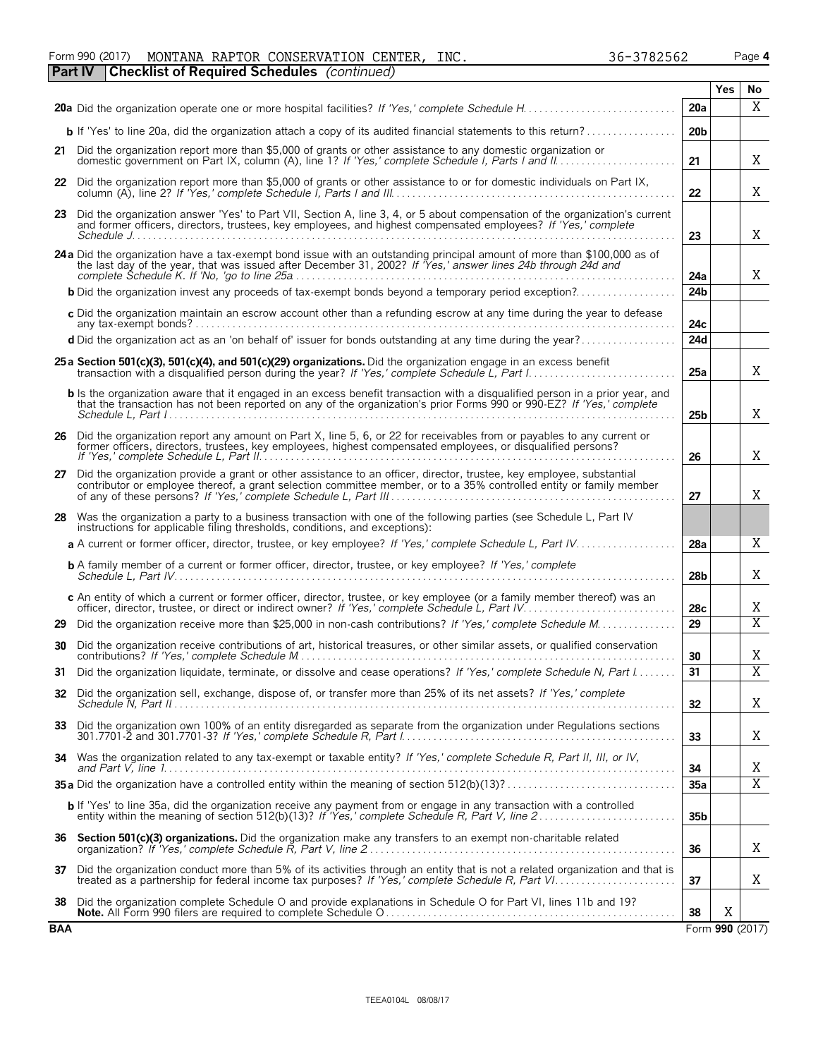|  |  | Form 990 (2017) MONTANA RAPTOR CONSERVATION CENTER, INC.   |  | 36-3782562 | Page 4 |
|--|--|------------------------------------------------------------|--|------------|--------|
|  |  | <b>Part IV Checklist of Required Schedules</b> (continued) |  |            |        |

|            |                                                                                                                                                                                                                                                 |                 | <b>Yes</b> | No              |  |  |  |  |
|------------|-------------------------------------------------------------------------------------------------------------------------------------------------------------------------------------------------------------------------------------------------|-----------------|------------|-----------------|--|--|--|--|
|            |                                                                                                                                                                                                                                                 | 20a             |            | X               |  |  |  |  |
|            | <b>b</b> If 'Yes' to line 20a, did the organization attach a copy of its audited financial statements to this return?                                                                                                                           | 20 <sub>b</sub> |            |                 |  |  |  |  |
|            | 21 Did the organization report more than \$5,000 of grants or other assistance to any domestic organization or                                                                                                                                  | 21              |            | X               |  |  |  |  |
|            | 22 Did the organization report more than \$5,000 of grants or other assistance to or for domestic individuals on Part IX,                                                                                                                       | 22              |            | X               |  |  |  |  |
|            | 23 Did the organization answer 'Yes' to Part VII, Section A, line 3, 4, or 5 about compensation of the organization's current<br>and former officers, directors, trustees, key employees, and highest compensated employees? If 'Yes,' complete | 23              |            | Χ               |  |  |  |  |
|            | 24 a Did the organization have a tax-exempt bond issue with an outstanding principal amount of more than \$100,000 as of<br>the last day of the year, that was issued after December 31, 2002? If Yes,' answer lines 24b through 24d and        | 24a             |            | X               |  |  |  |  |
|            | <b>b</b> Did the organization invest any proceeds of tax-exempt bonds beyond a temporary period exception?                                                                                                                                      | 24 <sub>b</sub> |            |                 |  |  |  |  |
|            | c Did the organization maintain an escrow account other than a refunding escrow at any time during the year to defease                                                                                                                          | 24с             |            |                 |  |  |  |  |
|            | d Did the organization act as an 'on behalf of' issuer for bonds outstanding at any time during the year?                                                                                                                                       | 24d             |            |                 |  |  |  |  |
|            | 25 a Section 501(c)(3), 501(c)(4), and 501(c)(29) organizations. Did the organization engage in an excess benefit<br>transaction with a disqualified person during the year? If 'Yes,' complete Schedule L, Part I.                             | 25a             |            | X               |  |  |  |  |
|            | <b>b</b> Is the organization aware that it engaged in an excess benefit transaction with a disqualified person in a prior year, and that the transaction has not been reported on any of the organization's prior Forms 990 or 990-             | 25b             |            | X               |  |  |  |  |
|            | 26 Did the organization report any amount on Part X, line 5, 6, or 22 for receivables from or payables to any current or<br>former officers, directors, trustees, key employees, highest compensated employees, or disqualified persons?        |                 |            |                 |  |  |  |  |
|            | 27 Did the organization provide a grant or other assistance to an officer, director, trustee, key employee, substantial contributor or employee thereof, a grant selection committee member, or to a 35% controlled entity or                   |                 |            |                 |  |  |  |  |
|            | 28 Was the organization a party to a business transaction with one of the following parties (see Schedule L, Part IV<br>instructions for applicable filing thresholds, conditions, and exceptions):                                             |                 |            |                 |  |  |  |  |
|            |                                                                                                                                                                                                                                                 | 28a             |            | X               |  |  |  |  |
|            | <b>b</b> A family member of a current or former officer, director, trustee, or key employee? If 'Yes,' complete                                                                                                                                 | 28b             |            | X               |  |  |  |  |
|            | c An entity of which a current or former officer, director, trustee, or key employee (or a family member thereof) was an officer, director, trustee, or direct or indirect owner? If 'Yes,' complete Schedule L, Part IV                        | 28c             |            | X               |  |  |  |  |
| 29         | Did the organization receive more than \$25,000 in non-cash contributions? If 'Yes,' complete Schedule M                                                                                                                                        | 29              |            | $\overline{X}$  |  |  |  |  |
| 30         | Did the organization receive contributions of art, historical treasures, or other similar assets, or qualified conservation                                                                                                                     | 30              |            | X               |  |  |  |  |
| 31         | Did the organization liquidate, terminate, or dissolve and cease operations? If 'Yes,' complete Schedule N, Part I                                                                                                                              | 31              |            | $\overline{X}$  |  |  |  |  |
|            | 32 Did the organization sell, exchange, dispose of, or transfer more than 25% of its net assets? If 'Yes,' complete                                                                                                                             | 32              |            | X               |  |  |  |  |
| 33         | Did the organization own 100% of an entity disregarded as separate from the organization under Regulations sections                                                                                                                             | 33              |            | X               |  |  |  |  |
|            | 34 Was the organization related to any tax-exempt or taxable entity? If 'Yes,' complete Schedule R, Part II, III, or IV,                                                                                                                        | 34              |            | Χ               |  |  |  |  |
|            |                                                                                                                                                                                                                                                 | 35a             |            | $\overline{X}$  |  |  |  |  |
|            | <b>b</b> If 'Yes' to line 35a, did the organization receive any payment from or engage in any transaction with a controlled entity within the meaning of section 512(b)(13)? If 'Yes,' complete Schedule R, Part V, line 2                      | 35 <sub>b</sub> |            |                 |  |  |  |  |
| 36         | Section 501(c)(3) organizations. Did the organization make any transfers to an exempt non-charitable related                                                                                                                                    | 36              |            | Χ               |  |  |  |  |
|            | 37 Did the organization conduct more than 5% of its activities through an entity that is not a related organization and that is                                                                                                                 | 37              |            | X               |  |  |  |  |
| 38         | Did the organization complete Schedule O and provide explanations in Schedule O for Part VI, lines 11b and 19?                                                                                                                                  | 38              | X          |                 |  |  |  |  |
| <b>BAA</b> |                                                                                                                                                                                                                                                 |                 |            | Form 990 (2017) |  |  |  |  |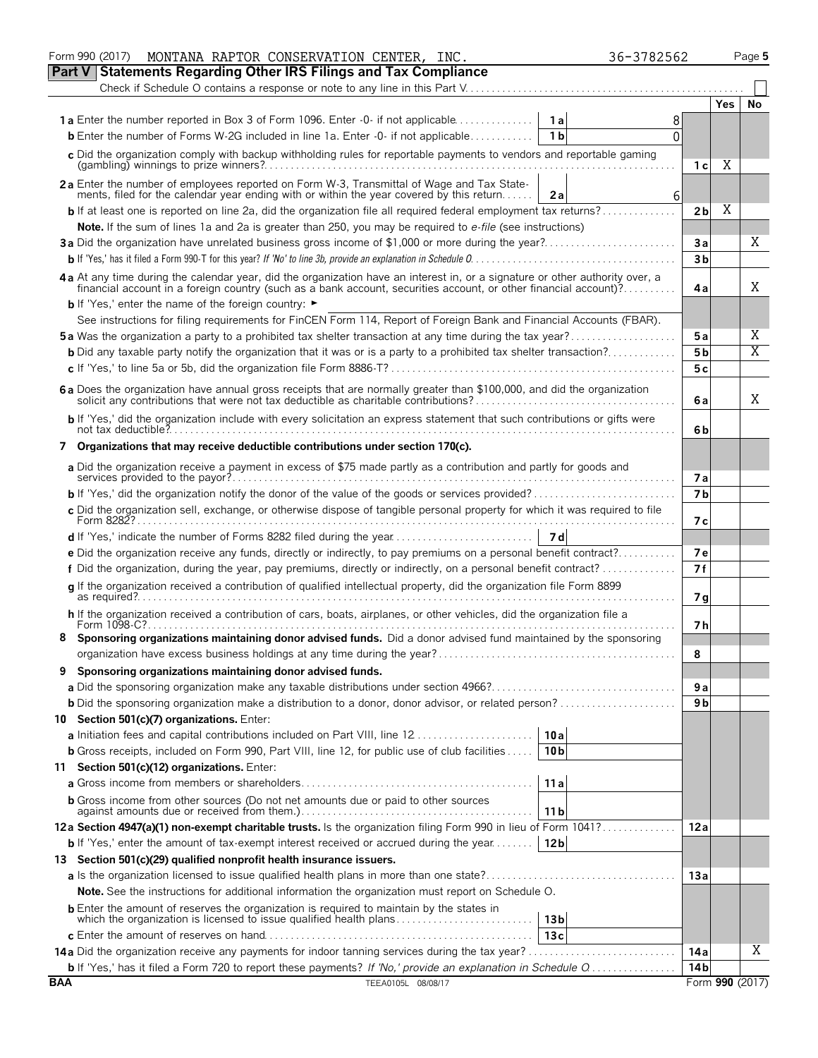|            | MONTANA RAPTOR CONSERVATION CENTER, INC.<br>36-3782562<br>Form 990 (2017)                                                                                                                                   |                |                 | Page 5 |  |  |  |  |  |  |  |
|------------|-------------------------------------------------------------------------------------------------------------------------------------------------------------------------------------------------------------|----------------|-----------------|--------|--|--|--|--|--|--|--|
| Part V     | <b>Statements Regarding Other IRS Filings and Tax Compliance</b>                                                                                                                                            |                |                 |        |  |  |  |  |  |  |  |
|            | Check if Schedule O contains a response or note to any line in this Part V                                                                                                                                  |                |                 |        |  |  |  |  |  |  |  |
|            |                                                                                                                                                                                                             |                | <b>Yes</b>      | No     |  |  |  |  |  |  |  |
|            | <b>1a</b> Enter the number reported in Box 3 of Form 1096. Enter -0- if not applicable<br>- 1 a l<br>8                                                                                                      |                |                 |        |  |  |  |  |  |  |  |
|            | <b>b</b> Enter the number of Forms W-2G included in line 1a. Enter $-0$ if not applicable<br>1 <sub>b</sub><br>$\Omega$                                                                                     |                |                 |        |  |  |  |  |  |  |  |
|            | c Did the organization comply with backup withholding rules for reportable payments to vendors and reportable gaming                                                                                        |                |                 |        |  |  |  |  |  |  |  |
|            |                                                                                                                                                                                                             | 1 с            | Χ               |        |  |  |  |  |  |  |  |
|            |                                                                                                                                                                                                             |                |                 |        |  |  |  |  |  |  |  |
|            | 2a Enter the number of employees reported on Form W-3, Transmittal of Wage and Tax Statements, filed for the calendar year ending with or within the year covered by this return<br>2a<br>6                 |                |                 |        |  |  |  |  |  |  |  |
|            | <b>b</b> If at least one is reported on line 2a, did the organization file all required federal employment tax returns?                                                                                     | 2 <sub>b</sub> | Χ               |        |  |  |  |  |  |  |  |
|            | Note. If the sum of lines 1a and 2a is greater than 250, you may be required to e-file (see instructions)                                                                                                   |                |                 |        |  |  |  |  |  |  |  |
|            | 3a Did the organization have unrelated business gross income of \$1,000 or more during the year?                                                                                                            | Зa             |                 | Χ      |  |  |  |  |  |  |  |
|            |                                                                                                                                                                                                             | 3 <sub>b</sub> |                 |        |  |  |  |  |  |  |  |
|            | 4a At any time during the calendar year, did the organization have an interest in, or a signature or other authority over, a                                                                                |                |                 |        |  |  |  |  |  |  |  |
|            | financial account in a foreign country (such as a bank account, securities account, or other financial account)?                                                                                            |                |                 |        |  |  |  |  |  |  |  |
|            | <b>b</b> If 'Yes,' enter the name of the foreign country: ►                                                                                                                                                 |                |                 |        |  |  |  |  |  |  |  |
|            | See instructions for filing requirements for FinCEN Form 114, Report of Foreign Bank and Financial Accounts (FBAR).                                                                                         |                |                 |        |  |  |  |  |  |  |  |
|            | <b>5a</b> Was the organization a party to a prohibited tax shelter transaction at any time during the tax year?                                                                                             | 5 a            |                 | Χ      |  |  |  |  |  |  |  |
|            | <b>b</b> Did any taxable party notify the organization that it was or is a party to a prohibited tax shelter transaction?                                                                                   | 5 <sub>b</sub> |                 | Χ      |  |  |  |  |  |  |  |
|            |                                                                                                                                                                                                             | 5с             |                 |        |  |  |  |  |  |  |  |
|            |                                                                                                                                                                                                             |                |                 |        |  |  |  |  |  |  |  |
|            | 6 a Does the organization have annual gross receipts that are normally greater than \$100,000, and did the organization solicit any contributions that were not tax deductible as charitable contributions? |                |                 | Χ      |  |  |  |  |  |  |  |
|            |                                                                                                                                                                                                             | 6 a            |                 |        |  |  |  |  |  |  |  |
|            | b If 'Yes,' did the organization include with every solicitation an express statement that such contributions or gifts were                                                                                 | 6b             |                 |        |  |  |  |  |  |  |  |
|            | Organizations that may receive deductible contributions under section 170(c).                                                                                                                               |                |                 |        |  |  |  |  |  |  |  |
| 7          |                                                                                                                                                                                                             |                |                 |        |  |  |  |  |  |  |  |
|            | a Did the organization receive a payment in excess of \$75 made partly as a contribution and partly for goods and                                                                                           | 7а             |                 |        |  |  |  |  |  |  |  |
|            |                                                                                                                                                                                                             |                |                 |        |  |  |  |  |  |  |  |
|            | <b>b</b> If 'Yes,' did the organization notify the donor of the value of the goods or services provided?                                                                                                    |                |                 |        |  |  |  |  |  |  |  |
|            | c Did the organization sell, exchange, or otherwise dispose of tangible personal property for which it was required to file                                                                                 |                |                 |        |  |  |  |  |  |  |  |
|            |                                                                                                                                                                                                             | 7 с            |                 |        |  |  |  |  |  |  |  |
|            | e Did the organization receive any funds, directly or indirectly, to pay premiums on a personal benefit contract?                                                                                           | 7е             |                 |        |  |  |  |  |  |  |  |
|            | f Did the organization, during the year, pay premiums, directly or indirectly, on a personal benefit contract?                                                                                              | 7f             |                 |        |  |  |  |  |  |  |  |
|            |                                                                                                                                                                                                             |                |                 |        |  |  |  |  |  |  |  |
|            | q If the organization received a contribution of qualified intellectual property, did the organization file Form 8899                                                                                       | 7g             |                 |        |  |  |  |  |  |  |  |
|            | h If the organization received a contribution of cars, boats, airplanes, or other vehicles, did the organization file a                                                                                     |                |                 |        |  |  |  |  |  |  |  |
|            | Form 1098-C?                                                                                                                                                                                                | 7 h            |                 |        |  |  |  |  |  |  |  |
|            | Sponsoring organizations maintaining donor advised funds. Did a donor advised fund maintained by the sponsoring                                                                                             |                |                 |        |  |  |  |  |  |  |  |
|            |                                                                                                                                                                                                             | 8              |                 |        |  |  |  |  |  |  |  |
| 9          | Sponsoring organizations maintaining donor advised funds.                                                                                                                                                   |                |                 |        |  |  |  |  |  |  |  |
|            |                                                                                                                                                                                                             | 9 a            |                 |        |  |  |  |  |  |  |  |
|            |                                                                                                                                                                                                             | 9 b            |                 |        |  |  |  |  |  |  |  |
|            | 10 Section 501(c)(7) organizations. Enter:                                                                                                                                                                  |                |                 |        |  |  |  |  |  |  |  |
|            | 10a                                                                                                                                                                                                         |                |                 |        |  |  |  |  |  |  |  |
|            | <b>b</b> Gross receipts, included on Form 990, Part VIII, line 12, for public use of club facilities<br>10 <sub>b</sub>                                                                                     |                |                 |        |  |  |  |  |  |  |  |
|            | 11 Section 501(c)(12) organizations. Enter:                                                                                                                                                                 |                |                 |        |  |  |  |  |  |  |  |
|            | 11a                                                                                                                                                                                                         |                |                 |        |  |  |  |  |  |  |  |
|            | <b>b</b> Gross income from other sources (Do not net amounts due or paid to other sources                                                                                                                   |                |                 |        |  |  |  |  |  |  |  |
|            | 11 <sub>b</sub>                                                                                                                                                                                             |                |                 |        |  |  |  |  |  |  |  |
|            | 12a Section 4947(a)(1) non-exempt charitable trusts. Is the organization filing Form 990 in lieu of Form 1041?                                                                                              | 12a            |                 |        |  |  |  |  |  |  |  |
|            | 12 <sub>b</sub><br><b>b</b> If 'Yes,' enter the amount of tax-exempt interest received or accrued during the year $\dots \dots$                                                                             |                |                 |        |  |  |  |  |  |  |  |
|            | 13 Section 501(c)(29) qualified nonprofit health insurance issuers.                                                                                                                                         |                |                 |        |  |  |  |  |  |  |  |
|            |                                                                                                                                                                                                             | 13a            |                 |        |  |  |  |  |  |  |  |
|            | <b>Note.</b> See the instructions for additional information the organization must report on Schedule O.                                                                                                    |                |                 |        |  |  |  |  |  |  |  |
|            |                                                                                                                                                                                                             |                |                 |        |  |  |  |  |  |  |  |
|            | <b>b</b> Enter the amount of reserves the organization is required to maintain by the states in<br>which the organization is licensed to issue qualified health plans<br>13 <sub>b</sub>                    |                |                 |        |  |  |  |  |  |  |  |
|            | 13с                                                                                                                                                                                                         |                |                 |        |  |  |  |  |  |  |  |
|            | <b>14a</b> Did the organization receive any payments for indoor tanning services during the tax year?                                                                                                       | 14a            |                 | Χ      |  |  |  |  |  |  |  |
|            |                                                                                                                                                                                                             | 14b            |                 |        |  |  |  |  |  |  |  |
| <b>BAA</b> | TEEA0105L 08/08/17                                                                                                                                                                                          |                | Form 990 (2017) |        |  |  |  |  |  |  |  |
|            |                                                                                                                                                                                                             |                |                 |        |  |  |  |  |  |  |  |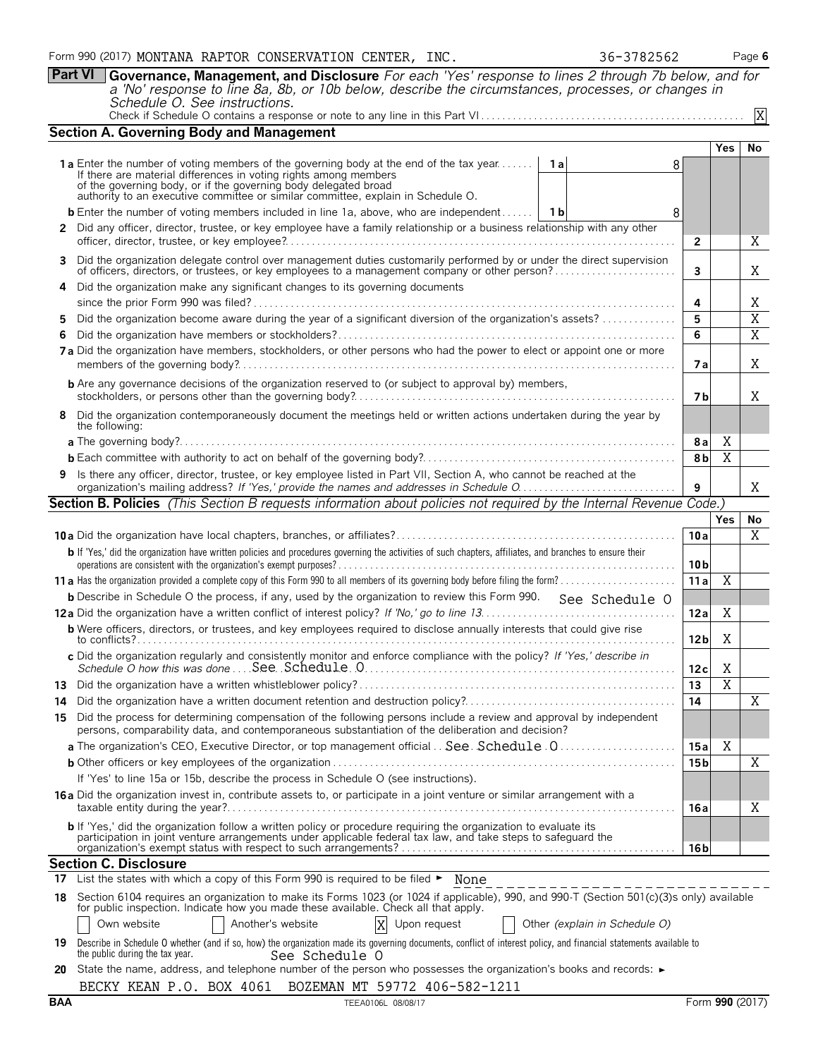**Part VI Governance, Management, and Disclosure** *For each 'Yes' response to lines 2 through 7b below, and for a 'No' response to line 8a, 8b, or 10b below, describe the circumstances, processes, or changes in Schedule O. See instructions.*

| Check if Schedule O contains a response or note to any line in this Part VI |  |  |  |
|-----------------------------------------------------------------------------|--|--|--|
|                                                                             |  |  |  |

|    | <b>Section A. Governing Body and Management</b>                                                                                                                                                                                |                 |                |                |  |  |  |  |  |
|----|--------------------------------------------------------------------------------------------------------------------------------------------------------------------------------------------------------------------------------|-----------------|----------------|----------------|--|--|--|--|--|
|    |                                                                                                                                                                                                                                |                 | Yes            | No             |  |  |  |  |  |
|    | 1a Enter the number of voting members of the governing body at the end of the tax year<br>1a<br>8                                                                                                                              |                 |                |                |  |  |  |  |  |
|    | If there are material differences in voting rights among members<br>of the governing body, or if the governing body delegated broad authority to an executive committee or similar committee, explain in Schedule O.           |                 |                |                |  |  |  |  |  |
|    |                                                                                                                                                                                                                                |                 |                |                |  |  |  |  |  |
|    | <b>b</b> Enter the number of voting members included in line 1a, above, who are independent   1b<br>8                                                                                                                          |                 |                |                |  |  |  |  |  |
|    | 2 Did any officer, director, trustee, or key employee have a family relationship or a business relationship with any other                                                                                                     | $\mathbf{2}$    |                | X              |  |  |  |  |  |
|    | 3 Did the organization delegate control over management duties customarily performed by or under the direct supervision                                                                                                        |                 |                |                |  |  |  |  |  |
|    |                                                                                                                                                                                                                                | 3               |                | Χ              |  |  |  |  |  |
|    | 4 Did the organization make any significant changes to its governing documents                                                                                                                                                 |                 |                |                |  |  |  |  |  |
|    |                                                                                                                                                                                                                                | 4               |                | Χ              |  |  |  |  |  |
| 5. | Did the organization become aware during the year of a significant diversion of the organization's assets?                                                                                                                     | 5               |                | $\overline{X}$ |  |  |  |  |  |
| 6  | 7a Did the organization have members, stockholders, or other persons who had the power to elect or appoint one or more                                                                                                         | 6               |                | X              |  |  |  |  |  |
|    |                                                                                                                                                                                                                                | 7а              |                | X              |  |  |  |  |  |
|    | <b>b</b> Are any governance decisions of the organization reserved to (or subject to approval by) members,                                                                                                                     |                 |                |                |  |  |  |  |  |
|    |                                                                                                                                                                                                                                | 7 b             |                | X              |  |  |  |  |  |
|    | 8 Did the organization contemporaneously document the meetings held or written actions undertaken during the year by<br>the following:                                                                                         |                 |                |                |  |  |  |  |  |
|    |                                                                                                                                                                                                                                | 8a              | Χ              |                |  |  |  |  |  |
|    |                                                                                                                                                                                                                                | 8 <sub>b</sub>  | X              |                |  |  |  |  |  |
|    | 9 Is there any officer, director, trustee, or key employee listed in Part VII, Section A, who cannot be reached at the<br>organization's mailing address? If 'Yes,' provide the names and addresses in Schedule O.             |                 |                |                |  |  |  |  |  |
|    | <b>Section B. Policies</b> (This Section B requests information about policies not required by the Internal Revenue Code.)                                                                                                     |                 |                |                |  |  |  |  |  |
|    |                                                                                                                                                                                                                                |                 | <b>Yes</b>     | No             |  |  |  |  |  |
|    |                                                                                                                                                                                                                                | 10a             |                | $\overline{X}$ |  |  |  |  |  |
|    | b If 'Yes,' did the organization have written policies and procedures governing the activities of such chapters, affiliates, and branches to ensure their                                                                      |                 |                |                |  |  |  |  |  |
|    |                                                                                                                                                                                                                                | 10 <sub>b</sub> |                |                |  |  |  |  |  |
|    |                                                                                                                                                                                                                                | 11a             | $\overline{X}$ |                |  |  |  |  |  |
|    | <b>b</b> Describe in Schedule O the process, if any, used by the organization to review this Form 990. See Schedule O                                                                                                          |                 |                |                |  |  |  |  |  |
|    |                                                                                                                                                                                                                                | 12a             | Χ              |                |  |  |  |  |  |
|    | <b>b</b> Were officers, directors, or trustees, and key employees required to disclose annually interests that could give rise                                                                                                 | 12 <sub>b</sub> | Χ              |                |  |  |  |  |  |
|    | c Did the organization regularly and consistently monitor and enforce compliance with the policy? If 'Yes,' describe in                                                                                                        | 12c             | Χ              |                |  |  |  |  |  |
|    |                                                                                                                                                                                                                                | 13              | $\overline{X}$ |                |  |  |  |  |  |
| 14 |                                                                                                                                                                                                                                | 14              |                | Χ              |  |  |  |  |  |
| 15 | Did the process for determining compensation of the following persons include a review and approval by independent                                                                                                             |                 |                |                |  |  |  |  |  |
|    | persons, comparability data, and contemporaneous substantiation of the deliberation and decision?                                                                                                                              |                 |                |                |  |  |  |  |  |
|    |                                                                                                                                                                                                                                | 15 a            | Χ              |                |  |  |  |  |  |
|    |                                                                                                                                                                                                                                | 15 <sub>b</sub> |                | X              |  |  |  |  |  |
|    | If 'Yes' to line 15a or 15b, describe the process in Schedule O (see instructions).                                                                                                                                            |                 |                |                |  |  |  |  |  |
|    | 16a Did the organization invest in, contribute assets to, or participate in a joint venture or similar arrangement with a                                                                                                      | 16 a            |                | X              |  |  |  |  |  |
|    | b If 'Yes,' did the organization follow a written policy or procedure requiring the organization to evaluate its                                                                                                               |                 |                |                |  |  |  |  |  |
|    | participation in joint venture arrangements under applicable federal tax law, and take steps to safeguard the                                                                                                                  | 16 b            |                |                |  |  |  |  |  |
|    | <b>Section C. Disclosure</b>                                                                                                                                                                                                   |                 |                |                |  |  |  |  |  |
|    | 17 List the states with which a copy of this Form 990 is required to be filed ► None                                                                                                                                           |                 |                |                |  |  |  |  |  |
|    | 18 Section 6104 requires an organization to make its Forms 1023 (or 1024 if applicable), 990, and 990-T (Section 501(c)(3)s only) available for public inspection. Indicate how you made these available. Check all that apply |                 |                |                |  |  |  |  |  |
|    |                                                                                                                                                                                                                                |                 |                |                |  |  |  |  |  |
|    | Another's website<br>X<br>Other (explain in Schedule O)<br>Own website<br>Upon request                                                                                                                                         |                 |                |                |  |  |  |  |  |
|    | 19 Describe in Schedule O whether (and if so, how) the organization made its governing documents, conflict of interest policy, and financial statements available to<br>the public during the tax year.<br>See Schedule O      |                 |                |                |  |  |  |  |  |

|  |  |  |                                                        | 20 State the name, address, and telephone number of the person who possesses the organization's books and records: $\blacktriangleright$ |  |
|--|--|--|--------------------------------------------------------|------------------------------------------------------------------------------------------------------------------------------------------|--|
|  |  |  | BECKY KEAN P.O. BOX 4061 BOZEMAN MT 59772 406-582-1211 |                                                                                                                                          |  |

Check if Schedule O contains a response or note to any line in this Part VI . . . . . . . . . . . . . . . . . . . . . . . . . . . . . . . . . . . . . . . . . . . . . . . . . .

X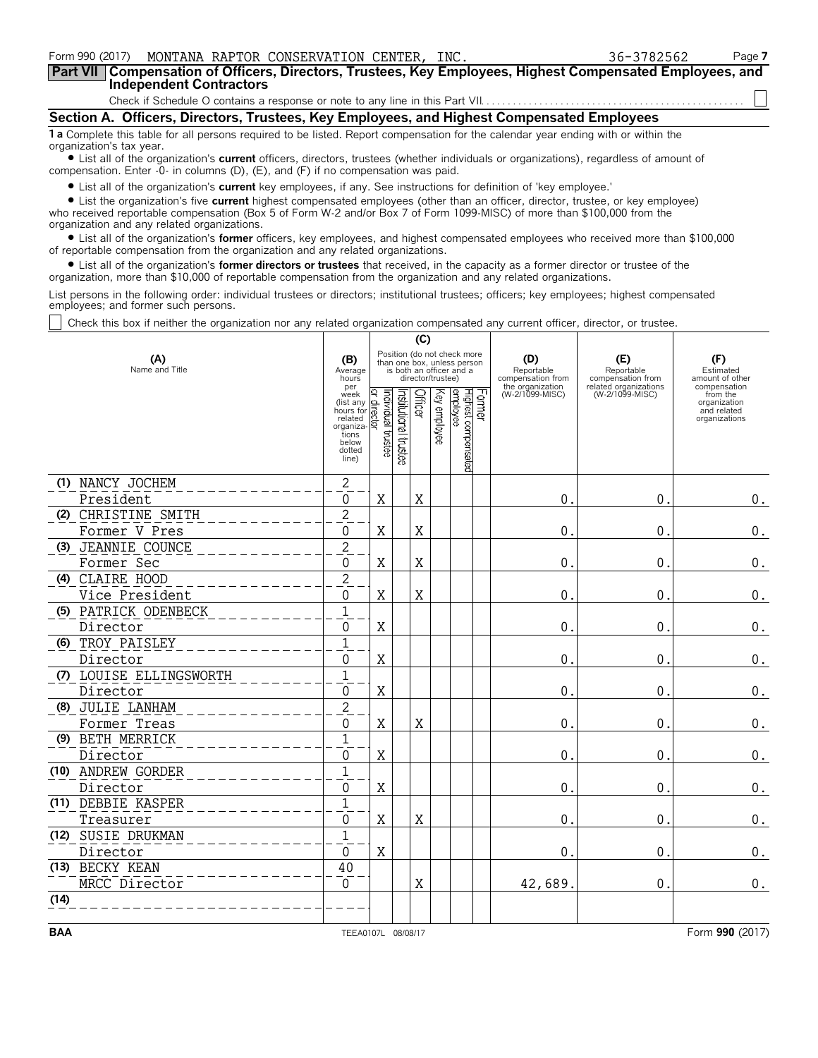| Form 990 (2017) MONTANA RAPTOR CONSERVATION CENTER, INC.                                                                                                       | 36-3782562 | Page 7 |
|----------------------------------------------------------------------------------------------------------------------------------------------------------------|------------|--------|
| Part VII   Compensation of Officers, Directors, Trustees, Key Employees, Highest Compensated Employees, and<br><b>Independent Contractors</b>                  |            |        |
|                                                                                                                                                                |            |        |
|                                                                                                                                                                |            |        |
| Section A. Officers, Directors, Trustees, Key Employees, and Highest Compensated Employees                                                                     |            |        |
| 1 a Complete this table for all persons required to be listed. Report compensation for the calendar year ending with or within the<br>organization's tax year. |            |        |
| • List all of the organization's <b>current</b> officers, directors, trustees (whether individuals or organizations), regardless of amount of                  |            |        |

? List all of the organization's **current** officers, directors, trustees (whether individuals or organizations), regardless of amount of compensation. Enter -0- in columns (D), (E), and (F) if no compensation was paid.

? List all of the organization's **current** key employees, if any. See instructions for definition of 'key employee.'

? List the organization's five **current** highest compensated employees (other than an officer, director, trustee, or key employee) who received reportable compensation (Box 5 of Form W-2 and/or Box 7 of Form 1099-MISC) of more than \$100,000 from the organization and any related organizations.

? List all of the organization's **former** officers, key employees, and highest compensated employees who received more than \$100,000 of reportable compensation from the organization and any related organizations.

? List all of the organization's **former directors or trustees** that received, in the capacity as a former director or trustee of the organization, more than \$10,000 of reportable compensation from the organization and any related organizations.

List persons in the following order: individual trustees or directors; institutional trustees; officers; key employees; highest compensated employees; and former such persons.

Check this box if neither the organization nor any related organization compensated any current officer, director, or trustee.

|      |                         |                                                                                                                                                              | (C)                |                       |             |                   |                                                                                        |        |                                                            |                                                                 |                                                          |
|------|-------------------------|--------------------------------------------------------------------------------------------------------------------------------------------------------------|--------------------|-----------------------|-------------|-------------------|----------------------------------------------------------------------------------------|--------|------------------------------------------------------------|-----------------------------------------------------------------|----------------------------------------------------------|
|      | (A)<br>Name and Title   | (B)<br>Average<br>hours<br>per                                                                                                                               |                    |                       |             | director/trustee) | Position (do not check more<br>than one box, unless person<br>is both an officer and a |        | (D)<br>Reportable<br>compensation from<br>the organization | (E)<br>Reportable<br>compensation from<br>related organizations | (F)<br>Estimated<br>amount of other<br>compensation      |
|      |                         | week<br>$\frac{1}{\text{R}}$ (list any $\frac{1}{\text{R}}$ )<br>hours for $\frac{1}{\text{R}}$<br>related<br>organiza-<br>tions<br>below<br>dotted<br>line) | Individual trustee | Institutional trustee | Officer     | Key employee      | Highest compensated<br>employee                                                        | Former | (W-2/1099-MISC)                                            | (W-2/1099-MISC)                                                 | from the<br>organization<br>and related<br>organizations |
|      | (1) NANCY JOCHEM        | $\overline{c}$                                                                                                                                               |                    |                       |             |                   |                                                                                        |        |                                                            |                                                                 |                                                          |
|      | President               | $\Omega$                                                                                                                                                     | $\mathbf X$        |                       | X           |                   |                                                                                        |        | $\Omega$                                                   | $\mathbf{0}$                                                    | 0.                                                       |
|      | (2) CHRISTINE SMITH     | $\overline{c}$                                                                                                                                               |                    |                       |             |                   |                                                                                        |        |                                                            |                                                                 |                                                          |
|      | Former V Pres           | $\Omega$                                                                                                                                                     | $\mathbf X$        |                       | $\mathbf X$ |                   |                                                                                        |        | $\mathbf 0$ .                                              | $\mathbf 0$ .                                                   | 0.                                                       |
|      | (3) JEANNIE COUNCE      | $\overline{2}$                                                                                                                                               |                    |                       |             |                   |                                                                                        |        |                                                            |                                                                 |                                                          |
|      | Former Sec              | $\Omega$                                                                                                                                                     | X                  |                       | X           |                   |                                                                                        |        | $\mathbf{0}$                                               | $\Omega$                                                        | 0.                                                       |
|      | (4) CLAIRE HOOD         | $\overline{c}$                                                                                                                                               |                    |                       |             |                   |                                                                                        |        |                                                            |                                                                 |                                                          |
|      | Vice President          | $\Omega$                                                                                                                                                     | X                  |                       | X           |                   |                                                                                        |        | $\mathbf{0}$                                               | $\theta$ .                                                      | $\boldsymbol{0}$ .                                       |
|      | (5) PATRICK ODENBECK    | $\mathbf{1}$                                                                                                                                                 |                    |                       |             |                   |                                                                                        |        |                                                            |                                                                 |                                                          |
|      | Director                | $\Omega$                                                                                                                                                     | X                  |                       |             |                   |                                                                                        |        | $\mathbf{0}$                                               | $\mathbf 0$                                                     | $\boldsymbol{0}$ .                                       |
|      | (6) TROY PAISLEY        | $\mathbf{1}$                                                                                                                                                 |                    |                       |             |                   |                                                                                        |        |                                                            |                                                                 |                                                          |
|      | Director                | $\Omega$                                                                                                                                                     | $\mathbf X$        |                       |             |                   |                                                                                        |        | $\mathbf{0}$                                               | $\mathbf{0}$                                                    | 0.                                                       |
|      | (7) LOUISE ELLINGSWORTH | $\mathbf{1}$                                                                                                                                                 |                    |                       |             |                   |                                                                                        |        |                                                            |                                                                 |                                                          |
|      | Director                | $\Omega$                                                                                                                                                     | X                  |                       |             |                   |                                                                                        |        | $\Omega$ .                                                 | $\theta$ .                                                      | $0$ .                                                    |
|      | (8) JULIE LANHAM        | $\overline{c}$                                                                                                                                               |                    |                       |             |                   |                                                                                        |        |                                                            |                                                                 |                                                          |
|      | Former Treas            | $\Omega$                                                                                                                                                     | X                  |                       | X           |                   |                                                                                        |        | $\theta$ .                                                 | $\theta$ .                                                      | 0.                                                       |
|      | (9) BETH MERRICK        | $\mathbf{1}$                                                                                                                                                 |                    |                       |             |                   |                                                                                        |        |                                                            |                                                                 |                                                          |
|      | Director                | 0                                                                                                                                                            | X                  |                       |             |                   |                                                                                        |        | $\mathbf{0}$                                               | $\mathbf{0}$                                                    | 0.                                                       |
|      | (10) ANDREW GORDER      | $\mathbf{1}$                                                                                                                                                 |                    |                       |             |                   |                                                                                        |        |                                                            |                                                                 |                                                          |
|      | Director                | $\Omega$                                                                                                                                                     | X                  |                       |             |                   |                                                                                        |        | $\mathbf{0}$                                               | $\theta$ .                                                      | 0.                                                       |
|      | (11) DEBBIE KASPER      | $\mathbf{1}$                                                                                                                                                 |                    |                       |             |                   |                                                                                        |        |                                                            |                                                                 |                                                          |
|      | Treasurer               | 0                                                                                                                                                            | Χ                  |                       | X           |                   |                                                                                        |        | $\Omega$ .                                                 | $\Omega$ .                                                      | $0$ .                                                    |
|      | (12) SUSIE DRUKMAN      | $\mathbf{1}$                                                                                                                                                 |                    |                       |             |                   |                                                                                        |        |                                                            |                                                                 |                                                          |
|      | Director                | $\mathbf{0}$                                                                                                                                                 | X                  |                       |             |                   |                                                                                        |        | $0$ .                                                      | $\Omega$ .                                                      | 0.                                                       |
|      | (13) BECKY KEAN         | 40                                                                                                                                                           |                    |                       |             |                   |                                                                                        |        |                                                            |                                                                 |                                                          |
|      | MRCC Director           | $\mathbf 0$                                                                                                                                                  |                    |                       | X           |                   |                                                                                        |        | 42,689.                                                    | $\mathbf{0}$ .                                                  | $0$ .                                                    |
| (14) |                         |                                                                                                                                                              |                    |                       |             |                   |                                                                                        |        |                                                            |                                                                 |                                                          |
|      |                         |                                                                                                                                                              |                    |                       |             |                   |                                                                                        |        |                                                            |                                                                 |                                                          |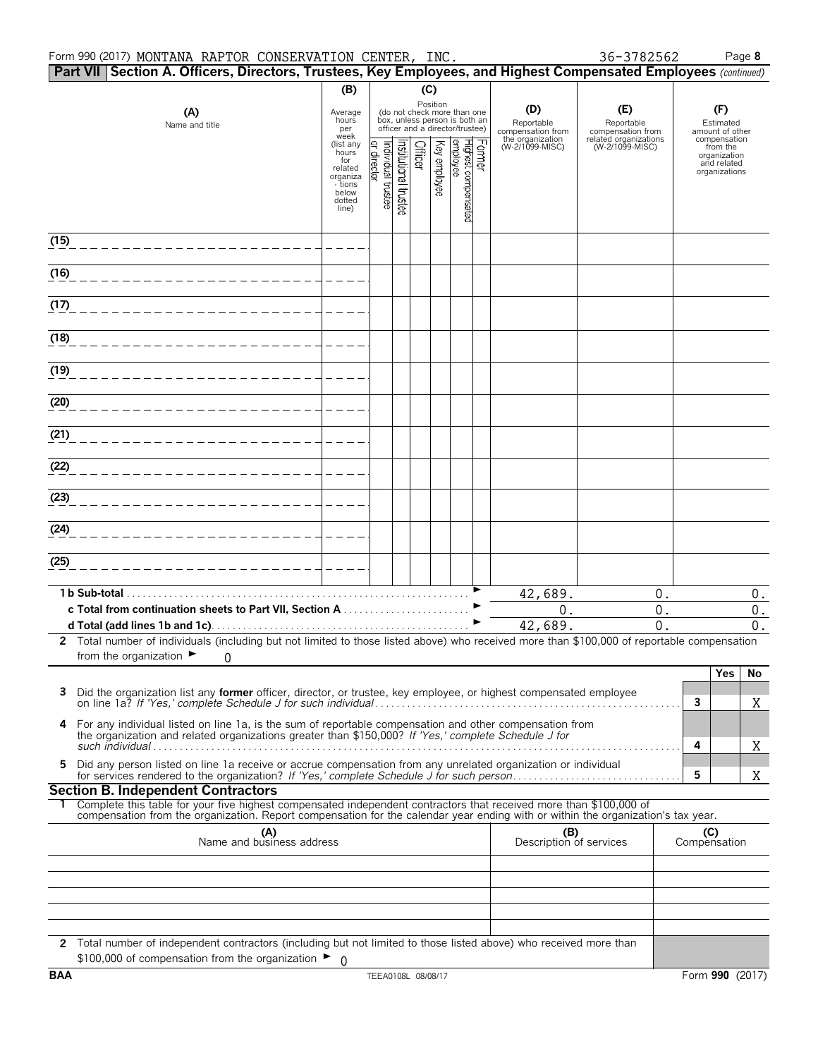#### Form 990 (2017) Page **8** MONTANA RAPTOR CONSERVATION CENTER, INC. 36-3782562

|      | Part VII Section A. Officers, Directors, Trustees, Key Employees, and Highest Compensated Employees (continued)                                                                                                                                        |                                                                            |                                       |                      |         |              |                                                                                                             |                                                            |                                                                 |                     |                                                          |
|------|--------------------------------------------------------------------------------------------------------------------------------------------------------------------------------------------------------------------------------------------------------|----------------------------------------------------------------------------|---------------------------------------|----------------------|---------|--------------|-------------------------------------------------------------------------------------------------------------|------------------------------------------------------------|-----------------------------------------------------------------|---------------------|----------------------------------------------------------|
|      |                                                                                                                                                                                                                                                        | (B)                                                                        |                                       |                      | (C)     |              |                                                                                                             |                                                            |                                                                 |                     |                                                          |
|      | (A)<br>Name and title                                                                                                                                                                                                                                  | Average<br>hours<br>per<br>week<br>(list any                               |                                       |                      |         |              | Position<br>(do not check more than one<br>box, unless person is both an<br>officer and a director/trustee) | (D)<br>Reportable<br>compensation from<br>the organization | (E)<br>Reportable<br>compensation from<br>related organizations |                     | (F)<br>Estimated<br>amount of other<br>compensation      |
|      |                                                                                                                                                                                                                                                        | hours<br>for<br>related<br>organiza<br>- tions<br>below<br>dotted<br>line) | Individual trustee<br>Q,<br>rect<br>হ | nstitutional trustee | Officer | Key employee | Former<br>Highest compensated<br>Jemployee                                                                  | (W-2/1099-MISC)                                            | (W-2/1099-MISC)                                                 |                     | from the<br>organization<br>and related<br>organizations |
| (15) |                                                                                                                                                                                                                                                        |                                                                            |                                       |                      |         |              |                                                                                                             |                                                            |                                                                 |                     |                                                          |
| (16) |                                                                                                                                                                                                                                                        |                                                                            |                                       |                      |         |              |                                                                                                             |                                                            |                                                                 |                     |                                                          |
| (17) |                                                                                                                                                                                                                                                        |                                                                            |                                       |                      |         |              |                                                                                                             |                                                            |                                                                 |                     |                                                          |
| (18) |                                                                                                                                                                                                                                                        |                                                                            |                                       |                      |         |              |                                                                                                             |                                                            |                                                                 |                     |                                                          |
| (19) |                                                                                                                                                                                                                                                        |                                                                            |                                       |                      |         |              |                                                                                                             |                                                            |                                                                 |                     |                                                          |
| (20) |                                                                                                                                                                                                                                                        |                                                                            |                                       |                      |         |              |                                                                                                             |                                                            |                                                                 |                     |                                                          |
| (21) |                                                                                                                                                                                                                                                        |                                                                            |                                       |                      |         |              |                                                                                                             |                                                            |                                                                 |                     |                                                          |
| (22) |                                                                                                                                                                                                                                                        |                                                                            |                                       |                      |         |              |                                                                                                             |                                                            |                                                                 |                     |                                                          |
| (23) |                                                                                                                                                                                                                                                        |                                                                            |                                       |                      |         |              |                                                                                                             |                                                            |                                                                 |                     |                                                          |
| (24) |                                                                                                                                                                                                                                                        |                                                                            |                                       |                      |         |              |                                                                                                             |                                                            |                                                                 |                     |                                                          |
| (25) |                                                                                                                                                                                                                                                        |                                                                            |                                       |                      |         |              |                                                                                                             |                                                            |                                                                 |                     |                                                          |
|      | 1 b Sub-total                                                                                                                                                                                                                                          |                                                                            |                                       |                      |         |              |                                                                                                             | 42,689.                                                    | 0.                                                              |                     | $0$ .                                                    |
|      |                                                                                                                                                                                                                                                        |                                                                            |                                       |                      |         |              |                                                                                                             | $0$ .<br>42,689.                                           | $0$ .<br>$\overline{0}$ .                                       |                     | 0.<br>$0$ .                                              |
|      | 2 Total number of individuals (including but not limited to those listed above) who received more than \$100,000 of reportable compensation                                                                                                            |                                                                            |                                       |                      |         |              |                                                                                                             |                                                            |                                                                 |                     |                                                          |
|      | from the organization $\blacktriangleright$<br>$\Omega$                                                                                                                                                                                                |                                                                            |                                       |                      |         |              |                                                                                                             |                                                            |                                                                 |                     | Yes<br>No                                                |
| з    | Did the organization list any former officer, director, or trustee, key employee, or highest compensated employee                                                                                                                                      |                                                                            |                                       |                      |         |              |                                                                                                             |                                                            |                                                                 | 3                   | X                                                        |
| 4    | For any individual listed on line 1a, is the sum of reportable compensation and other compensation from<br>the organization and related organizations greater than \$150,000? If 'Yes,' complete Schedule J for                                        |                                                                            |                                       |                      |         |              |                                                                                                             |                                                            |                                                                 | 4                   | X                                                        |
| 5    | Did any person listed on line 1a receive or accrue compensation from any unrelated organization or individual                                                                                                                                          |                                                                            |                                       |                      |         |              |                                                                                                             |                                                            |                                                                 | 5                   | X                                                        |
|      | <b>Section B. Independent Contractors</b>                                                                                                                                                                                                              |                                                                            |                                       |                      |         |              |                                                                                                             |                                                            |                                                                 |                     |                                                          |
|      | Complete this table for your five highest compensated independent contractors that received more than \$100,000 of<br>compensation from the organization. Report compensation for the calendar year ending with or within the organization's tax year. |                                                                            |                                       |                      |         |              |                                                                                                             |                                                            |                                                                 |                     |                                                          |
|      | (A)<br>Name and business address                                                                                                                                                                                                                       |                                                                            |                                       |                      |         |              |                                                                                                             | (B)<br>Description of services                             |                                                                 | (C)<br>Compensation |                                                          |
|      |                                                                                                                                                                                                                                                        |                                                                            |                                       |                      |         |              |                                                                                                             |                                                            |                                                                 |                     |                                                          |
|      |                                                                                                                                                                                                                                                        |                                                                            |                                       |                      |         |              |                                                                                                             |                                                            |                                                                 |                     |                                                          |
|      | 2 Total number of independent contractors (including but not limited to those listed above) who received more than<br>\$100,000 of compensation from the organization $\blacktriangleright$ 0                                                          |                                                                            |                                       |                      |         |              |                                                                                                             |                                                            |                                                                 |                     |                                                          |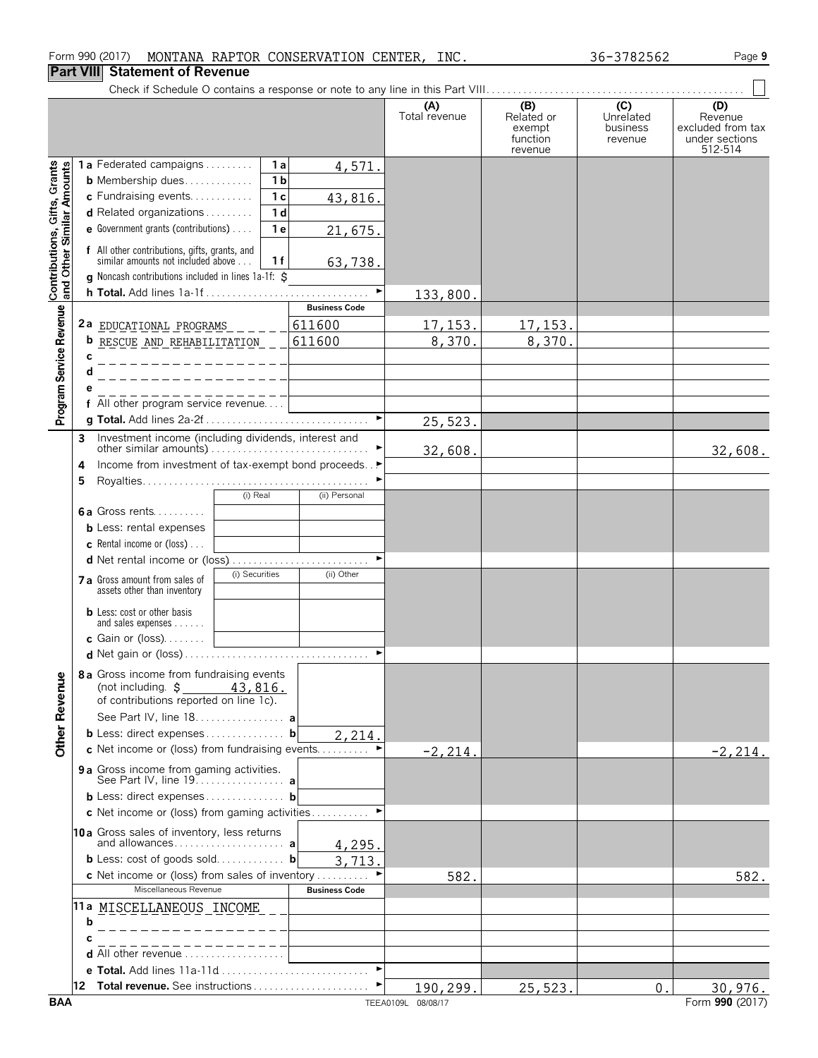# **Part VIII Statement of Revenue**

|                                                           |        | יטוווטווי טו ווע                                                                                                         |                       |                      |                                                    |                                         |                                                                  |
|-----------------------------------------------------------|--------|--------------------------------------------------------------------------------------------------------------------------|-----------------------|----------------------|----------------------------------------------------|-----------------------------------------|------------------------------------------------------------------|
|                                                           |        |                                                                                                                          |                       | (A)<br>Total revenue | (B)<br>Related or<br>exempt<br>function<br>revenue | (C)<br>Unrelated<br>business<br>revenue | (D)<br>Revenue<br>excluded from tax<br>under sections<br>512-514 |
| Contributions, Gifts, Grants<br>and Other Similar Amounts |        | 1a Federated campaigns<br>1 a                                                                                            | 4,571.                |                      |                                                    |                                         |                                                                  |
|                                                           |        | <b>b</b> Membership dues<br>1 <sub>b</sub>                                                                               |                       |                      |                                                    |                                         |                                                                  |
|                                                           |        | c Fundraising events<br>1 <sub>c</sub><br>d Related organizations<br>1 <sub>d</sub>                                      | 43,816.               |                      |                                                    |                                         |                                                                  |
|                                                           |        | <b>e</b> Government grants (contributions) $\ldots$<br>1 <sub>e</sub>                                                    | 21,675.               |                      |                                                    |                                         |                                                                  |
|                                                           |        |                                                                                                                          |                       |                      |                                                    |                                         |                                                                  |
|                                                           |        | f All other contributions, gifts, grants, and<br>similar amounts not included above<br>1 f                               | 63,738.               |                      |                                                    |                                         |                                                                  |
|                                                           |        | g Noncash contributions included in lines 1a-1f: \$                                                                      |                       |                      |                                                    |                                         |                                                                  |
|                                                           |        |                                                                                                                          |                       | 133,800.             |                                                    |                                         |                                                                  |
|                                                           |        |                                                                                                                          | <b>Business Code</b>  |                      |                                                    |                                         |                                                                  |
| Program Service Revenue                                   |        | 2a EDUCATIONAL PROGRAMS                                                                                                  | 611600                | 17, 153.             | 17, 153.                                           |                                         |                                                                  |
|                                                           |        | <b>b</b> RESCUE AND REHABILITATION                                                                                       | 611600                | 8,370.               | 8,370.                                             |                                         |                                                                  |
|                                                           | C<br>d |                                                                                                                          |                       |                      |                                                    |                                         |                                                                  |
|                                                           |        |                                                                                                                          |                       |                      |                                                    |                                         |                                                                  |
|                                                           |        | f All other program service revenue                                                                                      |                       |                      |                                                    |                                         |                                                                  |
|                                                           |        |                                                                                                                          | $\blacktriangleright$ | 25,523.              |                                                    |                                         |                                                                  |
|                                                           | 3      | Investment income (including dividends, interest and                                                                     |                       |                      |                                                    |                                         |                                                                  |
|                                                           |        |                                                                                                                          |                       | 32,608.              |                                                    |                                         | 32,608.                                                          |
|                                                           | 4      | Income from investment of tax-exempt bond proceeds. . ▶                                                                  |                       |                      |                                                    |                                         |                                                                  |
|                                                           | 5      | (i) Real                                                                                                                 | (ii) Personal         |                      |                                                    |                                         |                                                                  |
|                                                           |        | <b>6a</b> Gross rents                                                                                                    |                       |                      |                                                    |                                         |                                                                  |
|                                                           |        | <b>b</b> Less: rental expenses                                                                                           |                       |                      |                                                    |                                         |                                                                  |
|                                                           |        | <b>c</b> Rental income or (loss) $\ldots$                                                                                |                       |                      |                                                    |                                         |                                                                  |
|                                                           |        | d Net rental income or (loss)                                                                                            | ►                     |                      |                                                    |                                         |                                                                  |
|                                                           |        | (i) Securities<br>7 a Gross amount from sales of<br>assets other than inventory                                          | (ii) Other            |                      |                                                    |                                         |                                                                  |
|                                                           |        | <b>b</b> Less: cost or other basis<br>and sales expenses                                                                 |                       |                      |                                                    |                                         |                                                                  |
|                                                           |        | <b>c</b> Gain or (loss). $\ldots$                                                                                        |                       |                      |                                                    |                                         |                                                                  |
|                                                           |        |                                                                                                                          |                       |                      |                                                    |                                         |                                                                  |
| <b>Other Revenue</b>                                      |        | 8a Gross income from fundraising events<br>(not including. $\sharp$<br>43,816.<br>of contributions reported on line 1c). |                       |                      |                                                    |                                         |                                                                  |
|                                                           |        | See Part IV, line 18. a                                                                                                  |                       |                      |                                                    |                                         |                                                                  |
|                                                           |        | <b>b</b> Less: direct expenses <b>b</b>                                                                                  | 2,214.                |                      |                                                    |                                         |                                                                  |
|                                                           |        | c Net income or (loss) from fundraising events                                                                           |                       | $-2, 214.$           |                                                    |                                         | $-2, 214.$                                                       |
|                                                           |        | 9 a Gross income from gaming activities.                                                                                 |                       |                      |                                                    |                                         |                                                                  |
|                                                           |        | <b>b</b> Less: direct expenses <b>b</b>                                                                                  |                       |                      |                                                    |                                         |                                                                  |
|                                                           |        | c Net income or (loss) from gaming activities                                                                            |                       |                      |                                                    |                                         |                                                                  |
|                                                           |        | 10a Gross sales of inventory, less returns                                                                               |                       |                      |                                                    |                                         |                                                                  |
|                                                           |        |                                                                                                                          | 4,295.                |                      |                                                    |                                         |                                                                  |
|                                                           |        | <b>b</b> Less: cost of goods sold <b>b</b><br><b>c</b> Net income or (loss) from sales of inventory                      | 3,713.                |                      |                                                    |                                         |                                                                  |
|                                                           |        | Miscellaneous Revenue                                                                                                    | <b>Business Code</b>  | 582.                 |                                                    |                                         | 582.                                                             |
|                                                           |        | 11a MISCELLANEOUS INCOME                                                                                                 |                       |                      |                                                    |                                         |                                                                  |
|                                                           | b      |                                                                                                                          |                       |                      |                                                    |                                         |                                                                  |
|                                                           |        |                                                                                                                          |                       |                      |                                                    |                                         |                                                                  |
|                                                           |        | d All other revenue                                                                                                      |                       |                      |                                                    |                                         |                                                                  |
|                                                           |        |                                                                                                                          |                       |                      |                                                    |                                         |                                                                  |
|                                                           |        |                                                                                                                          |                       | 190,299.             | 25,523.                                            | 0.                                      | 30,976.                                                          |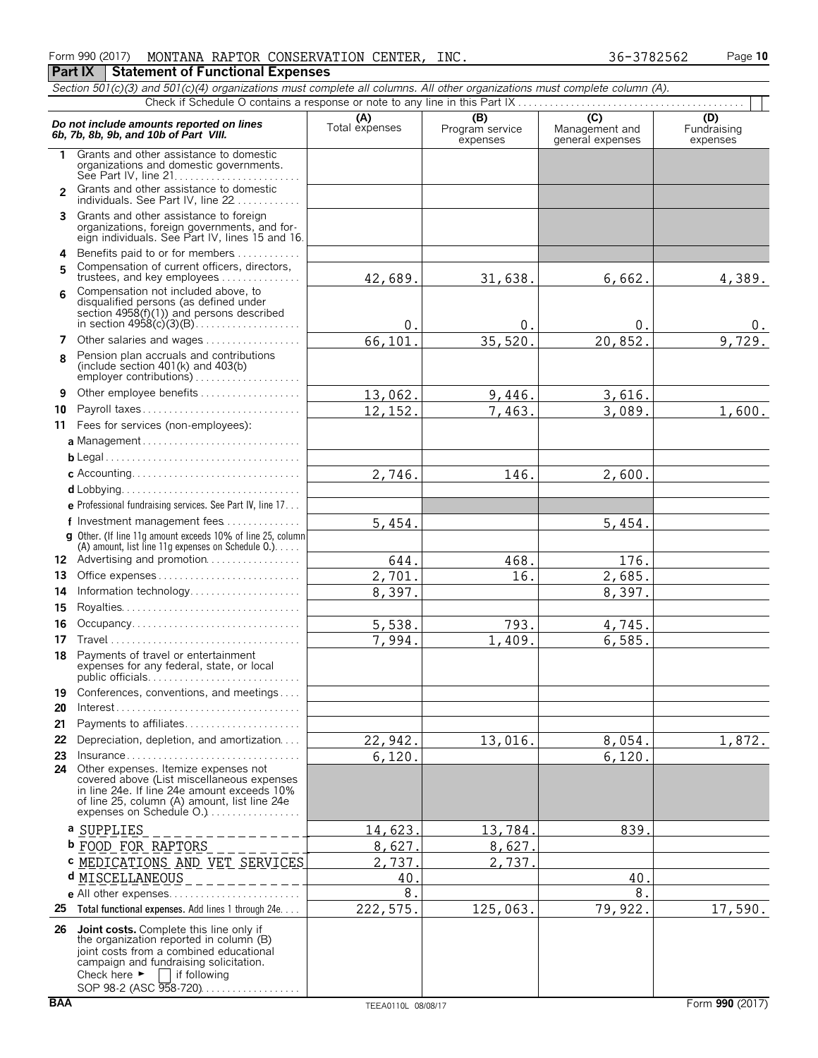|  |  | Form 990 (2017) MONTANA RAPTOR CONSERVATION CENTER, | INC. | 36-3782562 | Page 10 |
|--|--|-----------------------------------------------------|------|------------|---------|
|  |  | <b>Part IX   Statement of Functional Expenses</b>   |      |            |         |

|           | Section 501(c)(3) and 501(c)(4) organizations must complete all columns. All other organizations must complete column (A).                                                                                                                            |                       |                             |                                    |                         |
|-----------|-------------------------------------------------------------------------------------------------------------------------------------------------------------------------------------------------------------------------------------------------------|-----------------------|-----------------------------|------------------------------------|-------------------------|
|           |                                                                                                                                                                                                                                                       |                       | (B)                         | $\overline{C}$                     | (D)                     |
|           | Do not include amounts reported on lines<br>6b, 7b, 8b, 9b, and 10b of Part VIII.                                                                                                                                                                     | (A)<br>Total expenses | Program service<br>expenses | Management and<br>general expenses | Fundraising<br>expenses |
| 1.        | Grants and other assistance to domestic<br>organizations and domestic governments.                                                                                                                                                                    |                       |                             |                                    |                         |
|           | 2 Grants and other assistance to domestic<br>individuals. See Part IV, line 22                                                                                                                                                                        |                       |                             |                                    |                         |
| 3         | Grants and other assistance to foreign<br>organizations, foreign governments, and for-<br>eign individuals. See Part IV, lines 15 and 16.                                                                                                             |                       |                             |                                    |                         |
| 4         | Benefits paid to or for members                                                                                                                                                                                                                       |                       |                             |                                    |                         |
| 5         | Compensation of current officers, directors,<br>trustees, and key employees                                                                                                                                                                           | 42,689.               | 31,638.                     | 6,662.                             | 4,389.                  |
| <b>б.</b> | Compensation not included above, to                                                                                                                                                                                                                   |                       |                             |                                    |                         |
|           | disqualified persons (as defined under<br>section $4958(f)(1)$ ) and persons described                                                                                                                                                                | $\mathbf{0}$          | 0                           | 0                                  | $0_{\leftarrow}$        |
| 7         | Other salaries and wages                                                                                                                                                                                                                              | 66,101                | 35,520                      | 20,852                             | 9,729.                  |
| 8         | Pension plan accruals and contributions<br>(include section $401(k)$ and $403(b)$<br>employer contributions)                                                                                                                                          |                       |                             |                                    |                         |
| 9         | Other employee benefits                                                                                                                                                                                                                               | 13,062.               | 9,446.                      | 3,616.                             |                         |
| 10        | Payroll taxes                                                                                                                                                                                                                                         | 12,152.               | 7,463.                      | 3,089.                             | 1,600.                  |
| 11        | Fees for services (non-employees):                                                                                                                                                                                                                    |                       |                             |                                    |                         |
|           | a Management                                                                                                                                                                                                                                          |                       |                             |                                    |                         |
|           |                                                                                                                                                                                                                                                       |                       |                             |                                    |                         |
|           |                                                                                                                                                                                                                                                       | 2,746.                | 146.                        | 2,600.                             |                         |
|           |                                                                                                                                                                                                                                                       |                       |                             |                                    |                         |
|           | <b>e</b> Professional fundraising services. See Part IV, line 17                                                                                                                                                                                      |                       |                             |                                    |                         |
|           | f Investment management fees                                                                                                                                                                                                                          | 5,454.                |                             | 5,454.                             |                         |
|           | g Other. (If line 11g amount exceeds 10% of line 25, column<br>(A) amount, list line 11g expenses on Schedule 0.)                                                                                                                                     |                       |                             |                                    |                         |
|           | 12 Advertising and promotion                                                                                                                                                                                                                          | 644.                  | 468.                        | 176.                               |                         |
| 13        | Office expenses                                                                                                                                                                                                                                       | 2,701.                | 16.                         | 2,685.                             |                         |
| 14        | Information technology                                                                                                                                                                                                                                | 8,397.                |                             | 8,397.                             |                         |
| 15        |                                                                                                                                                                                                                                                       |                       |                             |                                    |                         |
| 16        | Occupancy                                                                                                                                                                                                                                             | 5,538.                | 793.                        | 4,745.                             |                         |
| 17        |                                                                                                                                                                                                                                                       | 7,994.                | 1,409.                      | 6,585.                             |                         |
| 18        | Payments of travel or entertainment<br>expenses for any federal, state, or local<br>public officials                                                                                                                                                  |                       |                             |                                    |                         |
| 19        | Conferences, conventions, and meetings                                                                                                                                                                                                                |                       |                             |                                    |                         |
| 20        |                                                                                                                                                                                                                                                       |                       |                             |                                    |                         |
| 21        | Payments to affiliates                                                                                                                                                                                                                                |                       |                             |                                    |                         |
| 22        | Depreciation, depletion, and amortization                                                                                                                                                                                                             | 22,942.               | 13,016.                     | 8,054.                             | 1,872.                  |
| 23        | $Insurance \ldots \ldots \ldots \ldots \ldots \ldots \ldots \ldots \ldots$                                                                                                                                                                            | 6,120.                |                             | 6,120.                             |                         |
| 24        | Other expenses. Itemize expenses not<br>covered above (List miscellaneous expenses<br>in line 24e. If line 24e amount exceeds 10%<br>of line 25, column (A) amount, list line 24e<br>expenses on Schedule O.)                                         |                       |                             |                                    |                         |
|           | a SUPPLIES                                                                                                                                                                                                                                            | 14,623                | 13,784.                     | 839                                |                         |
|           | <b>b</b> FOOD FOR RAPTORS                                                                                                                                                                                                                             | 8,627                 | 8,627                       |                                    |                         |
|           | <b>C MEDICATIONS AND VET SERVICES</b>                                                                                                                                                                                                                 | 2,737                 | 2,737                       |                                    |                         |
|           | d MISCELLANEOUS                                                                                                                                                                                                                                       | 40                    |                             | 40                                 |                         |
|           |                                                                                                                                                                                                                                                       | 8 <sub>1</sub>        |                             | 8 <sub>1</sub>                     |                         |
| 25        | Total functional expenses. Add lines 1 through 24e                                                                                                                                                                                                    | 222, 575.             | 125,063.                    | 79,922.                            | 17,590.                 |
| 26        | Joint costs. Complete this line only if<br>the organization reported in column (B)<br>joint costs from a combined educational<br>campaign and fundraising solicitation.<br>Check here $\blacktriangleright$<br>if following<br>SOP 98-2 (ASC 958-720) |                       |                             |                                    |                         |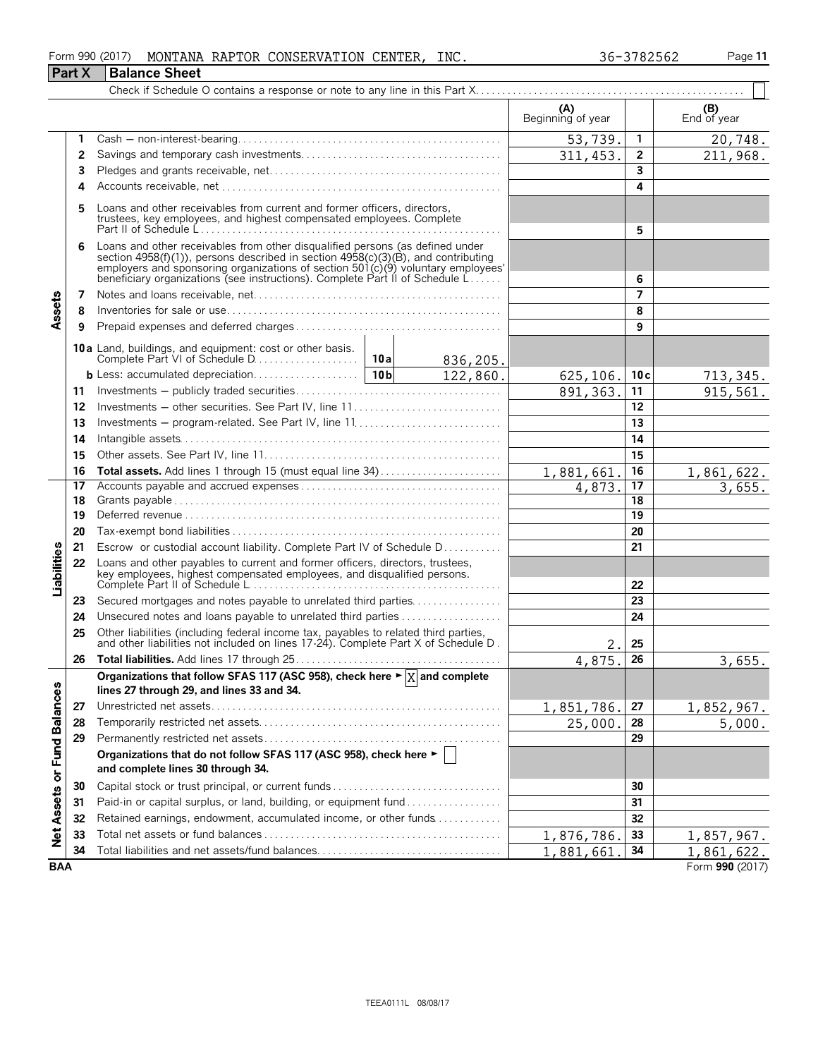#### Form 990 (2017) MONTANA RAPTOR CONSERVATION CENTER, INC. 36-3782562 Page 11 **Part X** Balance Sheet

|                             |    |                                                                                                                                                                                                                                                                                                                                                |  |                     | (A)<br>Beginning of year |                 | (B)<br>End of year |
|-----------------------------|----|------------------------------------------------------------------------------------------------------------------------------------------------------------------------------------------------------------------------------------------------------------------------------------------------------------------------------------------------|--|---------------------|--------------------------|-----------------|--------------------|
|                             |    |                                                                                                                                                                                                                                                                                                                                                |  |                     |                          |                 |                    |
|                             | 1  |                                                                                                                                                                                                                                                                                                                                                |  |                     | 53,739.                  | $\mathbf{1}$    | 20,748.            |
|                             | 2  |                                                                                                                                                                                                                                                                                                                                                |  |                     | 311, 453.                | $\mathbf{2}$    | 211,968.           |
|                             | 3  |                                                                                                                                                                                                                                                                                                                                                |  | 3                   |                          |                 |                    |
|                             | 4  |                                                                                                                                                                                                                                                                                                                                                |  |                     |                          | 4               |                    |
|                             | 5  | Loans and other receivables from current and former officers, directors,<br>trustees, key employees, and highest compensated employees. Complete                                                                                                                                                                                               |  |                     |                          |                 |                    |
|                             |    |                                                                                                                                                                                                                                                                                                                                                |  | 5                   |                          |                 |                    |
|                             | 6  | Loans and other receivables from other disqualified persons (as defined under<br>section $4958(f)(1)$ ), persons described in section $4958(c)(3)(B)$ , and contributing<br>employers and sponsoring organizations of section $501(c)(9)$ voluntary employees'<br>beneficiary organizations (see instructions). Complete Part II of Schedule L |  |                     |                          | 6               |                    |
|                             | 7  |                                                                                                                                                                                                                                                                                                                                                |  |                     |                          | $\overline{7}$  |                    |
| Assets                      | 8  |                                                                                                                                                                                                                                                                                                                                                |  |                     |                          | 8               |                    |
|                             | 9  |                                                                                                                                                                                                                                                                                                                                                |  |                     |                          | 9               |                    |
|                             |    | 10a Land, buildings, and equipment: cost or other basis.                                                                                                                                                                                                                                                                                       |  | 836,205.            |                          |                 |                    |
|                             |    |                                                                                                                                                                                                                                                                                                                                                |  | $\frac{122,860}{.}$ | 625,106.                 | 10c             | 713,345.           |
|                             | 11 |                                                                                                                                                                                                                                                                                                                                                |  |                     | 891, 363.                | 11              | 915,561.           |
|                             | 12 | Investments - other securities. See Part IV, line 11                                                                                                                                                                                                                                                                                           |  |                     |                          | 12              |                    |
|                             | 13 |                                                                                                                                                                                                                                                                                                                                                |  |                     |                          | 13              |                    |
|                             | 14 |                                                                                                                                                                                                                                                                                                                                                |  |                     |                          | 14              |                    |
|                             | 15 |                                                                                                                                                                                                                                                                                                                                                |  | 15                  |                          |                 |                    |
|                             | 16 | Total assets. Add lines 1 through 15 (must equal line 34)                                                                                                                                                                                                                                                                                      |  |                     | 1,881,661.               | 16              | 1,861,622.         |
|                             | 17 |                                                                                                                                                                                                                                                                                                                                                |  |                     | 4,873.                   | $\overline{17}$ | 3,655.             |
|                             | 18 |                                                                                                                                                                                                                                                                                                                                                |  | 18                  |                          |                 |                    |
|                             | 19 |                                                                                                                                                                                                                                                                                                                                                |  |                     |                          | 19              |                    |
|                             | 20 |                                                                                                                                                                                                                                                                                                                                                |  |                     |                          | 20              |                    |
|                             | 21 | Escrow or custodial account liability. Complete Part IV of Schedule D                                                                                                                                                                                                                                                                          |  |                     |                          | 21              |                    |
| <b>Liabilities</b>          | 22 | Loans and other payables to current and former officers, directors, trustees,<br>key employees, highest compensated employees, and disqualified persons.                                                                                                                                                                                       |  |                     |                          | 22              |                    |
|                             | 23 | Secured mortgages and notes payable to unrelated third parties                                                                                                                                                                                                                                                                                 |  |                     |                          | 23              |                    |
|                             | 24 |                                                                                                                                                                                                                                                                                                                                                |  |                     |                          | 24              |                    |
|                             | 25 | Other liabilities (including federal income tax, payables to related third parties, and other liabilities not included on lines 17-24). Complete Part X of Schedule D.                                                                                                                                                                         |  |                     | 2.                       | 25              |                    |
|                             | 26 |                                                                                                                                                                                                                                                                                                                                                |  |                     | 4,875.                   | 26              | 3,655.             |
|                             |    | Organizations that follow SFAS 117 (ASC 958), check here $\blacktriangleright \boxed{X}$ and complete                                                                                                                                                                                                                                          |  |                     |                          |                 |                    |
|                             |    | lines 27 through 29, and lines 33 and 34.                                                                                                                                                                                                                                                                                                      |  |                     |                          |                 |                    |
|                             | 27 |                                                                                                                                                                                                                                                                                                                                                |  |                     | 1,851,786.               | 27              | 1,852,967.         |
|                             | 28 |                                                                                                                                                                                                                                                                                                                                                |  |                     | 25,000.                  | 28              | 5,000.             |
|                             | 29 |                                                                                                                                                                                                                                                                                                                                                |  |                     |                          | 29              |                    |
| Net Assets or Fund Balances |    | Organizations that do not follow SFAS 117 (ASC 958), check here ►  <br>and complete lines 30 through 34.                                                                                                                                                                                                                                       |  |                     |                          |                 |                    |
|                             | 30 | Capital stock or trust principal, or current funds                                                                                                                                                                                                                                                                                             |  |                     | 30                       |                 |                    |
|                             | 31 | Paid-in or capital surplus, or land, building, or equipment fund                                                                                                                                                                                                                                                                               |  |                     |                          | 31              |                    |
|                             | 32 | Retained earnings, endowment, accumulated income, or other funds                                                                                                                                                                                                                                                                               |  |                     |                          | 32              |                    |
|                             | 33 |                                                                                                                                                                                                                                                                                                                                                |  |                     | 1,876,786.               | 33              | 1,857,967.         |
|                             | 34 | Total liabilities and net assets/fund balances                                                                                                                                                                                                                                                                                                 |  |                     | 1,881,661                | 34              | 1,861,622.         |
| <b>BAA</b>                  |    |                                                                                                                                                                                                                                                                                                                                                |  |                     |                          |                 | Form 990 (2017)    |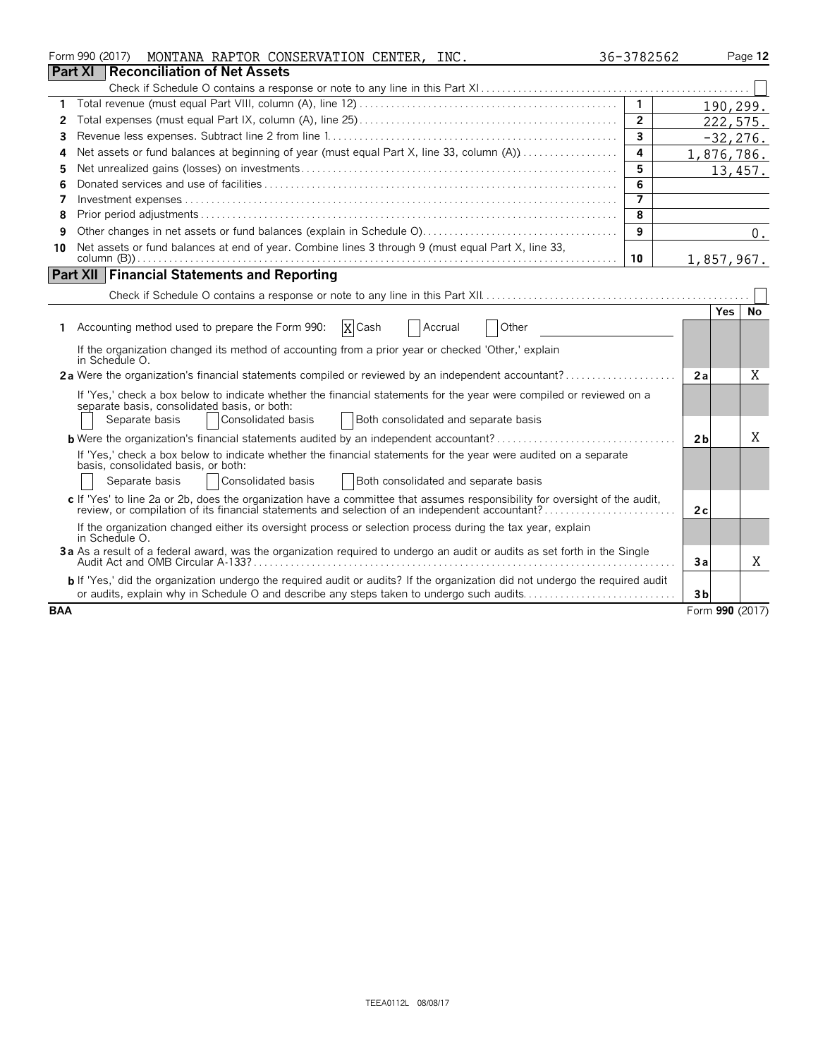|            | Form 990 (2017)<br>MONTANA RAPTOR CONSERVATION CENTER, INC.                                                                                                          | 36-3782562     |                 | Page 12     |
|------------|----------------------------------------------------------------------------------------------------------------------------------------------------------------------|----------------|-----------------|-------------|
|            | <b>Part XI</b><br>Reconciliation of Net Assets                                                                                                                       |                |                 |             |
|            |                                                                                                                                                                      |                |                 |             |
| 1          |                                                                                                                                                                      | $\overline{1}$ |                 | 190,299.    |
| 2          |                                                                                                                                                                      | $\overline{2}$ |                 | 222,575.    |
| 3          |                                                                                                                                                                      | 3              |                 | $-32, 276.$ |
| 4          | Net assets or fund balances at beginning of year (must equal Part X, line 33, column (A))                                                                            | 4              | 1,876,786.      |             |
| 5          |                                                                                                                                                                      | 5              |                 | 13,457.     |
| 6          |                                                                                                                                                                      | 6              |                 |             |
| 7          |                                                                                                                                                                      | 7              |                 |             |
| 8          |                                                                                                                                                                      | 8              |                 |             |
| 9          |                                                                                                                                                                      | 9              |                 | $0$ .       |
| 10         | Net assets or fund balances at end of year. Combine lines 3 through 9 (must equal Part X, line 33,                                                                   | 10             | 1,857,967.      |             |
|            | <b>Part XII Financial Statements and Reporting</b>                                                                                                                   |                |                 |             |
|            |                                                                                                                                                                      |                |                 |             |
|            |                                                                                                                                                                      |                | Yes.            | No          |
| 1.         | X Cash<br>Accounting method used to prepare the Form 990:<br>Other<br>Accrual                                                                                        |                |                 |             |
|            | If the organization changed its method of accounting from a prior year or checked 'Other,' explain<br>in Schedule O.                                                 |                |                 |             |
|            | 2a Were the organization's financial statements compiled or reviewed by an independent accountant?                                                                   |                | 2a              | Χ           |
|            | If 'Yes,' check a box below to indicate whether the financial statements for the year were compiled or reviewed on a<br>separate basis, consolidated basis, or both: |                |                 |             |
|            | Consolidated basis<br>Both consolidated and separate basis<br>Separate basis                                                                                         |                |                 |             |
|            | <b>b</b> Were the organization's financial statements audited by an independent accountant?                                                                          |                | 2 <sub>b</sub>  | X           |
|            | If 'Yes,' check a box below to indicate whether the financial statements for the year were audited on a separate<br>basis, consolidated basis, or both:              |                |                 |             |
|            | Consolidated basis<br>Separate basis<br>Both consolidated and separate basis                                                                                         |                |                 |             |
|            | c If 'Yes' to line 2a or 2b, does the organization have a committee that assumes responsibility for oversight of the audit,                                          |                | 2c              |             |
|            | If the organization changed either its oversight process or selection process during the tax year, explain<br>in Schedule O.                                         |                |                 |             |
|            | 3a As a result of a federal award, was the organization required to undergo an audit or audits as set forth in the Single                                            |                | За              | X           |
|            | b If 'Yes,' did the organization undergo the required audit or audits? If the organization did not undergo the required audit                                        |                |                 |             |
|            | or audits, explain why in Schedule O and describe any steps taken to undergo such audits                                                                             |                | 3 <sub>b</sub>  |             |
| <b>BAA</b> |                                                                                                                                                                      |                | Form 990 (2017) |             |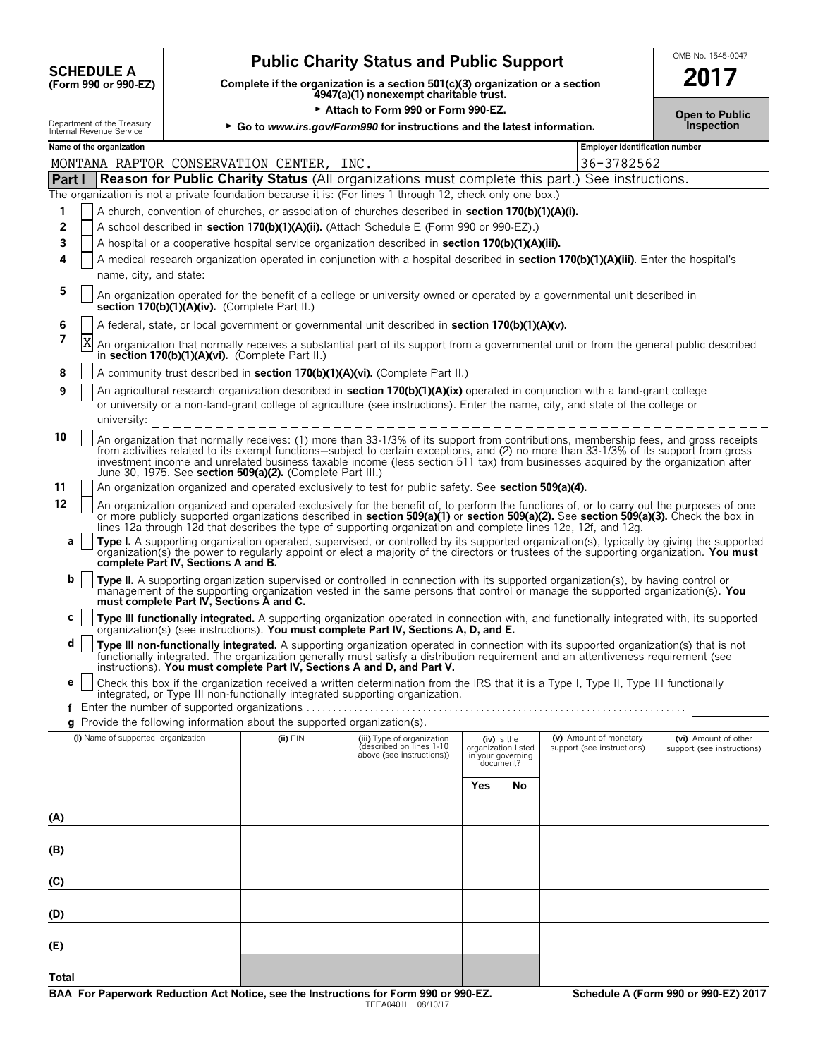| <b>SCHEDULE A</b>                               |
|-------------------------------------------------|
| $(T_{\alpha\mu m}$ 000 $_{\alpha\nu}$ 000 $E$ 7 |

# **Public Charity Status and Public Support**<br> **Plete if the organization is a section 501(c)(3) organization or a section**

**COMPRESCHEDULE A**<br>
(Form 990 or 990-EZ) Complete if the organization is a section 501(c)(3) organization or a section<br>
4947(a)(1) nonexempt charitable trust.

|                                                        | ► Attach to Form 990 or Form 990-EZ.                                     | <b>Open to Public</b> |
|--------------------------------------------------------|--------------------------------------------------------------------------|-----------------------|
| Department of the Treasury<br>Internal Revenue Service | ► Go to www.irs.gov/Form990 for instructions and the latest information. | <b>Inspection</b>     |

|        | Name of the organization<br>Employer identification number |                                                                                                                                                                                                                                                                                                                                                                                                                                                                                  |            |                                                                                    |                                                                      |    |                                                      |                                                    |  |
|--------|------------------------------------------------------------|----------------------------------------------------------------------------------------------------------------------------------------------------------------------------------------------------------------------------------------------------------------------------------------------------------------------------------------------------------------------------------------------------------------------------------------------------------------------------------|------------|------------------------------------------------------------------------------------|----------------------------------------------------------------------|----|------------------------------------------------------|----------------------------------------------------|--|
|        |                                                            | MONTANA RAPTOR CONSERVATION CENTER, INC.                                                                                                                                                                                                                                                                                                                                                                                                                                         |            |                                                                                    |                                                                      |    | 36-3782562                                           |                                                    |  |
| Part I |                                                            | Reason for Public Charity Status (All organizations must complete this part.) See instructions.                                                                                                                                                                                                                                                                                                                                                                                  |            |                                                                                    |                                                                      |    |                                                      |                                                    |  |
|        |                                                            | The organization is not a private foundation because it is: (For lines 1 through 12, check only one box.)                                                                                                                                                                                                                                                                                                                                                                        |            |                                                                                    |                                                                      |    |                                                      |                                                    |  |
| 1      |                                                            | A church, convention of churches, or association of churches described in section 170(b)(1)(A)(i).                                                                                                                                                                                                                                                                                                                                                                               |            |                                                                                    |                                                                      |    |                                                      |                                                    |  |
| 2      |                                                            | A school described in section 170(b)(1)(A)(ii). (Attach Schedule E (Form 990 or 990-EZ).)                                                                                                                                                                                                                                                                                                                                                                                        |            |                                                                                    |                                                                      |    |                                                      |                                                    |  |
| 3      |                                                            | A hospital or a cooperative hospital service organization described in section 170(b)(1)(A)(iii).                                                                                                                                                                                                                                                                                                                                                                                |            |                                                                                    |                                                                      |    |                                                      |                                                    |  |
| 4      |                                                            | A medical research organization operated in conjunction with a hospital described in section 170(b)(1)(A)(iii). Enter the hospital's<br>name, city, and state:                                                                                                                                                                                                                                                                                                                   |            |                                                                                    |                                                                      |    |                                                      |                                                    |  |
| 5      |                                                            | An organization operated for the benefit of a college or university owned or operated by a governmental unit described in                                                                                                                                                                                                                                                                                                                                                        |            |                                                                                    |                                                                      |    |                                                      |                                                    |  |
| 6      |                                                            | section 170(b)(1)(A)(iv). (Complete Part II.)<br>A federal, state, or local government or governmental unit described in section 170(b)(1)(A)(v).                                                                                                                                                                                                                                                                                                                                |            |                                                                                    |                                                                      |    |                                                      |                                                    |  |
| 7      | Χ                                                          |                                                                                                                                                                                                                                                                                                                                                                                                                                                                                  |            |                                                                                    |                                                                      |    |                                                      |                                                    |  |
|        |                                                            | An organization that normally receives a substantial part of its support from a governmental unit or from the general public described<br>in section 170(b)(1)(A)(vi). (Complete Part II.)                                                                                                                                                                                                                                                                                       |            |                                                                                    |                                                                      |    |                                                      |                                                    |  |
| 8      |                                                            | A community trust described in section 170(b)(1)(A)(vi). (Complete Part II.)                                                                                                                                                                                                                                                                                                                                                                                                     |            |                                                                                    |                                                                      |    |                                                      |                                                    |  |
| 9      |                                                            | An agricultural research organization described in section 170(b)(1)(A)(ix) operated in conjunction with a land-grant college<br>or university or a non-land-grant college of agriculture (see instructions). Enter the name, city, and state of the college or<br>university:                                                                                                                                                                                                   |            |                                                                                    |                                                                      |    |                                                      |                                                    |  |
| 10     |                                                            | An organization that normally receives: (1) more than 33-1/3% of its support from contributions, membership fees, and gross receipts<br>from activities related to its exempt functions—subject to certain exceptions, and (2) no more than 33-1/3% of its support from gross<br>investment income and unrelated business taxable income (less section 511 tax) from businesses acquired by the organization after<br>June 30, 1975. See section 509(a)(2). (Complete Part III.) |            |                                                                                    |                                                                      |    |                                                      |                                                    |  |
| 11     |                                                            | An organization organized and operated exclusively to test for public safety. See section 509(a)(4).                                                                                                                                                                                                                                                                                                                                                                             |            |                                                                                    |                                                                      |    |                                                      |                                                    |  |
| 12     |                                                            | An organization organized and operated exclusively for the benefit of, to perform the functions of, or to carry out the purposes of one<br>or more publicly supported organizations described in section 509(a)(1) or section 509(a)(2). See section 509(a)(3). Check the box in<br>lines 12a through 12d that describes the type of supporting organization and complete lines 12e, 12f, and 12g.                                                                               |            |                                                                                    |                                                                      |    |                                                      |                                                    |  |
| a      |                                                            | Type I. A supporting organization operated, supervised, or controlled by its supported organization(s), typically by giving the supported<br>organization(s) the power to regularly appoint or elect a majority of the directors or trustees of the supporting organization. You must<br>complete Part IV, Sections A and B.                                                                                                                                                     |            |                                                                                    |                                                                      |    |                                                      |                                                    |  |
| b      |                                                            | Type II. A supporting organization supervised or controlled in connection with its supported organization(s), by having control or<br>management of the supporting organization vested in the same persons that control or manage the supported organization(s). You<br>must complete Part IV, Sections A and C.                                                                                                                                                                 |            |                                                                                    |                                                                      |    |                                                      |                                                    |  |
| С      |                                                            | Type III functionally integrated. A supporting organization operated in connection with, and functionally integrated with, its supported<br>organization(s) (see instructions). You must complete Part IV, Sections A, D, and E.                                                                                                                                                                                                                                                 |            |                                                                                    |                                                                      |    |                                                      |                                                    |  |
| d      |                                                            | Type III non-functionally integrated. A supporting organization operated in connection with its supported organization(s) that is not<br>functionally integrated. The organization generally must satisfy a distribution requirement and an attentiveness requirement (see<br>instructions). You must complete Part IV, Sections A and D, and Part V.                                                                                                                            |            |                                                                                    |                                                                      |    |                                                      |                                                    |  |
| е      |                                                            | Check this box if the organization received a written determination from the IRS that it is a Type I, Type II, Type III functionally<br>integrated, or Type III non-functionally integrated supporting organization.                                                                                                                                                                                                                                                             |            |                                                                                    |                                                                      |    |                                                      |                                                    |  |
| f      |                                                            |                                                                                                                                                                                                                                                                                                                                                                                                                                                                                  |            |                                                                                    |                                                                      |    |                                                      |                                                    |  |
| a      |                                                            | Provide the following information about the supported organization(s).                                                                                                                                                                                                                                                                                                                                                                                                           |            |                                                                                    |                                                                      |    |                                                      |                                                    |  |
|        |                                                            | (i) Name of supported organization                                                                                                                                                                                                                                                                                                                                                                                                                                               | (ii) $EIN$ | (iii) Type of organization<br>described on lines 1-10<br>above (see instructions)) | (iv) is the<br>organization listed<br>in your governing<br>document? |    | (v) Amount of monetary<br>support (see instructions) | (vi) Amount of other<br>support (see instructions) |  |
|        |                                                            |                                                                                                                                                                                                                                                                                                                                                                                                                                                                                  |            |                                                                                    | Yes                                                                  | No |                                                      |                                                    |  |
|        |                                                            |                                                                                                                                                                                                                                                                                                                                                                                                                                                                                  |            |                                                                                    |                                                                      |    |                                                      |                                                    |  |
| (A)    |                                                            |                                                                                                                                                                                                                                                                                                                                                                                                                                                                                  |            |                                                                                    |                                                                      |    |                                                      |                                                    |  |
| (B)    |                                                            |                                                                                                                                                                                                                                                                                                                                                                                                                                                                                  |            |                                                                                    |                                                                      |    |                                                      |                                                    |  |
| (C)    |                                                            |                                                                                                                                                                                                                                                                                                                                                                                                                                                                                  |            |                                                                                    |                                                                      |    |                                                      |                                                    |  |
| (D)    |                                                            |                                                                                                                                                                                                                                                                                                                                                                                                                                                                                  |            |                                                                                    |                                                                      |    |                                                      |                                                    |  |
| (E)    |                                                            |                                                                                                                                                                                                                                                                                                                                                                                                                                                                                  |            |                                                                                    |                                                                      |    |                                                      |                                                    |  |
|        |                                                            |                                                                                                                                                                                                                                                                                                                                                                                                                                                                                  |            |                                                                                    |                                                                      |    |                                                      |                                                    |  |
| Total  |                                                            |                                                                                                                                                                                                                                                                                                                                                                                                                                                                                  |            |                                                                                    |                                                                      |    |                                                      |                                                    |  |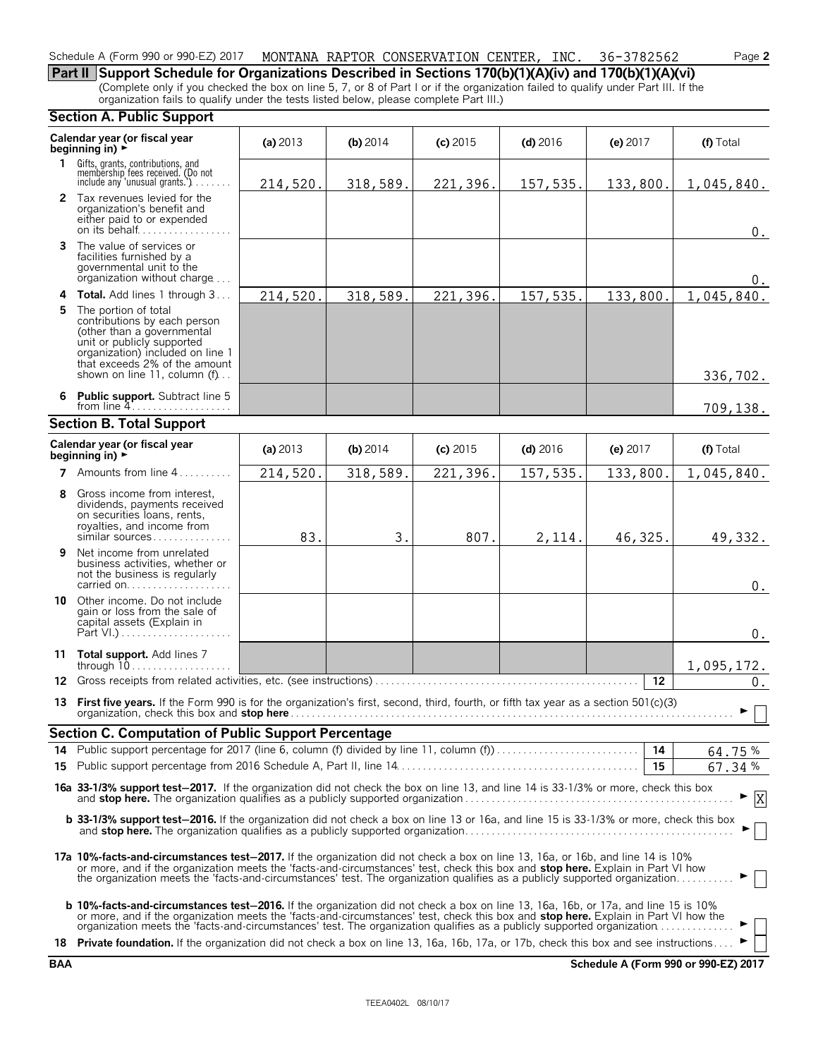#### Schedule A (Form 990 or 990-EZ) 2017 MONTANA RAPTOR CONSERVATION CENTER, INC. 36-3782562 Page **2**

**Part II Support Schedule for Organizations Described in Sections 170(b)(1)(A)(iv) and 170(b)(1)(A)(vi)** (Complete only if you checked the box on line 5, 7, or 8 of Part I or if the organization failed to qualify under Part III. If the organization fails to qualify under the tests listed below, please complete Part III.)

#### **Section A. Public Support**

|    | seegan An asiic sapport                                                                                                                                                                                                                                                                                                                                                                                          |            |            |            |            |            |               |  |
|----|------------------------------------------------------------------------------------------------------------------------------------------------------------------------------------------------------------------------------------------------------------------------------------------------------------------------------------------------------------------------------------------------------------------|------------|------------|------------|------------|------------|---------------|--|
|    | Calendar year (or fiscal year<br>beginning in) $\blacktriangleright$                                                                                                                                                                                                                                                                                                                                             | (a) $2013$ | $(b)$ 2014 | $(c)$ 2015 | $(d)$ 2016 | (e) 2017   | (f) Total     |  |
|    | 1 Gifts, grants, contributions, and<br>membership fees received. (Do not<br>include any 'unusual grants.')                                                                                                                                                                                                                                                                                                       | 214,520.   | 318,589.   | 221,396.   | 157,535.   | 133,800.   | 1,045,840.    |  |
|    | 2 Tax revenues levied for the<br>organization's benefit and<br>either paid to or expended<br>on its behalf                                                                                                                                                                                                                                                                                                       |            |            |            |            |            | 0.            |  |
|    | 3 The value of services or<br>facilities furnished by a<br>governmental unit to the<br>organization without charge                                                                                                                                                                                                                                                                                               |            |            |            |            |            | 0.            |  |
|    | <b>4 Total.</b> Add lines 1 through 3                                                                                                                                                                                                                                                                                                                                                                            | 214,520.   | 318,589.   | 221,396.   | 157,535.   | 133,800.   | 1,045,840.    |  |
| 5. | The portion of total<br>contributions by each person<br>(other than a governmental<br>unit or publicly supported<br>organization) included on line 1<br>that exceeds 2% of the amount<br>shown on line 11, column (f)                                                                                                                                                                                            |            |            |            |            |            | 336,702.      |  |
|    | 6 Public support. Subtract line 5<br>from line $4$                                                                                                                                                                                                                                                                                                                                                               |            |            |            |            |            | 709,138.      |  |
|    | <b>Section B. Total Support</b>                                                                                                                                                                                                                                                                                                                                                                                  |            |            |            |            |            |               |  |
|    | Calendar year (or fiscal year<br>beginning in) $\blacktriangleright$                                                                                                                                                                                                                                                                                                                                             | (a) $2013$ | (b) 2014   | $(c)$ 2015 | $(d)$ 2016 | (e) $2017$ | (f) Total     |  |
|    | 7 Amounts from line $4, \ldots, \ldots$                                                                                                                                                                                                                                                                                                                                                                          | 214,520.   | 318,589.   | 221,396.   | 157,535.   | 133,800.   | 1,045,840.    |  |
| 8  | Gross income from interest,<br>dividends, payments received<br>on securities loans, rents,<br>royalties, and income from<br>similar sources                                                                                                                                                                                                                                                                      | 83.        | 3.         | 807.       | 2,114.     | 46,325.    | 49,332.       |  |
| 9. | Net income from unrelated<br>business activities, whether or<br>not the business is regularly<br>carried on                                                                                                                                                                                                                                                                                                      |            |            |            |            |            | $0$ .         |  |
| 10 | Other income. Do not include<br>gain or loss from the sale of<br>capital assets (Explain in                                                                                                                                                                                                                                                                                                                      |            |            |            |            |            | $0$ .         |  |
|    | 11 Total support. Add lines 7<br>through 10                                                                                                                                                                                                                                                                                                                                                                      |            |            |            |            |            | 1,095,172.    |  |
|    |                                                                                                                                                                                                                                                                                                                                                                                                                  |            |            |            |            | $12 \,$    | $\mathbf 0$ . |  |
|    | 13 First five years. If the Form 990 is for the organization's first, second, third, fourth, or fifth tax year as a section 501(c)(3)                                                                                                                                                                                                                                                                            |            |            |            |            |            | ▶             |  |
|    | <b>Section C. Computation of Public Support Percentage</b>                                                                                                                                                                                                                                                                                                                                                       |            |            |            |            |            |               |  |
|    | 14 Public support percentage for 2017 (line 6, column (f) divided by line 11, column (f)                                                                                                                                                                                                                                                                                                                         |            |            |            |            | 14         | 64.75%        |  |
|    |                                                                                                                                                                                                                                                                                                                                                                                                                  |            |            |            |            | 15         | 67.34%        |  |
|    | 16a 33-1/3% support test-2017. If the organization did not check the box on line 13, and line 14 is 33-1/3% or more, check this box                                                                                                                                                                                                                                                                              |            |            |            |            |            | $\mathbf{x}$  |  |
|    | b 33-1/3% support test-2016. If the organization did not check a box on line 13 or 16a, and line 15 is 33-1/3% or more, check this box                                                                                                                                                                                                                                                                           |            |            |            |            |            |               |  |
|    | 17a 10%-facts-and-circumstances test-2017. If the organization did not check a box on line 13, 16a, or 16b, and line 14 is 10%<br>or more, and if the organization meets the 'facts-and-circumstances' test, check this box and <b>stop here.</b> Explain in Part VI how<br>the organization meets the 'facts-and-circumstances' test. The organization qualifies as a publicly supported organization           |            |            |            |            |            |               |  |
|    | <b>b 10%-facts-and-circumstances test-2016.</b> If the organization did not check a box on line 13, 16a, 16b, or 17a, and line 15 is 10%<br>or more, and if the organization meets the 'facts-and-circumstances' test, check this box and <b>stop here.</b> Explain in Part VI how the<br>organization meets the 'facts-and-circumstances' test. The organization qualifies as a publicly supported organization |            |            |            |            |            |               |  |
|    | 18 Private foundation. If the organization did not check a box on line 13, 16a, 16b, 17a, or 17b, check this box and see instructions                                                                                                                                                                                                                                                                            |            |            |            |            |            |               |  |

**BAA Schedule A (Form 990 or 990-EZ) 2017**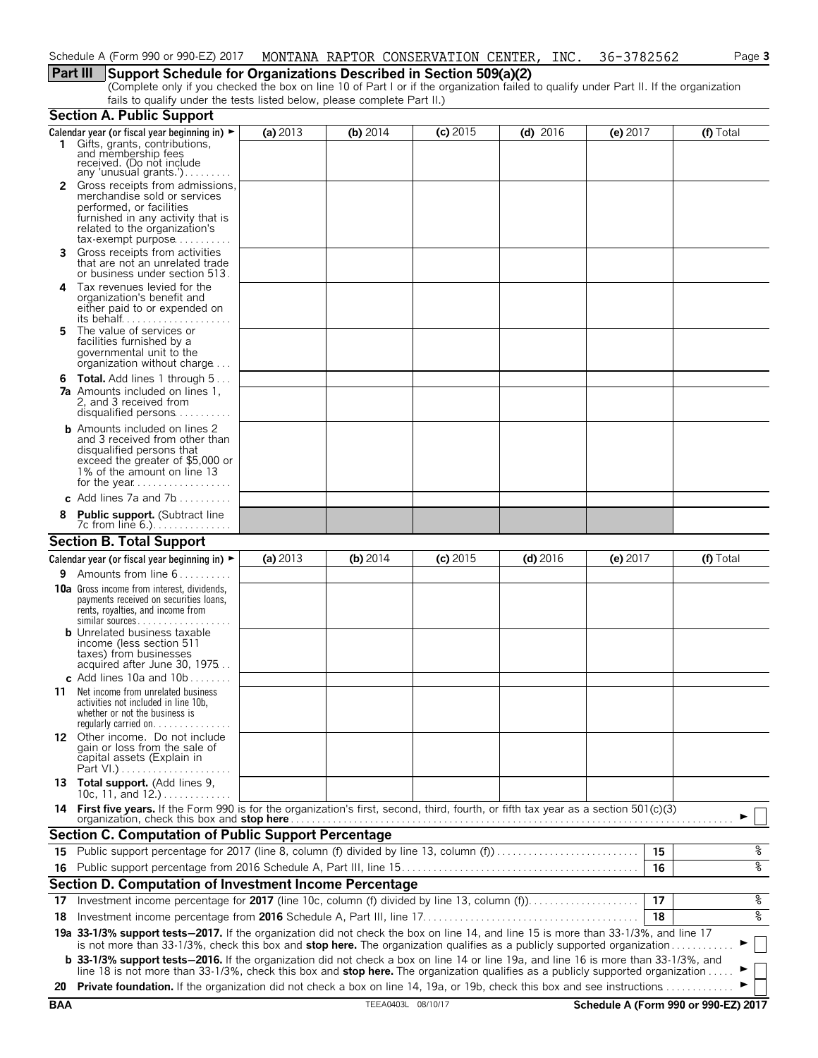### **Part III Support Schedule for Organizations Described in Section 509(a)(2)**

(Complete only if you checked the box on line 10 of Part I or if the organization failed to qualify under Part II. If the organization fails to qualify under the tests listed below, please complete Part II.)

|            | <b>Section A. Public Support</b>                                                                                                                                                                                                                                              |          |                    |            |            |                                      |           |
|------------|-------------------------------------------------------------------------------------------------------------------------------------------------------------------------------------------------------------------------------------------------------------------------------|----------|--------------------|------------|------------|--------------------------------------|-----------|
|            | Calendar year (or fiscal year beginning in) $\blacktriangleright$<br>1 Gifts, grants, contributions, and membership fees<br>received. (Do not include                                                                                                                         | (a) 2013 | (b) 2014           | $(c)$ 2015 | $(d)$ 2016 | $(e)$ 2017                           | (f) Total |
|            | any 'unusual grants.')                                                                                                                                                                                                                                                        |          |                    |            |            |                                      |           |
|            | <b>2</b> Gross receipts from admissions,<br>merchandise sold or services<br>performed, or facilities<br>furnished in any activity that is<br>related to the organization's<br>tax-exempt purpose                                                                              |          |                    |            |            |                                      |           |
| 3          | Gross receipts from activities<br>that are not an unrelated trade<br>or business under section 513.                                                                                                                                                                           |          |                    |            |            |                                      |           |
| 4          | Tax revenues levied for the<br>organization's benefit and<br>either paid to or expended on<br>its behalf                                                                                                                                                                      |          |                    |            |            |                                      |           |
| 5          | The value of services or<br>facilities furnished by a<br>governmental unit to the<br>organization without charge                                                                                                                                                              |          |                    |            |            |                                      |           |
|            | 6 Total. Add lines 1 through 5<br><b>7a</b> Amounts included on lines 1,<br>2, and 3 received from<br>disqualified persons                                                                                                                                                    |          |                    |            |            |                                      |           |
|            | <b>b</b> Amounts included on lines 2<br>and 3 received from other than<br>disqualified persons that<br>exceed the greater of \$5,000 or<br>1% of the amount on line 13                                                                                                        |          |                    |            |            |                                      |           |
|            | c Add lines 7a and 7b                                                                                                                                                                                                                                                         |          |                    |            |            |                                      |           |
|            | <b>Public support.</b> (Subtract line<br>7c from line 6.).                                                                                                                                                                                                                    |          |                    |            |            |                                      |           |
|            | <b>Section B. Total Support</b>                                                                                                                                                                                                                                               |          |                    |            |            |                                      |           |
|            | Calendar year (or fiscal year beginning in) $\blacktriangleright$                                                                                                                                                                                                             | (a) 2013 | (b) $2014$         | $(c)$ 2015 | $(d)$ 2016 | (e) $2017$                           | (f) Total |
|            | <b>9</b> Amounts from line $6 \ldots \ldots$                                                                                                                                                                                                                                  |          |                    |            |            |                                      |           |
|            | <b>10a</b> Gross income from interest, dividends,<br>payments received on securities loans,<br>rents, royalties, and income from<br>$similar$ sources<br><b>b</b> Unrelated business taxable<br>income (less section 511)                                                     |          |                    |            |            |                                      |           |
|            | taxes) from businesses<br>acquired after June 30, 1975<br>c Add lines 10a and $10b$                                                                                                                                                                                           |          |                    |            |            |                                      |           |
| 11         | Net income from unrelated business<br>activities not included in line 10b,<br>whether or not the business is<br>regularly carried on                                                                                                                                          |          |                    |            |            |                                      |           |
|            | 12 Other income. Do not include<br>gain or loss from the sale of<br>capital assets (Explain in                                                                                                                                                                                |          |                    |            |            |                                      |           |
|            | 13 Total support. (Add lines 9,<br>10c, 11, and $12.$ )                                                                                                                                                                                                                       |          |                    |            |            |                                      |           |
|            | 14 First five years. If the Form 990 is for the organization's first, second, third, fourth, or fifth tax year as a section 501(c)(3)<br>organization, check this box and stop here.                                                                                          |          |                    |            |            |                                      |           |
|            | <b>Section C. Computation of Public Support Percentage</b>                                                                                                                                                                                                                    |          |                    |            |            |                                      |           |
| 15.        | Public support percentage for 2017 (line 8, column (f) divided by line 13, column (f)                                                                                                                                                                                         |          |                    |            |            | 15                                   | နွ        |
| 16         |                                                                                                                                                                                                                                                                               |          |                    |            |            | 16                                   | %         |
|            | Section D. Computation of Investment Income Percentage                                                                                                                                                                                                                        |          |                    |            |            |                                      |           |
| 17         | Investment income percentage for 2017 (line 10c, column (f) divided by line 13, column (f))                                                                                                                                                                                   |          |                    |            |            | 17                                   | %         |
| 18         |                                                                                                                                                                                                                                                                               |          |                    |            |            | 18                                   | ್ಠಿ       |
|            | 19a 33-1/3% support tests-2017. If the organization did not check the box on line 14, and line 15 is more than 33-1/3%, and line 17<br>is not more than 33-1/3%, check this box and <b>stop here.</b> The organization qualifies as a publicly supported organization         |          |                    |            |            |                                      |           |
|            | <b>b</b> 33-1/3% support tests-2016. If the organization did not check a box on line 14 or line 19a, and line 16 is more than 33-1/3%, and<br>line 18 is not more than 33-1/3%, check this box and stop here. The organization qualifies as a publicly supported organization |          |                    |            |            |                                      |           |
| 20         | <b>Private foundation.</b> If the organization did not check a box on line 14, 19a, or 19b, check this box and see instructions                                                                                                                                               |          |                    |            |            |                                      |           |
| <b>BAA</b> |                                                                                                                                                                                                                                                                               |          | TEEA0403L 08/10/17 |            |            | Schedule A (Form 990 or 990-EZ) 2017 |           |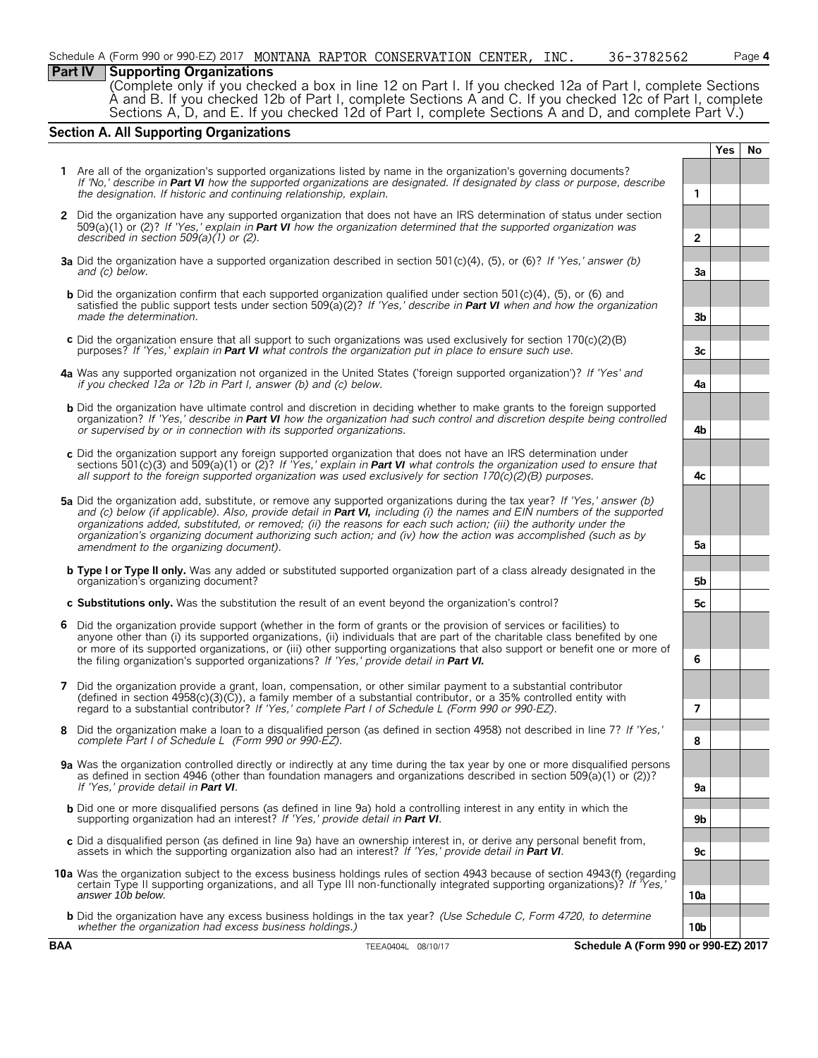#### **Part IV Supporting Organizations**

(Complete only if you checked a box in line 12 on Part I. If you checked 12a of Part I, complete Sections A and B. If you checked 12b of Part I, complete Sections A and C. If you checked 12c of Part I, complete Sections A, D, and E. If you checked 12d of Part I, complete Sections A and D, and complete Part V.)

#### **Section A. All Supporting Organizations**

|              |                                                                                                                                                                                                                                                                                                                                                                                                                                                                                                                                                 |                | <b>Yes</b> | No |  |  |  |
|--------------|-------------------------------------------------------------------------------------------------------------------------------------------------------------------------------------------------------------------------------------------------------------------------------------------------------------------------------------------------------------------------------------------------------------------------------------------------------------------------------------------------------------------------------------------------|----------------|------------|----|--|--|--|
|              | 1 Are all of the organization's supported organizations listed by name in the organization's governing documents?<br>If 'No,' describe in Part VI how the supported organizations are designated. If designated by class or purpose, describe<br>the designation. If historic and continuing relationship, explain.                                                                                                                                                                                                                             | 1              |            |    |  |  |  |
| $\mathbf{2}$ | Did the organization have any supported organization that does not have an IRS determination of status under section                                                                                                                                                                                                                                                                                                                                                                                                                            |                |            |    |  |  |  |
|              | 509(a)(1) or (2)? If 'Yes,' explain in <b>Part VI</b> how the organization determined that the supported organization was<br>described in section $509(a)(1)$ or (2).                                                                                                                                                                                                                                                                                                                                                                           | $\overline{2}$ |            |    |  |  |  |
|              |                                                                                                                                                                                                                                                                                                                                                                                                                                                                                                                                                 |                |            |    |  |  |  |
|              | <b>3a</b> Did the organization have a supported organization described in section 501(c)(4), (5), or (6)? If 'Yes,' answer (b)<br>and (c) below.                                                                                                                                                                                                                                                                                                                                                                                                | 3a             |            |    |  |  |  |
|              | <b>b</b> Did the organization confirm that each supported organization qualified under section $501(c)(4)$ . (5), or (6) and<br>satisfied the public support tests under section 509(a)(2)? If 'Yes,' describe in Part VI when and how the organization<br>made the determination.                                                                                                                                                                                                                                                              | 3b             |            |    |  |  |  |
|              | c Did the organization ensure that all support to such organizations was used exclusively for section $170(c)(2)(B)$<br>purposes? If 'Yes,' explain in <b>Part VI</b> what controls the organization put in place to ensure such use.                                                                                                                                                                                                                                                                                                           | 3c             |            |    |  |  |  |
|              | 4a Was any supported organization not organized in the United States ('foreign supported organization')? If 'Yes' and<br>if you checked 12a or 12b in Part I, answer (b) and (c) below.                                                                                                                                                                                                                                                                                                                                                         | 4a             |            |    |  |  |  |
|              | <b>b</b> Did the organization have ultimate control and discretion in deciding whether to make grants to the foreign supported<br>organization? If 'Yes,' describe in Part VI how the organization had such control and discretion despite being controlled<br>or supervised by or in connection with its supported organizations.                                                                                                                                                                                                              | 4b             |            |    |  |  |  |
|              | c Did the organization support any foreign supported organization that does not have an IRS determination under<br>sections 501(c)(3) and 509(a)(1) or (2)? If 'Yes,' explain in <b>Part VI</b> what controls the organization used to ensure that<br>all support to the foreign supported organization was used exclusively for section $170(c)(2)(B)$ purposes.                                                                                                                                                                               | 4с             |            |    |  |  |  |
|              | 5a Did the organization add, substitute, or remove any supported organizations during the tax year? If 'Yes,' answer (b)<br>and (c) below (if applicable). Also, provide detail in <b>Part VI,</b> including (i) the names and EIN numbers of the supported<br>organizations added, substituted, or removed; (ii) the reasons for each such action; (iii) the authority under the<br>organization's organizing document authorizing such action; and (iv) how the action was accomplished (such as by<br>amendment to the organizing document). | 5a             |            |    |  |  |  |
|              | <b>b</b> Type I or Type II only. Was any added or substituted supported organization part of a class already designated in the<br>organization's organizing document?                                                                                                                                                                                                                                                                                                                                                                           | 5b             |            |    |  |  |  |
|              | c Substitutions only. Was the substitution the result of an event beyond the organization's control?                                                                                                                                                                                                                                                                                                                                                                                                                                            | 5c             |            |    |  |  |  |
| 6            | Did the organization provide support (whether in the form of grants or the provision of services or facilities) to<br>anyone other than (i) its supported organizations, (ii) individuals that are part of the charitable class benefited by one<br>or more of its supported organizations, or (iii) other supporting organizations that also support or benefit one or more of                                                                                                                                                                 | 6              |            |    |  |  |  |
|              | the filing organization's supported organizations? If 'Yes,' provide detail in Part VI.                                                                                                                                                                                                                                                                                                                                                                                                                                                         |                |            |    |  |  |  |
|              | 7 Did the organization provide a grant, loan, compensation, or other similar payment to a substantial contributor<br>(defined in section $4958(c)(3)(C)$ ), a family member of a substantial contributor, or a 35% controlled entity with<br>regard to a substantial contributor? If 'Yes,' complete Part I of Schedule L (Form 990 or 990-EZ).                                                                                                                                                                                                 | $\overline{7}$ |            |    |  |  |  |
|              | Did the organization make a loan to a disqualified person (as defined in section 4958) not described in line 7? If 'Yes,'<br>complete Part I of Schedule L (Form 990 or 990-EZ).                                                                                                                                                                                                                                                                                                                                                                | 8              |            |    |  |  |  |
|              | 9a Was the organization controlled directly or indirectly at any time during the tax year by one or more disqualified persons<br>as defined in section 4946 (other than foundation managers and organizations described in section 509(a)(1) or (2))?                                                                                                                                                                                                                                                                                           |                |            |    |  |  |  |
|              | If 'Yes,' provide detail in Part VI.                                                                                                                                                                                                                                                                                                                                                                                                                                                                                                            | 9a             |            |    |  |  |  |
|              | <b>b</b> Did one or more disqualified persons (as defined in line 9a) hold a controlling interest in any entity in which the<br>supporting organization had an interest? If 'Yes,' provide detail in Part VI.                                                                                                                                                                                                                                                                                                                                   | 9b             |            |    |  |  |  |
|              | c Did a disqualified person (as defined in line 9a) have an ownership interest in, or derive any personal benefit from,<br>assets in which the supporting organization also had an interest? If 'Yes,' provide detail in Part VI.                                                                                                                                                                                                                                                                                                               | 9c             |            |    |  |  |  |
|              | 10a Was the organization subject to the excess business holdings rules of section 4943 because of section 4943(f) (regarding<br>certain Type II supporting organizations, and all Type III non-functionally integrated supporting organizations)? If 'Yes,'<br>answer 10b below.                                                                                                                                                                                                                                                                | 10a            |            |    |  |  |  |
|              | <b>b</b> Did the organization have any excess business holdings in the tax year? (Use Schedule C, Form 4720, to determine<br>whether the organization had excess business holdings.)                                                                                                                                                                                                                                                                                                                                                            | 10b            |            |    |  |  |  |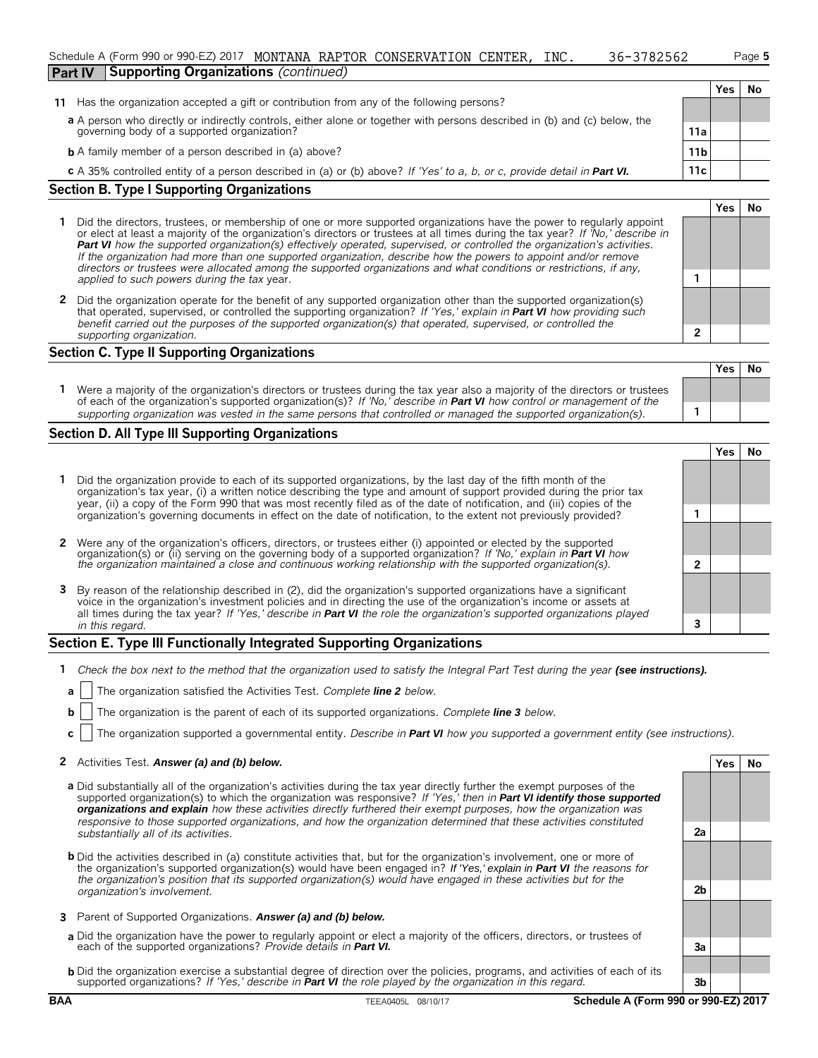|                |                                                                                            | Schedule A (Form 990 or 990-EZ) 2017 MONTANA RAPTOR CONSERVATION CENTER, |  |  |  |  | INC. | 36-3782562 |  |            | Page 5 |
|----------------|--------------------------------------------------------------------------------------------|--------------------------------------------------------------------------|--|--|--|--|------|------------|--|------------|--------|
| <b>Part IV</b> |                                                                                            | Supporting Organizations (continued)                                     |  |  |  |  |      |            |  |            |        |
|                |                                                                                            |                                                                          |  |  |  |  |      |            |  | <b>Yes</b> | No     |
|                | 11 Has the organization accepted a gift or contribution from any of the following persons? |                                                                          |  |  |  |  |      |            |  |            |        |
|                |                                                                                            |                                                                          |  |  |  |  |      |            |  |            |        |

| a A person who directly or indirectly controls, either alone or together with persons described in (b) and (c) below, the |     |
|---------------------------------------------------------------------------------------------------------------------------|-----|
| governing body of a supported organization?                                                                               | 11a |

**b** A family member of a person described in (a) above? **11b 11b** 

**c** A 35% controlled entity of a person described in (a) or (b) above? *If 'Yes' to a, b, or c, provide detail in Part VI.* 11c

#### **Section B. Type I Supporting Organizations**

- **1** Did the directors, trustees, or membership of one or more supported organizations have the power to regularly appoint or elect at least a majority of the organization's directors or trustees at all times during the tax year? *If 'No,' describe in Part VI how the supported organization(s) effectively operated, supervised, or controlled the organization's activities. If the organization had more than one supported organization, describe how the powers to appoint and/or remove directors or trustees were allocated among the supported organizations and what conditions or restrictions, if any, applied to such powers during the tax* year. **1**
- **2** Did the organization operate for the benefit of any supported organization other than the supported organization(s) that operated, supervised, or controlled the supporting organization? *If 'Yes,' explain in Part VI how providing such benefit carried out the purposes of the supported organization(s) that operated, supervised, or controlled the supporting organization.* **2**

#### **Section C. Type II Supporting Organizations**

|                                                                                                                                                                                                                                                       | Yes l | No |
|-------------------------------------------------------------------------------------------------------------------------------------------------------------------------------------------------------------------------------------------------------|-------|----|
| Were a majority of the organization's directors or trustees during the tax year also a majority of the directors or trustees<br>of each of the organization's supported organization(s)? If 'No, describe in Part VI how control or management of the |       |    |
| supporting organization was vested in the same persons that controlled or managed the supported organization(s).                                                                                                                                      |       |    |

#### **Section D. All Type III Supporting Organizations**

|                                                                                                                                                                                                                                                                                                                                                                             |  | Yes |  |  |  |  |
|-----------------------------------------------------------------------------------------------------------------------------------------------------------------------------------------------------------------------------------------------------------------------------------------------------------------------------------------------------------------------------|--|-----|--|--|--|--|
| 1 Did the organization provide to each of its supported organizations, by the last day of the fifth month of the<br>organization's tax year, (i) a written notice describing the type and amount of support provided during the prior tax<br>year, (ii) a copy of the Form 990 that was most recently filed as of the date of notification, and (iii) copies of the         |  |     |  |  |  |  |
| organization's governing documents in effect on the date of notification, to the extent not previously provided?                                                                                                                                                                                                                                                            |  |     |  |  |  |  |
| 2 Were any of the organization's officers, directors, or trustees either (i) appointed or elected by the supported                                                                                                                                                                                                                                                          |  |     |  |  |  |  |
| organization(s) or (ii) serving on the governing body of a supported organization? If 'No,' explain in <b>Part VI</b> how<br>the organization maintained a close and continuous working relationship with the supported organization(s                                                                                                                                      |  |     |  |  |  |  |
| 3 By reason of the relationship described in (2), did the organization's supported organizations have a significant<br>voice in the organization's investment policies and in directing the use of the organization's income or assets at<br>all times during the tax year? If 'Yes,' describe in <b>Part VI</b> the role the organization's supported organizations played |  |     |  |  |  |  |
| in this regard.                                                                                                                                                                                                                                                                                                                                                             |  |     |  |  |  |  |

#### **Section E. Type III Functionally Integrated Supporting Organizations**

- **1** *Check the box next to the method that the organization used to satisfy the Integral Part Test during the year (see instructions).*
- **a** The organization satisfied the Activities Test. *Complete line 2 below.*
- **b** The organization is the parent of each of its supported organizations. *Complete line 3 below.*
- **c** The organization supported a governmental entity. *Describe in Part VI how you supported a government entity (see instructions).*

#### **2** Activities Test. Answer (a) and (b) below. **Yes No**

- **a** Did substantially all of the organization's activities during the tax year directly further the exempt purposes of the supported organization(s) to which the organization was responsive? *If 'Yes,' then in Part VI identify those supported organizations and explain how these activities directly furthered their exempt purposes, how the organization was responsive to those supported organizations, and how the organization determined that these activities constituted substantially all of its activities.* **2a**
- **b** Did the activities described in (a) constitute activities that, but for the organization's involvement, one or more of the organization's supported organization(s) would have been engaged in? *If 'Yes,' explain in Part VI the reasons for the organization's position that its supported organization(s) would have engaged in these activities but for the organization's involvement.* **2b**
- **3** Parent of Supported Organizations. *Answer (a) and (b) below.*
- **a** Did the organization have the power to regularly appoint or elect a majority of the officers, directors, or trustees of each of the supported organizations? *Provide details in Part VI.* **3a**
- **b** Did the organization exercise a substantial degree of direction over the policies, programs, and activities of each of its supported organizations? *If 'Yes,' describe in Part VI the role played by the organization in this regard.* **3b**

#### **BAA** TEEA0405L 08/10/17 **Schedule A (Form 990 or 990-EZ) 2017**

**Yes No**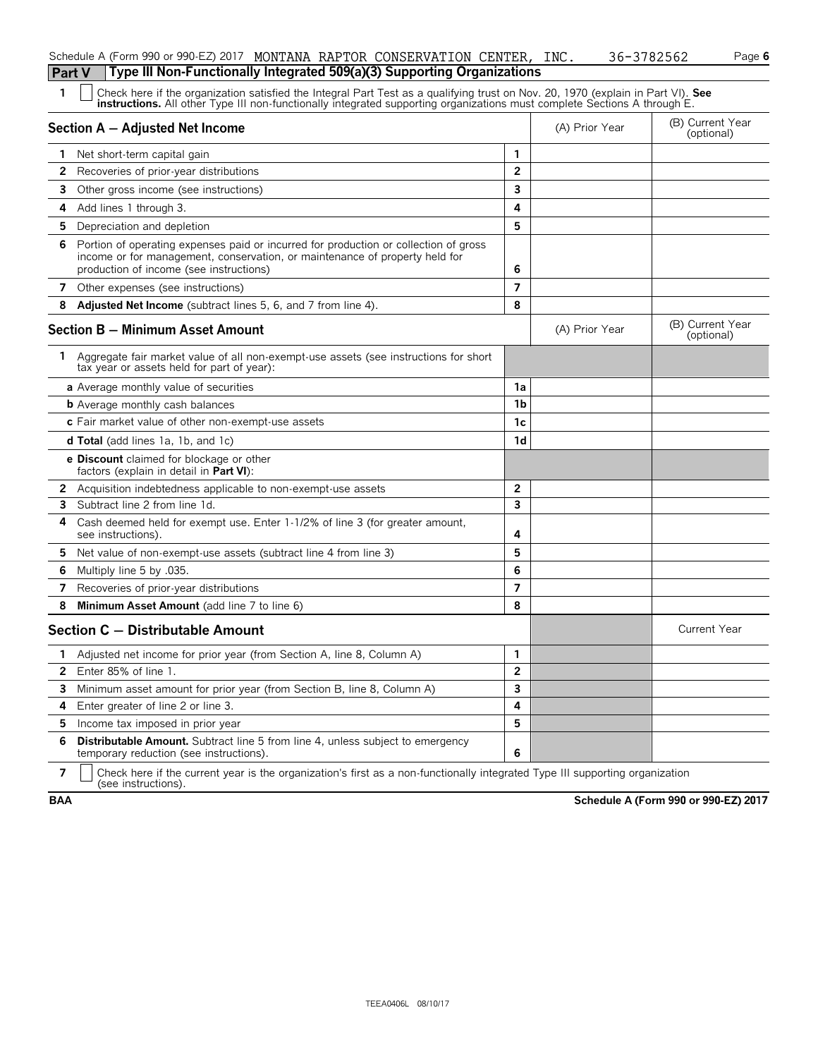|    | Type III Non-Functionally Integrated 509(a)(3) Supporting Organizations<br><b>Part V</b>                                                                                                                                                                      |                |                |                                |
|----|---------------------------------------------------------------------------------------------------------------------------------------------------------------------------------------------------------------------------------------------------------------|----------------|----------------|--------------------------------|
| 1  | Check here if the organization satisfied the Integral Part Test as a qualifying trust on Nov. 20, 1970 (explain in Part VI). See<br>instructions. All other Type III non-functionally integrated supporting organizations must complete Sections A through E. |                |                |                                |
|    | Section A - Adjusted Net Income                                                                                                                                                                                                                               |                | (A) Prior Year | (B) Current Year<br>(optional) |
| 1  | Net short-term capital gain                                                                                                                                                                                                                                   | 1              |                |                                |
| 2  | Recoveries of prior-year distributions                                                                                                                                                                                                                        | $\overline{2}$ |                |                                |
| 3. | Other gross income (see instructions)                                                                                                                                                                                                                         | 3              |                |                                |
| 4  | Add lines 1 through 3.                                                                                                                                                                                                                                        | 4              |                |                                |
| 5. | Depreciation and depletion                                                                                                                                                                                                                                    | 5              |                |                                |
| 6  | Portion of operating expenses paid or incurred for production or collection of gross<br>income or for management, conservation, or maintenance of property held for<br>production of income (see instructions)                                                | 6              |                |                                |
|    | 7 Other expenses (see instructions)                                                                                                                                                                                                                           | $\overline{7}$ |                |                                |
| 8  | Adjusted Net Income (subtract lines 5, 6, and 7 from line 4).                                                                                                                                                                                                 | 8              |                |                                |
|    | <b>Section B - Minimum Asset Amount</b>                                                                                                                                                                                                                       |                | (A) Prior Year | (B) Current Year<br>(optional) |
| 1  | Aggregate fair market value of all non-exempt-use assets (see instructions for short<br>tax year or assets held for part of year):                                                                                                                            |                |                |                                |
|    | a Average monthly value of securities                                                                                                                                                                                                                         | 1a             |                |                                |
|    | <b>b</b> Average monthly cash balances                                                                                                                                                                                                                        | 1 <sub>b</sub> |                |                                |
|    | c Fair market value of other non-exempt-use assets                                                                                                                                                                                                            | 1c             |                |                                |
|    | <b>d Total</b> (add lines 1a, 1b, and 1c)                                                                                                                                                                                                                     | 1d             |                |                                |
|    | <b>e Discount</b> claimed for blockage or other<br>factors (explain in detail in Part VI):                                                                                                                                                                    |                |                |                                |
|    | 2 Acquisition indebtedness applicable to non-exempt-use assets                                                                                                                                                                                                | $\mathbf{2}$   |                |                                |
| 3  | Subtract line 2 from line 1d.                                                                                                                                                                                                                                 | 3              |                |                                |
| 4  | Cash deemed held for exempt use. Enter 1-1/2% of line 3 (for greater amount,<br>see instructions).                                                                                                                                                            | 4              |                |                                |
|    | 5 Net value of non-exempt-use assets (subtract line 4 from line 3)                                                                                                                                                                                            | 5              |                |                                |
| 6  | Multiply line 5 by .035.                                                                                                                                                                                                                                      | 6              |                |                                |
| 7  | Recoveries of prior-year distributions                                                                                                                                                                                                                        | $\overline{7}$ |                |                                |
| 8  | Minimum Asset Amount (add line 7 to line 6)                                                                                                                                                                                                                   | 8              |                |                                |
|    | Section C - Distributable Amount                                                                                                                                                                                                                              |                |                | <b>Current Year</b>            |
|    | 1 Adjusted net income for prior year (from Section A, line 8, Column A)                                                                                                                                                                                       | $\mathbf{1}$   |                |                                |
| 2  | Enter 85% of line 1.                                                                                                                                                                                                                                          | 2              |                |                                |
| 3  | Minimum asset amount for prior year (from Section B, line 8, Column A)                                                                                                                                                                                        | 3              |                |                                |
| 4  | Enter greater of line 2 or line 3.                                                                                                                                                                                                                            | 4              |                |                                |
| 5. | Income tax imposed in prior year                                                                                                                                                                                                                              | 5              |                |                                |
| 6  | Distributable Amount. Subtract line 5 from line 4, unless subject to emergency<br>temporary reduction (see instructions).                                                                                                                                     | 6              |                |                                |
|    |                                                                                                                                                                                                                                                               |                |                |                                |

Schedule A (Form 990 or 990-EZ) 2017 MONTANA RAPTOR CONSERVATION CENTER, INC. 36-3782562 Page **6** 

**7**  $\parallel$  Check here if the current year is the organization's first as a non-functionally integrated Type III supporting organization (see instructions).

**BAA Schedule A (Form 990 or 990-EZ) 2017**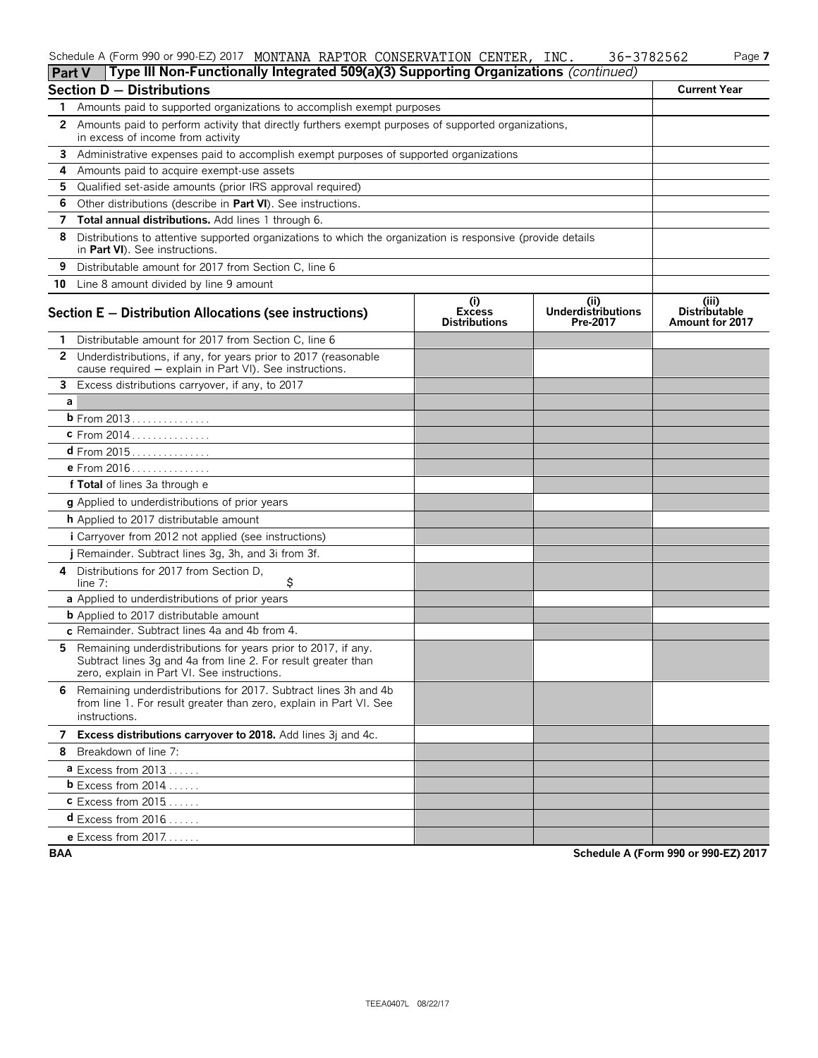#### Schedule A (Form 990 or 990-EZ) 2017 MONTANA RAPTOR CONSERVATION CENTER, INC. 36-3782562 Page **7**

| <b>Part V</b>                                                               | Type III Non-Functionally Integrated 509(a)(3) Supporting Organizations (continued)                                                                                           |                                              |                                       |                                                         |
|-----------------------------------------------------------------------------|-------------------------------------------------------------------------------------------------------------------------------------------------------------------------------|----------------------------------------------|---------------------------------------|---------------------------------------------------------|
|                                                                             | <b>Section D - Distributions</b>                                                                                                                                              |                                              |                                       | <b>Current Year</b>                                     |
| Amounts paid to supported organizations to accomplish exempt purposes<br>1. |                                                                                                                                                                               |                                              |                                       |                                                         |
| 2                                                                           | Amounts paid to perform activity that directly furthers exempt purposes of supported organizations,<br>in excess of income from activity                                      |                                              |                                       |                                                         |
| 3                                                                           | Administrative expenses paid to accomplish exempt purposes of supported organizations                                                                                         |                                              |                                       |                                                         |
| 4                                                                           | Amounts paid to acquire exempt-use assets                                                                                                                                     |                                              |                                       |                                                         |
| 5.                                                                          | Qualified set-aside amounts (prior IRS approval required)                                                                                                                     |                                              |                                       |                                                         |
| 6                                                                           | Other distributions (describe in Part VI). See instructions.                                                                                                                  |                                              |                                       |                                                         |
| 7                                                                           | Total annual distributions. Add lines 1 through 6.                                                                                                                            |                                              |                                       |                                                         |
| 8                                                                           | Distributions to attentive supported organizations to which the organization is responsive (provide details<br>in Part VI). See instructions.                                 |                                              |                                       |                                                         |
| 9                                                                           | Distributable amount for 2017 from Section C, line 6                                                                                                                          |                                              |                                       |                                                         |
| 10                                                                          | Line 8 amount divided by line 9 amount                                                                                                                                        |                                              |                                       |                                                         |
|                                                                             | Section E - Distribution Allocations (see instructions)                                                                                                                       | (i)<br><b>Excess</b><br><b>Distributions</b> | (i)<br>Underdistributions<br>Pre-2017 | (iii)<br><b>Distributable</b><br><b>Amount for 2017</b> |
| 1.                                                                          | Distributable amount for 2017 from Section C, line 6                                                                                                                          |                                              |                                       |                                                         |
| 2                                                                           | Underdistributions, if any, for years prior to 2017 (reasonable<br>cause required - explain in Part VI). See instructions.                                                    |                                              |                                       |                                                         |
| 3                                                                           | Excess distributions carryover, if any, to 2017                                                                                                                               |                                              |                                       |                                                         |
| a                                                                           |                                                                                                                                                                               |                                              |                                       |                                                         |
|                                                                             | <b>b</b> From 2013                                                                                                                                                            |                                              |                                       |                                                         |
|                                                                             | c From 2014                                                                                                                                                                   |                                              |                                       |                                                         |
|                                                                             |                                                                                                                                                                               |                                              |                                       |                                                         |
|                                                                             | e From 2016                                                                                                                                                                   |                                              |                                       |                                                         |
|                                                                             | f Total of lines 3a through e                                                                                                                                                 |                                              |                                       |                                                         |
|                                                                             | <b>g</b> Applied to underdistributions of prior years                                                                                                                         |                                              |                                       |                                                         |
|                                                                             | <b>h</b> Applied to 2017 distributable amount                                                                                                                                 |                                              |                                       |                                                         |
|                                                                             | i Carryover from 2012 not applied (see instructions)                                                                                                                          |                                              |                                       |                                                         |
|                                                                             | j Remainder. Subtract lines 3g, 3h, and 3i from 3f.                                                                                                                           |                                              |                                       |                                                         |
| 4                                                                           | Distributions for 2017 from Section D.<br>\$<br>line $7:$                                                                                                                     |                                              |                                       |                                                         |
|                                                                             | a Applied to underdistributions of prior years                                                                                                                                |                                              |                                       |                                                         |
|                                                                             | <b>b</b> Applied to 2017 distributable amount                                                                                                                                 |                                              |                                       |                                                         |
|                                                                             | c Remainder. Subtract lines 4a and 4b from 4.                                                                                                                                 |                                              |                                       |                                                         |
| 5.                                                                          | Remaining underdistributions for years prior to 2017, if any.<br>Subtract lines 3g and 4a from line 2. For result greater than<br>zero, explain in Part VI. See instructions. |                                              |                                       |                                                         |
| 6                                                                           | Remaining underdistributions for 2017. Subtract lines 3h and 4b<br>from line 1. For result greater than zero, explain in Part VI. See<br>instructions.                        |                                              |                                       |                                                         |
| 7                                                                           | Excess distributions carryover to 2018. Add lines 3j and 4c.                                                                                                                  |                                              |                                       |                                                         |
|                                                                             | 8 Breakdown of line 7:                                                                                                                                                        |                                              |                                       |                                                         |
|                                                                             | $a$ Excess from 2013                                                                                                                                                          |                                              |                                       |                                                         |
|                                                                             | <b>b</b> Excess from $2014$                                                                                                                                                   |                                              |                                       |                                                         |
|                                                                             | $c$ Excess from 2015                                                                                                                                                          |                                              |                                       |                                                         |
|                                                                             | <b>d</b> Excess from $2016$                                                                                                                                                   |                                              |                                       |                                                         |
|                                                                             | <b>e</b> Excess from $2017$                                                                                                                                                   |                                              |                                       |                                                         |

**BAA Schedule A (Form 990 or 990-EZ) 2017**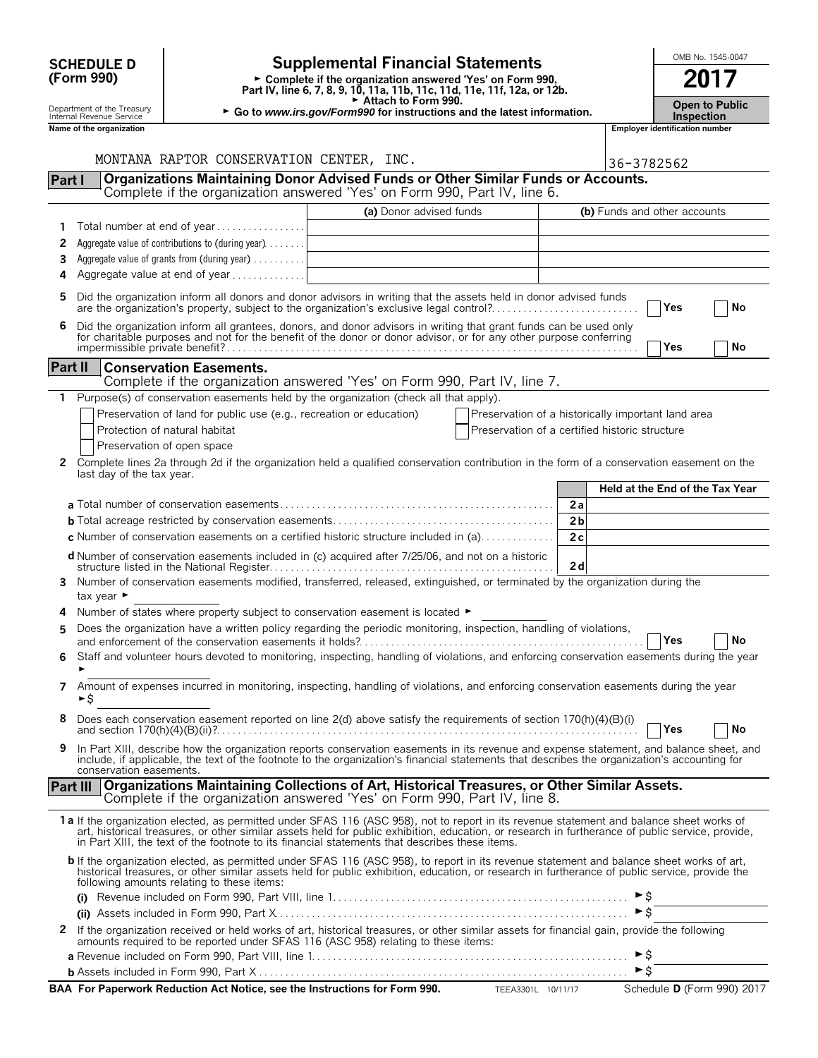|                | <b>SCHEDULE D</b>                                    |                                                                     | <b>Supplemental Financial Statements</b>                                                                                                                                                                                                                                                                                                                                                       |                                                                                                                                                                             |                |                          | OMB No. 1545-0047                                   |                            |  |  |
|----------------|------------------------------------------------------|---------------------------------------------------------------------|------------------------------------------------------------------------------------------------------------------------------------------------------------------------------------------------------------------------------------------------------------------------------------------------------------------------------------------------------------------------------------------------|-----------------------------------------------------------------------------------------------------------------------------------------------------------------------------|----------------|--------------------------|-----------------------------------------------------|----------------------------|--|--|
|                | (Form 990)                                           |                                                                     | ► Complete if the organization answered 'Yes' on Form 990,                                                                                                                                                                                                                                                                                                                                     |                                                                                                                                                                             |                |                          | 2017                                                |                            |  |  |
|                | Department of the Treasury                           |                                                                     |                                                                                                                                                                                                                                                                                                                                                                                                | Part IV, line 6, 7, 8, 9, 10, 11a, 11b, 11c, 11d, 11e, 11f, 12a, or 12b.<br>Attach to Form 990.<br>► Go to www.irs.gov/Form990 for instructions and the latest information. |                |                          |                                                     |                            |  |  |
|                | Internal Revenue Service<br>Name of the organization |                                                                     |                                                                                                                                                                                                                                                                                                                                                                                                |                                                                                                                                                                             |                |                          | <b>Inspection</b><br>Employer identification number |                            |  |  |
|                |                                                      |                                                                     |                                                                                                                                                                                                                                                                                                                                                                                                |                                                                                                                                                                             |                |                          |                                                     |                            |  |  |
|                |                                                      | MONTANA RAPTOR CONSERVATION CENTER, INC.                            |                                                                                                                                                                                                                                                                                                                                                                                                |                                                                                                                                                                             |                | 36-3782562               |                                                     |                            |  |  |
| Part I         |                                                      |                                                                     | Organizations Maintaining Donor Advised Funds or Other Similar Funds or Accounts.<br>Complete if the organization answered 'Yes' on Form 990, Part IV, line 6.                                                                                                                                                                                                                                 |                                                                                                                                                                             |                |                          |                                                     |                            |  |  |
|                |                                                      |                                                                     | (a) Donor advised funds                                                                                                                                                                                                                                                                                                                                                                        |                                                                                                                                                                             |                |                          | (b) Funds and other accounts                        |                            |  |  |
| 1              |                                                      | Total number at end of year                                         |                                                                                                                                                                                                                                                                                                                                                                                                |                                                                                                                                                                             |                |                          |                                                     |                            |  |  |
| 2              |                                                      | Aggregate value of contributions to (during year)                   |                                                                                                                                                                                                                                                                                                                                                                                                |                                                                                                                                                                             |                |                          |                                                     |                            |  |  |
| 3              |                                                      | Aggregate value of grants from (during year)                        |                                                                                                                                                                                                                                                                                                                                                                                                |                                                                                                                                                                             |                |                          |                                                     |                            |  |  |
| 4              |                                                      | Aggregate value at end of year                                      |                                                                                                                                                                                                                                                                                                                                                                                                |                                                                                                                                                                             |                |                          |                                                     |                            |  |  |
| 5              |                                                      |                                                                     | Did the organization inform all donors and donor advisors in writing that the assets held in donor advised funds<br>are the organization's property, subject to the organization's exclusive legal control?                                                                                                                                                                                    |                                                                                                                                                                             |                |                          | Yes                                                 | No                         |  |  |
| 6              |                                                      |                                                                     | Did the organization inform all grantees, donors, and donor advisors in writing that grant funds can be used only                                                                                                                                                                                                                                                                              |                                                                                                                                                                             |                |                          |                                                     |                            |  |  |
|                |                                                      |                                                                     | for charitable purposes and not for the benefit of the donor or donor advisor, or for any other purpose conferring                                                                                                                                                                                                                                                                             |                                                                                                                                                                             |                |                          | Yes                                                 | No                         |  |  |
| <b>Part II</b> |                                                      | <b>Conservation Easements.</b>                                      |                                                                                                                                                                                                                                                                                                                                                                                                |                                                                                                                                                                             |                |                          |                                                     |                            |  |  |
|                |                                                      |                                                                     | Complete if the organization answered 'Yes' on Form 990, Part IV, line 7.                                                                                                                                                                                                                                                                                                                      |                                                                                                                                                                             |                |                          |                                                     |                            |  |  |
| $\mathbf{1}$   |                                                      |                                                                     | Purpose(s) of conservation easements held by the organization (check all that apply).                                                                                                                                                                                                                                                                                                          |                                                                                                                                                                             |                |                          |                                                     |                            |  |  |
|                |                                                      | Preservation of land for public use (e.g., recreation or education) |                                                                                                                                                                                                                                                                                                                                                                                                | Preservation of a historically important land area                                                                                                                          |                |                          |                                                     |                            |  |  |
|                |                                                      | Protection of natural habitat                                       |                                                                                                                                                                                                                                                                                                                                                                                                | Preservation of a certified historic structure                                                                                                                              |                |                          |                                                     |                            |  |  |
|                |                                                      | Preservation of open space                                          |                                                                                                                                                                                                                                                                                                                                                                                                |                                                                                                                                                                             |                |                          |                                                     |                            |  |  |
| 2              | last day of the tax year.                            |                                                                     | Complete lines 2a through 2d if the organization held a qualified conservation contribution in the form of a conservation easement on the                                                                                                                                                                                                                                                      |                                                                                                                                                                             |                |                          | Held at the End of the Tax Year                     |                            |  |  |
|                |                                                      |                                                                     |                                                                                                                                                                                                                                                                                                                                                                                                |                                                                                                                                                                             | 2a             |                          |                                                     |                            |  |  |
|                |                                                      |                                                                     |                                                                                                                                                                                                                                                                                                                                                                                                |                                                                                                                                                                             | 2 <sub>b</sub> |                          |                                                     |                            |  |  |
|                |                                                      |                                                                     | <b>c</b> Number of conservation easements on a certified historic structure included in (a)                                                                                                                                                                                                                                                                                                    |                                                                                                                                                                             | 2c             |                          |                                                     |                            |  |  |
|                |                                                      |                                                                     | <b>d</b> Number of conservation easements included in (c) acquired after 7/25/06, and not on a historic                                                                                                                                                                                                                                                                                        |                                                                                                                                                                             | 2d             |                          |                                                     |                            |  |  |
| 3              | tax year $\blacktriangleright$                       |                                                                     | Number of conservation easements modified, transferred, released, extinguished, or terminated by the organization during the                                                                                                                                                                                                                                                                   |                                                                                                                                                                             |                |                          |                                                     |                            |  |  |
|                |                                                      |                                                                     | Number of states where property subject to conservation easement is located $\blacktriangleright$                                                                                                                                                                                                                                                                                              |                                                                                                                                                                             |                |                          |                                                     |                            |  |  |
|                |                                                      |                                                                     | Does the organization have a written policy regarding the periodic monitoring, inspection, handling of violations,                                                                                                                                                                                                                                                                             |                                                                                                                                                                             |                |                          |                                                     |                            |  |  |
| 6              |                                                      |                                                                     | Staff and volunteer hours devoted to monitoring, inspecting, handling of violations, and enforcing conservation easements during the year                                                                                                                                                                                                                                                      |                                                                                                                                                                             |                |                          | Yes                                                 | No                         |  |  |
|                |                                                      |                                                                     |                                                                                                                                                                                                                                                                                                                                                                                                |                                                                                                                                                                             |                |                          |                                                     |                            |  |  |
| 7              | ►\$                                                  |                                                                     | Amount of expenses incurred in monitoring, inspecting, handling of violations, and enforcing conservation easements during the year                                                                                                                                                                                                                                                            |                                                                                                                                                                             |                |                          |                                                     |                            |  |  |
| 8              |                                                      |                                                                     | Does each conservation easement reported on line 2(d) above satisfy the requirements of section 170(h)(4)(B)(i)                                                                                                                                                                                                                                                                                |                                                                                                                                                                             |                |                          | Yes                                                 | No                         |  |  |
| 9              | conservation easements.                              |                                                                     | In Part XIII, describe how the organization reports conservation easements in its revenue and expense statement, and balance sheet, and<br>include, if applicable, the text of the footnote to the organization's financial statements that describes the organization's accounting for                                                                                                        |                                                                                                                                                                             |                |                          |                                                     |                            |  |  |
|                |                                                      |                                                                     | Part III   Organizations Maintaining Collections of Art, Historical Treasures, or Other Similar Assets.<br>Complete if the organization answered 'Yes' on Form 990, Part IV, line 8.                                                                                                                                                                                                           |                                                                                                                                                                             |                |                          |                                                     |                            |  |  |
|                |                                                      |                                                                     | 1a If the organization elected, as permitted under SFAS 116 (ASC 958), not to report in its revenue statement and balance sheet works of<br>art, historical treasures, or other similar assets held for public exhibition, education, or research in furtherance of public service, provide,<br>in Part XIII, the text of the footnote to its financial statements that describes these items. |                                                                                                                                                                             |                |                          |                                                     |                            |  |  |
|                |                                                      | following amounts relating to these items:                          | b If the organization elected, as permitted under SFAS 116 (ASC 958), to report in its revenue statement and balance sheet works of art,<br>historical treasures, or other similar assets held for public exhibition, education, or research in furtherance of public service, provide the                                                                                                     |                                                                                                                                                                             |                |                          |                                                     |                            |  |  |
|                |                                                      |                                                                     |                                                                                                                                                                                                                                                                                                                                                                                                |                                                                                                                                                                             |                |                          |                                                     |                            |  |  |
|                |                                                      |                                                                     |                                                                                                                                                                                                                                                                                                                                                                                                |                                                                                                                                                                             |                | $\triangleright$ \$      |                                                     |                            |  |  |
| $\mathbf{2}$   |                                                      |                                                                     | If the organization received or held works of art, historical treasures, or other similar assets for financial gain, provide the following<br>amounts required to be reported under SFAS 116 (ASC 958) relating to these items:                                                                                                                                                                |                                                                                                                                                                             |                |                          |                                                     |                            |  |  |
|                |                                                      |                                                                     |                                                                                                                                                                                                                                                                                                                                                                                                |                                                                                                                                                                             |                | $\blacktriangleright$ \$ |                                                     |                            |  |  |
|                |                                                      |                                                                     |                                                                                                                                                                                                                                                                                                                                                                                                |                                                                                                                                                                             |                | $\triangleright$ \$      |                                                     |                            |  |  |
|                |                                                      |                                                                     | BAA For Paperwork Reduction Act Notice, see the Instructions for Form 990.                                                                                                                                                                                                                                                                                                                     |                                                                                                                                                                             |                |                          |                                                     | Schedule D (Form 990) 2017 |  |  |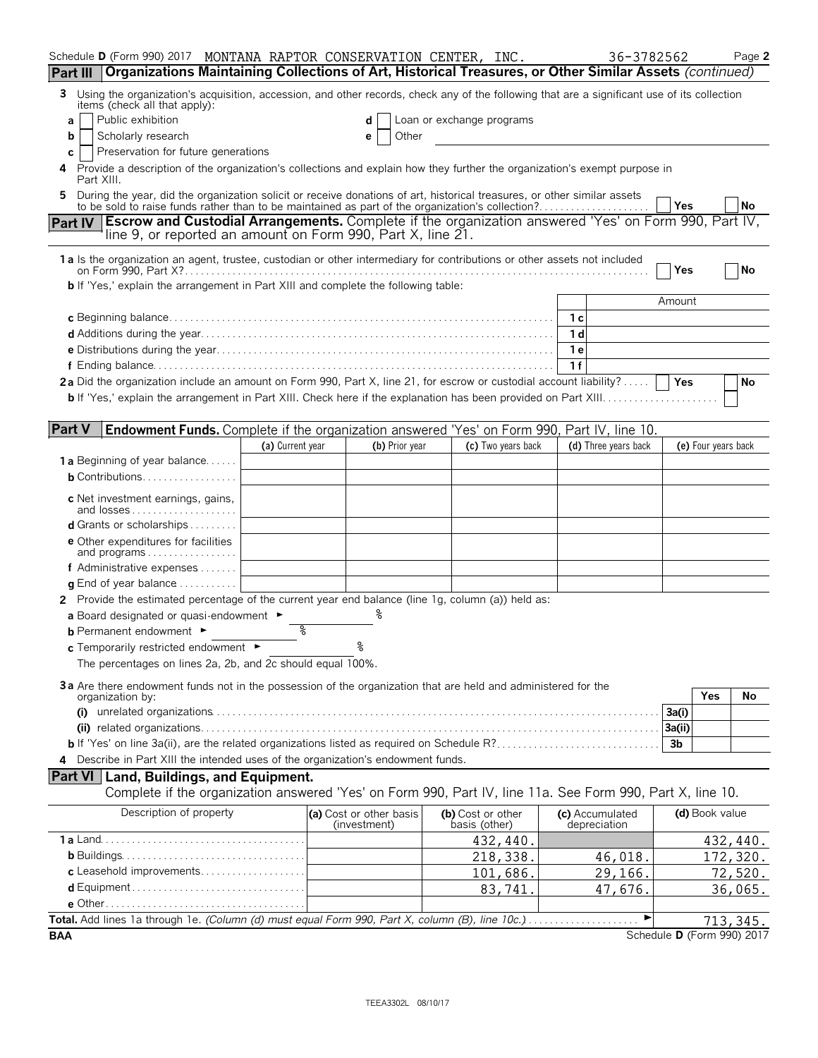| Schedule D (Form 990) 2017 MONTANA RAPTOR CONSERVATION CENTER, INC.                                                                                                                                                                |                  |                                         |                                    |     | 36-3782562                      |        |                     | Page 2                     |
|------------------------------------------------------------------------------------------------------------------------------------------------------------------------------------------------------------------------------------|------------------|-----------------------------------------|------------------------------------|-----|---------------------------------|--------|---------------------|----------------------------|
| Organizations Maintaining Collections of Art, Historical Treasures, or Other Similar Assets (continued)<br>Part III                                                                                                                |                  |                                         |                                    |     |                                 |        |                     |                            |
| Using the organization's acquisition, accession, and other records, check any of the following that are a significant use of its collection<br>3.<br>items (check all that apply):                                                 |                  |                                         |                                    |     |                                 |        |                     |                            |
| Public exhibition<br>a                                                                                                                                                                                                             |                  |                                         | Loan or exchange programs          |     |                                 |        |                     |                            |
| Scholarly research<br>b<br>Preservation for future generations                                                                                                                                                                     |                  | Other<br>е                              |                                    |     |                                 |        |                     |                            |
| с<br>Provide a description of the organization's collections and explain how they further the organization's exempt purpose in<br>4<br>Part XIII.                                                                                  |                  |                                         |                                    |     |                                 |        |                     |                            |
| During the year, did the organization solicit or receive donations of art, historical treasures, or other similar assets<br>5.<br>to be sold to raise funds rather than to be maintained as part of the organization's collection? |                  |                                         |                                    |     |                                 | Yes    |                     | No                         |
| <b>Escrow and Custodial Arrangements.</b> Complete if the organization answered 'Yes' on Form 990, Part IV,<br><b>Part IV</b><br>line 9, or reported an amount on Form 990, Part X, line 21.                                       |                  |                                         |                                    |     |                                 |        |                     |                            |
| 1a Is the organization an agent, trustee, custodian or other intermediary for contributions or other assets not included                                                                                                           |                  |                                         |                                    |     |                                 | Yes    |                     | No                         |
| <b>b</b> If 'Yes,' explain the arrangement in Part XIII and complete the following table:                                                                                                                                          |                  |                                         |                                    |     |                                 |        |                     |                            |
|                                                                                                                                                                                                                                    |                  |                                         |                                    |     |                                 | Amount |                     |                            |
|                                                                                                                                                                                                                                    |                  |                                         |                                    |     |                                 |        |                     |                            |
|                                                                                                                                                                                                                                    |                  |                                         |                                    | 1 d |                                 |        |                     |                            |
|                                                                                                                                                                                                                                    |                  |                                         |                                    | 1 e |                                 |        |                     |                            |
|                                                                                                                                                                                                                                    |                  |                                         |                                    | 1f  |                                 |        |                     |                            |
| 2a Did the organization include an amount on Form 990, Part X, line 21, for escrow or custodial account liability?                                                                                                                 |                  |                                         |                                    |     |                                 |        |                     | No                         |
|                                                                                                                                                                                                                                    |                  |                                         |                                    |     |                                 |        |                     |                            |
| <b>Part V</b><br><b>Endowment Funds.</b> Complete if the organization answered 'Yes' on Form 990, Part IV, line 10.                                                                                                                |                  |                                         |                                    |     |                                 |        |                     |                            |
|                                                                                                                                                                                                                                    | (a) Current year | (b) Prior year                          | (c) Two years back                 |     | (d) Three years back            |        | (e) Four years back |                            |
| <b>1a</b> Beginning of year balance                                                                                                                                                                                                |                  |                                         |                                    |     |                                 |        |                     |                            |
| $b$ Contributions                                                                                                                                                                                                                  |                  |                                         |                                    |     |                                 |        |                     |                            |
| c Net investment earnings, gains,                                                                                                                                                                                                  |                  |                                         |                                    |     |                                 |        |                     |                            |
| <b>d</b> Grants or scholarships                                                                                                                                                                                                    |                  |                                         |                                    |     |                                 |        |                     |                            |
| <b>e</b> Other expenditures for facilities<br>and programs                                                                                                                                                                         |                  |                                         |                                    |     |                                 |        |                     |                            |
| f Administrative expenses $\ldots$                                                                                                                                                                                                 |                  |                                         |                                    |     |                                 |        |                     |                            |
| <b>g</b> End of year balance $\ldots \ldots \ldots$                                                                                                                                                                                |                  |                                         |                                    |     |                                 |        |                     |                            |
| 2 Provide the estimated percentage of the current year end balance (line 1g, column (a)) held as:                                                                                                                                  |                  |                                         |                                    |     |                                 |        |                     |                            |
| a Board designated or quasi-endowment $\blacktriangleright$                                                                                                                                                                        |                  |                                         |                                    |     |                                 |        |                     |                            |
| <b>b</b> Permanent endowment $\blacktriangleright$                                                                                                                                                                                 | ిన               |                                         |                                    |     |                                 |        |                     |                            |
| c Temporarily restricted endowment ►                                                                                                                                                                                               |                  | °                                       |                                    |     |                                 |        |                     |                            |
| The percentages on lines 2a, 2b, and 2c should equal 100%.                                                                                                                                                                         |                  |                                         |                                    |     |                                 |        |                     |                            |
| 3a Are there endowment funds not in the possession of the organization that are held and administered for the                                                                                                                      |                  |                                         |                                    |     |                                 |        |                     |                            |
| organization by:                                                                                                                                                                                                                   |                  |                                         |                                    |     |                                 | 3a(i)  | Yes                 | No                         |
| (i)                                                                                                                                                                                                                                |                  |                                         |                                    |     |                                 | 3a(ii) |                     |                            |
|                                                                                                                                                                                                                                    |                  |                                         |                                    |     |                                 | 3b     |                     |                            |
| Describe in Part XIII the intended uses of the organization's endowment funds.                                                                                                                                                     |                  |                                         |                                    |     |                                 |        |                     |                            |
| <b>Part VI</b> Land, Buildings, and Equipment.                                                                                                                                                                                     |                  |                                         |                                    |     |                                 |        |                     |                            |
| Complete if the organization answered 'Yes' on Form 990, Part IV, line 11a. See Form 990, Part X, line 10.                                                                                                                         |                  |                                         |                                    |     |                                 |        |                     |                            |
| Description of property                                                                                                                                                                                                            |                  | (a) Cost or other basis<br>(investment) | (b) Cost or other<br>basis (other) |     | (c) Accumulated<br>depreciation |        | (d) Book value      |                            |
|                                                                                                                                                                                                                                    |                  |                                         | 432,440.                           |     |                                 |        |                     | 432,440.                   |
|                                                                                                                                                                                                                                    |                  |                                         | 218,338.                           |     | 46,018.                         |        |                     | 172,320.                   |
| c Leasehold improvements                                                                                                                                                                                                           |                  |                                         | 101,686.                           |     | 29,166.                         |        |                     | 72,520.                    |
|                                                                                                                                                                                                                                    |                  |                                         | 83,741                             |     | 47,676.                         |        |                     | 36,065.                    |
|                                                                                                                                                                                                                                    |                  |                                         |                                    |     |                                 |        |                     |                            |
| Total. Add lines 1a through 1e. (Column (d) must equal Form 990, Part X, column (B), line 10c.)                                                                                                                                    |                  |                                         |                                    |     | ▶                               |        |                     | 713,345.                   |
| <b>BAA</b>                                                                                                                                                                                                                         |                  |                                         |                                    |     |                                 |        |                     | Schedule D (Form 990) 2017 |

TEEA3302L 08/10/17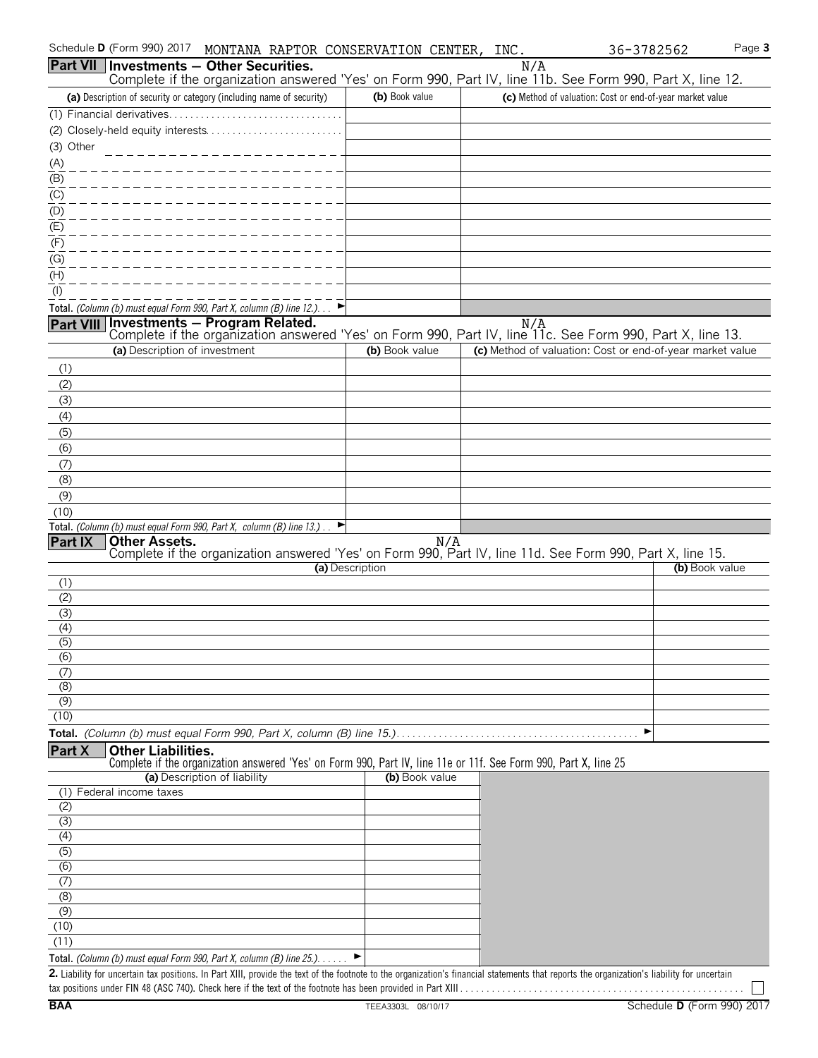| Schedule D (Form 990) 2017<br>MONTANA RAPTOR CONSERVATION CENTER, INC.                                                                                                                                                                                               |                 |     | 36-3782562                                                | Page 3         |
|----------------------------------------------------------------------------------------------------------------------------------------------------------------------------------------------------------------------------------------------------------------------|-----------------|-----|-----------------------------------------------------------|----------------|
| <b>Part VII</b><br><b>Investments - Other Securities.</b><br>Complete if the organization answered 'Yes' on Form 990, Part IV, line 11b. See Form 990, Part X, line 12.                                                                                              |                 | N/A |                                                           |                |
| (a) Description of security or category (including name of security)                                                                                                                                                                                                 | (b) Book value  |     | (c) Method of valuation: Cost or end-of-year market value |                |
| (1) Financial derivatives                                                                                                                                                                                                                                            |                 |     |                                                           |                |
|                                                                                                                                                                                                                                                                      |                 |     |                                                           |                |
| (3) Other                                                                                                                                                                                                                                                            |                 |     |                                                           |                |
|                                                                                                                                                                                                                                                                      |                 |     |                                                           |                |
| $\frac{(A)}{(B)}$                                                                                                                                                                                                                                                    |                 |     |                                                           |                |
| $\underline{(C)}$                                                                                                                                                                                                                                                    |                 |     |                                                           |                |
| $\overline{(\mathsf{D})}$                                                                                                                                                                                                                                            |                 |     |                                                           |                |
| $\overline{E}$                                                                                                                                                                                                                                                       |                 |     |                                                           |                |
| (F)                                                                                                                                                                                                                                                                  |                 |     |                                                           |                |
| (G)                                                                                                                                                                                                                                                                  |                 |     |                                                           |                |
| (H)                                                                                                                                                                                                                                                                  |                 |     |                                                           |                |
| $($ l $)$                                                                                                                                                                                                                                                            |                 |     |                                                           |                |
| Total. (Column (b) must equal Form 990, Part X, column (B) line 12.)                                                                                                                                                                                                 |                 |     |                                                           |                |
| <b>Investments - Program Related.</b><br><b>Part VIII</b><br>Complete if the organization answered 'Yes' on Form 990, Part IV, line 11c. See Form 990, Part X, line 13.                                                                                              |                 | N/A |                                                           |                |
| (a) Description of investment                                                                                                                                                                                                                                        | (b) Book value  |     | (c) Method of valuation: Cost or end-of-year market value |                |
| (1)                                                                                                                                                                                                                                                                  |                 |     |                                                           |                |
| (2)                                                                                                                                                                                                                                                                  |                 |     |                                                           |                |
| (3)                                                                                                                                                                                                                                                                  |                 |     |                                                           |                |
| (4)                                                                                                                                                                                                                                                                  |                 |     |                                                           |                |
| (5)                                                                                                                                                                                                                                                                  |                 |     |                                                           |                |
| (6)                                                                                                                                                                                                                                                                  |                 |     |                                                           |                |
| (7)                                                                                                                                                                                                                                                                  |                 |     |                                                           |                |
| (8)                                                                                                                                                                                                                                                                  |                 |     |                                                           |                |
| (9)                                                                                                                                                                                                                                                                  |                 |     |                                                           |                |
| (10)                                                                                                                                                                                                                                                                 |                 |     |                                                           |                |
| Total. (Column (b) must equal Form 990, Part X, column (B) line 13.).                                                                                                                                                                                                |                 |     |                                                           |                |
| Other Assets.<br><b>Part IX</b><br>Complete if the organization answered 'Yes' on Form 990, Part IV, line 11d. See Form 990, Part X, line 15.                                                                                                                        |                 | N/A |                                                           |                |
|                                                                                                                                                                                                                                                                      | (a) Description |     |                                                           | (b) Book value |
| (1)                                                                                                                                                                                                                                                                  |                 |     |                                                           |                |
| (2)                                                                                                                                                                                                                                                                  |                 |     |                                                           |                |
| (3)                                                                                                                                                                                                                                                                  |                 |     |                                                           |                |
| (4)                                                                                                                                                                                                                                                                  |                 |     |                                                           |                |
| (5)<br>(6)                                                                                                                                                                                                                                                           |                 |     |                                                           |                |
| (7)                                                                                                                                                                                                                                                                  |                 |     |                                                           |                |
| (8)                                                                                                                                                                                                                                                                  |                 |     |                                                           |                |
| (9)                                                                                                                                                                                                                                                                  |                 |     |                                                           |                |
| (10)                                                                                                                                                                                                                                                                 |                 |     |                                                           |                |
|                                                                                                                                                                                                                                                                      |                 |     | ▶                                                         |                |
| Part X<br><b>Other Liabilities.</b>                                                                                                                                                                                                                                  |                 |     |                                                           |                |
| Complete if the organization answered 'Yes' on Form 990, Part IV, line 11e or 11f. See Form 990, Part X, line 25                                                                                                                                                     |                 |     |                                                           |                |
| (a) Description of liability<br>(1) Federal income taxes                                                                                                                                                                                                             | (b) Book value  |     |                                                           |                |
| (2)                                                                                                                                                                                                                                                                  |                 |     |                                                           |                |
| $\overline{(\overline{3})}$                                                                                                                                                                                                                                          |                 |     |                                                           |                |
| (4)                                                                                                                                                                                                                                                                  |                 |     |                                                           |                |
| $\overline{(5)}$                                                                                                                                                                                                                                                     |                 |     |                                                           |                |
| $\overline{(6)}$                                                                                                                                                                                                                                                     |                 |     |                                                           |                |
| (7)                                                                                                                                                                                                                                                                  |                 |     |                                                           |                |
| (8)                                                                                                                                                                                                                                                                  |                 |     |                                                           |                |
| (9)                                                                                                                                                                                                                                                                  |                 |     |                                                           |                |
| (10)                                                                                                                                                                                                                                                                 |                 |     |                                                           |                |
| (11)                                                                                                                                                                                                                                                                 |                 |     |                                                           |                |
| Total. (Column (b) must equal Form 990, Part X, column (B) line 25.).<br>2. Liability for uncertain tax positions. In Part XIII, provide the text of the footnote to the organization's financial statements that reports the organization's liability for uncertain |                 |     |                                                           |                |
|                                                                                                                                                                                                                                                                      |                 |     |                                                           |                |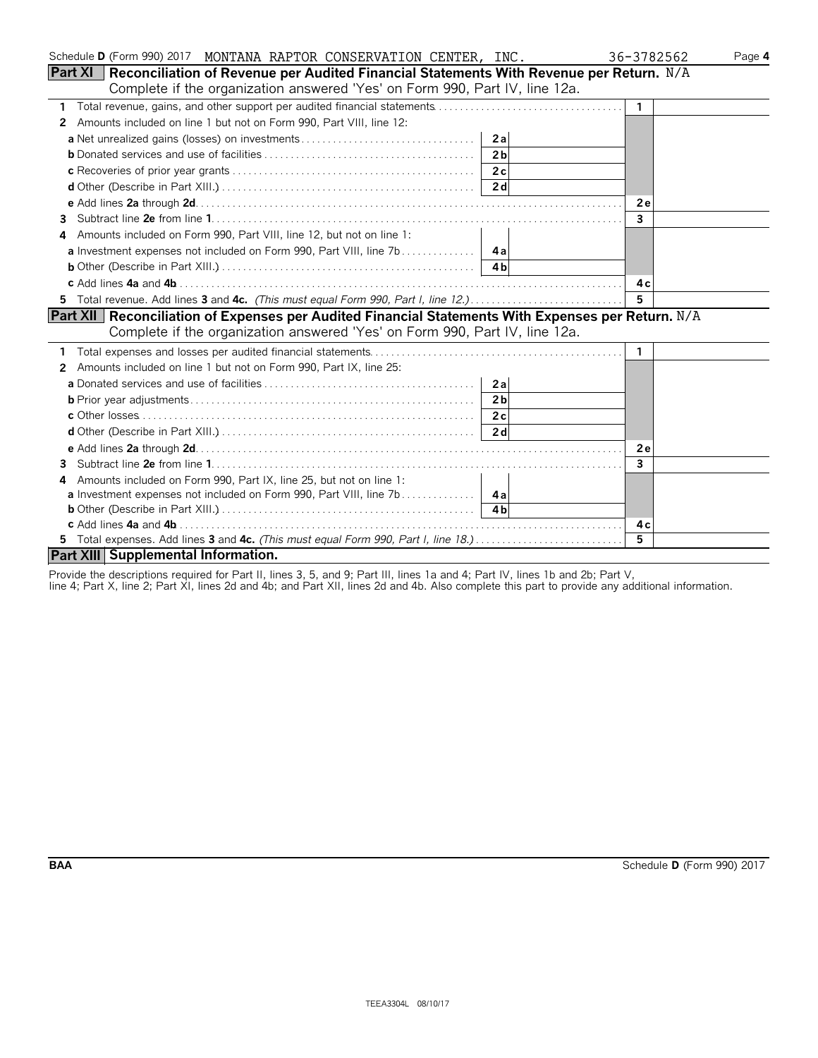| Schedule D (Form 990) 2017 MONTANA RAPTOR CONSERVATION CENTER, INC.                                | 36-3782562   | Page 4 |
|----------------------------------------------------------------------------------------------------|--------------|--------|
| Part XI   Reconciliation of Revenue per Audited Financial Statements With Revenue per Return. N/A  |              |        |
| Complete if the organization answered 'Yes' on Form 990, Part IV, line 12a.                        |              |        |
| $\mathbf{1}$                                                                                       | $\mathbf{1}$ |        |
| Amounts included on line 1 but not on Form 990, Part VIII, line 12:<br>2                           |              |        |
| 2a                                                                                                 |              |        |
| 2 <sub>b</sub>                                                                                     |              |        |
| 2c                                                                                                 |              |        |
|                                                                                                    |              |        |
|                                                                                                    | 2e           |        |
| 3                                                                                                  | $\mathbf{3}$ |        |
| Amounts included on Form 990, Part VIII, line 12, but not on line 1:<br>4                          |              |        |
|                                                                                                    |              |        |
|                                                                                                    |              |        |
|                                                                                                    | 4 c          |        |
|                                                                                                    | 5            |        |
| Part XII Reconciliation of Expenses per Audited Financial Statements With Expenses per Return. N/A |              |        |
| Complete if the organization answered 'Yes' on Form 990, Part IV, line 12a.                        |              |        |
|                                                                                                    | -1           |        |
| Amounts included on line 1 but not on Form 990, Part IX, line 25:<br>2                             |              |        |
| 2a                                                                                                 |              |        |
| 2 <sub>b</sub>                                                                                     |              |        |
|                                                                                                    |              |        |
|                                                                                                    |              |        |
|                                                                                                    | 2e           |        |
| 3                                                                                                  | $\mathbf{3}$ |        |
| Amounts included on Form 990, Part IX, line 25, but not on line 1:<br>4                            |              |        |
| a Investment expenses not included on Form 990, Part VIII, line 7b  4a                             |              |        |
|                                                                                                    |              |        |
|                                                                                                    | 4 c          |        |
| 5 Total expenses. Add lines 3 and 4c. (This must equal Form 990, Part I, line 18.)                 | 5            |        |
| Part XIII Supplemental Information.                                                                |              |        |

Provide the descriptions required for Part II, lines 3, 5, and 9; Part III, lines 1a and 4; Part IV, lines 1b and 2b; Part V,

line 4; Part X, line 2; Part XI, lines 2d and 4b; and Part XII, lines 2d and 4b. Also complete this part to provide any additional information.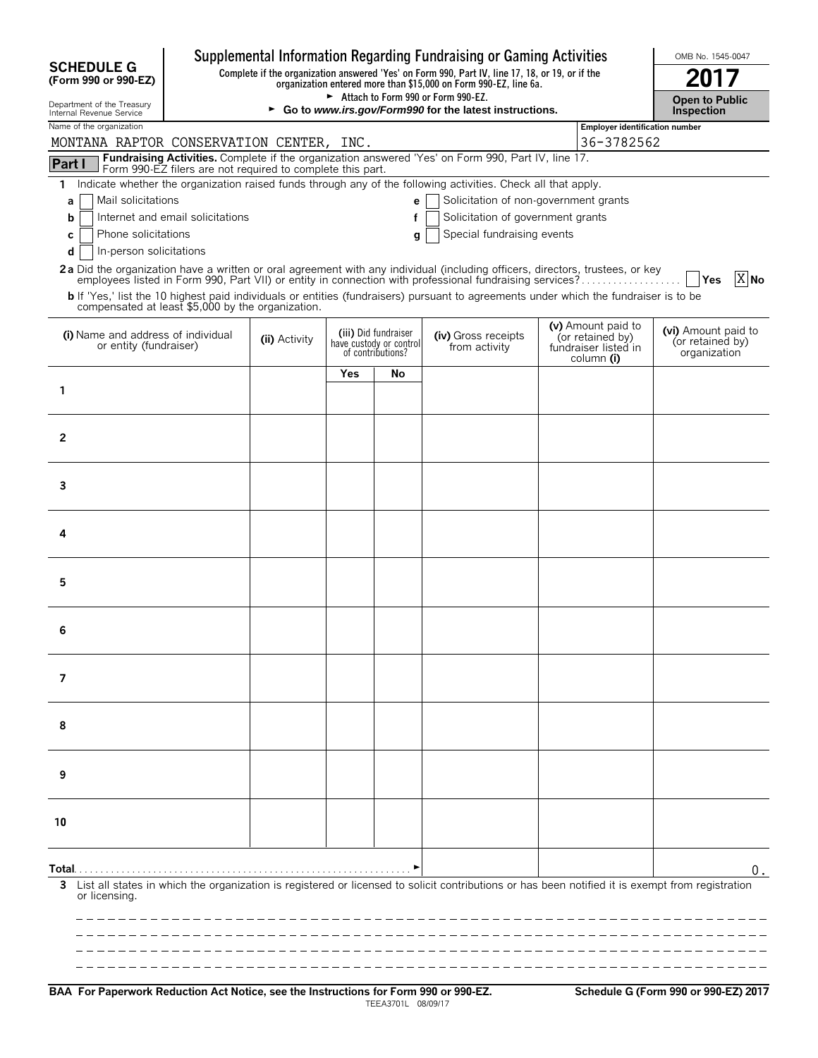|                                                                                                                               |                                                                                                 |                                            |     |                                                                      | Supplemental Information Regarding Fundraising or Gaming Activities                                                                                                                                                                              |                                                                              | OMB No. 1545-0047                                       |
|-------------------------------------------------------------------------------------------------------------------------------|-------------------------------------------------------------------------------------------------|--------------------------------------------|-----|----------------------------------------------------------------------|--------------------------------------------------------------------------------------------------------------------------------------------------------------------------------------------------------------------------------------------------|------------------------------------------------------------------------------|---------------------------------------------------------|
| <b>SCHEDULE G</b><br>(Form 990 or 990-EZ)                                                                                     | Complete if the organization answered 'Yes' on Form 990, Part IV, line 17, 18, or 19, or if the |                                            |     |                                                                      |                                                                                                                                                                                                                                                  |                                                                              |                                                         |
| Department of the Treasury<br>Internal Revenue Service                                                                        |                                                                                                 | <b>Open to Public</b><br><b>Inspection</b> |     |                                                                      |                                                                                                                                                                                                                                                  |                                                                              |                                                         |
| Name of the organization<br>MONTANA RAPTOR CONSERVATION CENTER, INC.                                                          |                                                                                                 | <b>Employer identification number</b>      |     |                                                                      |                                                                                                                                                                                                                                                  |                                                                              |                                                         |
| Part I                                                                                                                        |                                                                                                 |                                            |     |                                                                      | Fundraising Activities. Complete if the organization answered 'Yes' on Form 990, Part IV, line 17.                                                                                                                                               | 36-3782562                                                                   |                                                         |
| Form 990-EZ filers are not required to complete this part.<br>1.                                                              |                                                                                                 |                                            |     |                                                                      | Indicate whether the organization raised funds through any of the following activities. Check all that apply.                                                                                                                                    |                                                                              |                                                         |
| Mail solicitations<br>a                                                                                                       |                                                                                                 |                                            |     | e                                                                    | Solicitation of non-government grants                                                                                                                                                                                                            |                                                                              |                                                         |
| Internet and email solicitations<br>b                                                                                         |                                                                                                 |                                            |     | f                                                                    | Solicitation of government grants                                                                                                                                                                                                                |                                                                              |                                                         |
| Phone solicitations<br>с<br>In-person solicitations<br>d                                                                      |                                                                                                 |                                            |     | q                                                                    | Special fundraising events                                                                                                                                                                                                                       |                                                                              |                                                         |
| 2a Did the organization have a written or oral agreement with any individual (including officers, directors, trustees, or key |                                                                                                 |                                            |     |                                                                      |                                                                                                                                                                                                                                                  |                                                                              |                                                         |
| compensated at least \$5,000 by the organization.                                                                             |                                                                                                 |                                            |     |                                                                      | employees listed in Form 990, Part VII) or entity in connection with professional fundraising services?<br>b If 'Yes,' list the 10 highest paid individuals or entities (fundraisers) pursuant to agreements under which the fundraiser is to be |                                                                              | $X$ No<br>Yes                                           |
| (i) Name and address of individual<br>or entity (fundraiser)                                                                  |                                                                                                 | (ii) Activity                              |     | (iii) Did fundraiser<br>have custody or control<br>of contributions? | (iv) Gross receipts<br>from activity                                                                                                                                                                                                             | (v) Amount paid to<br>(or retained by)<br>fundraiser listed in<br>column (i) | (vi) Amount paid to<br>(or retained by)<br>organization |
|                                                                                                                               |                                                                                                 |                                            | Yes | No                                                                   |                                                                                                                                                                                                                                                  |                                                                              |                                                         |
| 1                                                                                                                             |                                                                                                 |                                            |     |                                                                      |                                                                                                                                                                                                                                                  |                                                                              |                                                         |
|                                                                                                                               |                                                                                                 |                                            |     |                                                                      |                                                                                                                                                                                                                                                  |                                                                              |                                                         |
| $\mathbf{2}$                                                                                                                  |                                                                                                 |                                            |     |                                                                      |                                                                                                                                                                                                                                                  |                                                                              |                                                         |
|                                                                                                                               |                                                                                                 |                                            |     |                                                                      |                                                                                                                                                                                                                                                  |                                                                              |                                                         |
| 3                                                                                                                             |                                                                                                 |                                            |     |                                                                      |                                                                                                                                                                                                                                                  |                                                                              |                                                         |
| 4                                                                                                                             |                                                                                                 |                                            |     |                                                                      |                                                                                                                                                                                                                                                  |                                                                              |                                                         |
|                                                                                                                               |                                                                                                 |                                            |     |                                                                      |                                                                                                                                                                                                                                                  |                                                                              |                                                         |
| 5                                                                                                                             |                                                                                                 |                                            |     |                                                                      |                                                                                                                                                                                                                                                  |                                                                              |                                                         |
| 6                                                                                                                             |                                                                                                 |                                            |     |                                                                      |                                                                                                                                                                                                                                                  |                                                                              |                                                         |
|                                                                                                                               |                                                                                                 |                                            |     |                                                                      |                                                                                                                                                                                                                                                  |                                                                              |                                                         |
| 7                                                                                                                             |                                                                                                 |                                            |     |                                                                      |                                                                                                                                                                                                                                                  |                                                                              |                                                         |
| 8                                                                                                                             |                                                                                                 |                                            |     |                                                                      |                                                                                                                                                                                                                                                  |                                                                              |                                                         |
| 9                                                                                                                             |                                                                                                 |                                            |     |                                                                      |                                                                                                                                                                                                                                                  |                                                                              |                                                         |
| 10                                                                                                                            |                                                                                                 |                                            |     |                                                                      |                                                                                                                                                                                                                                                  |                                                                              |                                                         |
|                                                                                                                               |                                                                                                 |                                            |     |                                                                      |                                                                                                                                                                                                                                                  |                                                                              |                                                         |
|                                                                                                                               |                                                                                                 |                                            |     |                                                                      |                                                                                                                                                                                                                                                  |                                                                              | 0.                                                      |
| 3<br>or licensing.                                                                                                            |                                                                                                 |                                            |     |                                                                      | List all states in which the organization is registered or licensed to solicit contributions or has been notified it is exempt from registration                                                                                                 |                                                                              |                                                         |
|                                                                                                                               |                                                                                                 |                                            |     |                                                                      |                                                                                                                                                                                                                                                  |                                                                              |                                                         |

**BAA For Paperwork Reduction Act Notice, see the Instructions for Form 990 or 990-EZ. Schedule G (Form 990 or 990-EZ) 2017** TEEA3701L 08/09/17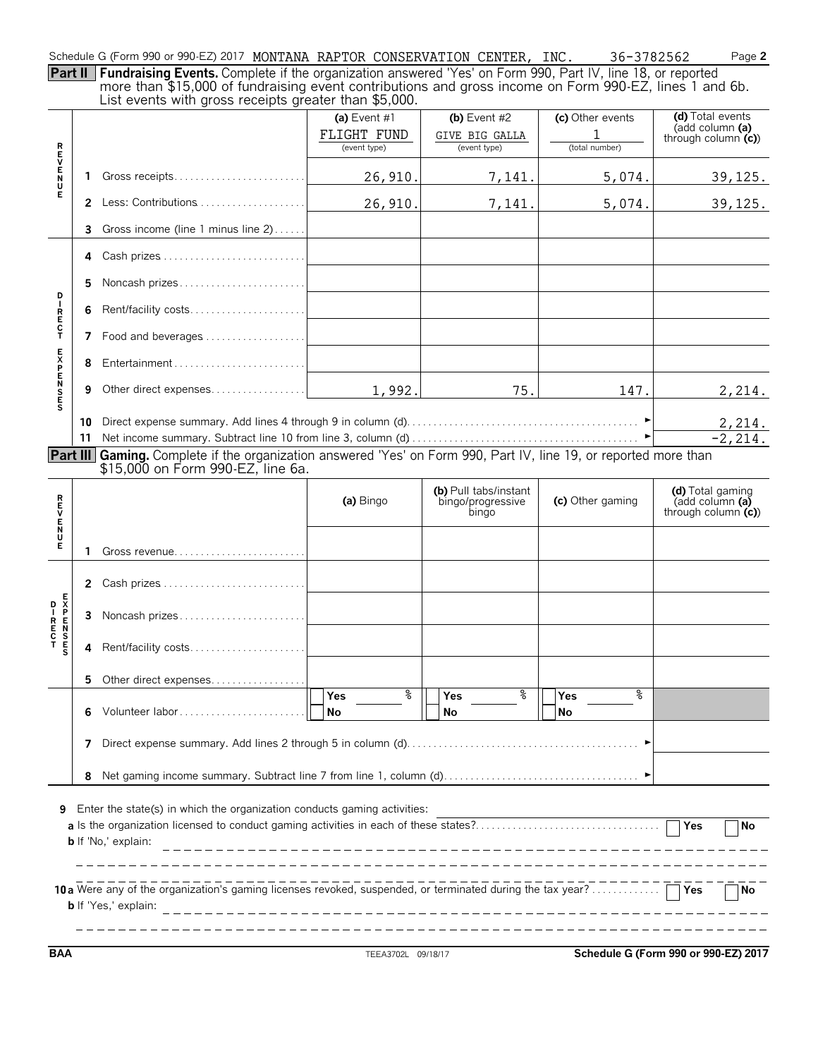Schedule G (Form 990 or 990-EZ) 2017 MONTANA RAPTOR CONSERVATION CENTER, INC. 36-3782562 Page **2** 

**Part II Fundraising Events.** Complete if the organization answered 'Yes' on Form 990, Part IV, line 18, or reported more than \$15,000 of fundraising event contributions and gross income on Form 990-EZ, lines 1 and 6b. List events with gross receipts greater than \$5,000.

|                                                                                                                                        |    | $\sim$ . The second with group receipts groups than $\phi$ , your.                                                | (a) Event $#1$ | (b) Event $#2$             | (c) Other events       | (d) Total events                        |  |  |  |
|----------------------------------------------------------------------------------------------------------------------------------------|----|-------------------------------------------------------------------------------------------------------------------|----------------|----------------------------|------------------------|-----------------------------------------|--|--|--|
|                                                                                                                                        |    |                                                                                                                   | FLIGHT FUND    | GIVE BIG GALLA             | 1                      | (add column (a)                         |  |  |  |
|                                                                                                                                        |    |                                                                                                                   | (event type)   | (event type)               | (total number)         | through column $(c)$                    |  |  |  |
|                                                                                                                                        |    |                                                                                                                   |                |                            |                        |                                         |  |  |  |
| ロマロスロ                                                                                                                                  | 1. |                                                                                                                   | 26,910.        | 7,141.                     | 5,074.                 | 39, 125.                                |  |  |  |
| Ē                                                                                                                                      |    | 2 Less: Contributions                                                                                             | 26,910.        | 7,141.                     | 5,074.                 | 39, 125.                                |  |  |  |
|                                                                                                                                        | 3  | Gross income (line 1 minus line 2)                                                                                |                |                            |                        |                                         |  |  |  |
|                                                                                                                                        | 4  |                                                                                                                   |                |                            |                        |                                         |  |  |  |
|                                                                                                                                        | 5  | Noncash prizes                                                                                                    |                |                            |                        |                                         |  |  |  |
| D<br>I                                                                                                                                 | 6  | Rent/facility costs                                                                                               |                |                            |                        |                                         |  |  |  |
| R<br>E<br>C<br>T                                                                                                                       | 7  |                                                                                                                   |                |                            |                        |                                         |  |  |  |
|                                                                                                                                        | 8  |                                                                                                                   |                |                            |                        |                                         |  |  |  |
| <b>EXPENSES</b>                                                                                                                        | 9  |                                                                                                                   | 1,992.         | 75.                        | 147.                   | 2,214.                                  |  |  |  |
|                                                                                                                                        | 10 |                                                                                                                   |                |                            |                        | 2,214.                                  |  |  |  |
|                                                                                                                                        |    |                                                                                                                   |                |                            |                        | $-2, 214.$                              |  |  |  |
|                                                                                                                                        |    | Part III Gaming. Complete if the organization answered 'Yes' on Form 990, Part IV, line 19, or reported more than |                |                            |                        |                                         |  |  |  |
|                                                                                                                                        |    | \$15,000 on Form 990-EZ, line 6a.                                                                                 |                |                            |                        |                                         |  |  |  |
|                                                                                                                                        |    |                                                                                                                   |                | (b) Pull tabs/instant      |                        | (d) Total gaming                        |  |  |  |
| ロマロスロ                                                                                                                                  |    |                                                                                                                   | (a) Bingo      | bingo/progressive<br>bingo | (c) Other gaming       | (add column (a)<br>through column $(c)$ |  |  |  |
| Е                                                                                                                                      | 1. | Gross revenue                                                                                                     |                |                            |                        |                                         |  |  |  |
|                                                                                                                                        |    |                                                                                                                   |                |                            |                        |                                         |  |  |  |
|                                                                                                                                        | 2. |                                                                                                                   |                |                            |                        |                                         |  |  |  |
|                                                                                                                                        | 3  | Noncash prizes                                                                                                    |                |                            |                        |                                         |  |  |  |
|                                                                                                                                        | 4  | Rent/facility costs                                                                                               |                |                            |                        |                                         |  |  |  |
|                                                                                                                                        | 5. | Other direct expenses                                                                                             |                |                            |                        |                                         |  |  |  |
|                                                                                                                                        | 6  | Volunteer labor                                                                                                   | %<br>Yes<br>No | နွ<br>Yes<br>No            | နွ<br><b>Yes</b><br>No |                                         |  |  |  |
|                                                                                                                                        | 7  |                                                                                                                   |                |                            |                        |                                         |  |  |  |
|                                                                                                                                        |    |                                                                                                                   |                |                            |                        |                                         |  |  |  |
|                                                                                                                                        | 8  |                                                                                                                   |                |                            |                        |                                         |  |  |  |
| Enter the state(s) in which the organization conducts gaming activities:<br>9<br>$\overline{Y}$ es<br>No<br><b>b</b> If 'No,' explain: |    |                                                                                                                   |                |                            |                        |                                         |  |  |  |
| 7 No<br><b>b</b> If 'Yes,' explain:                                                                                                    |    |                                                                                                                   |                |                            |                        |                                         |  |  |  |

**BAA** TEEA3702L 09/18/17 **Schedule G (Form 990 or 990-EZ) 2017**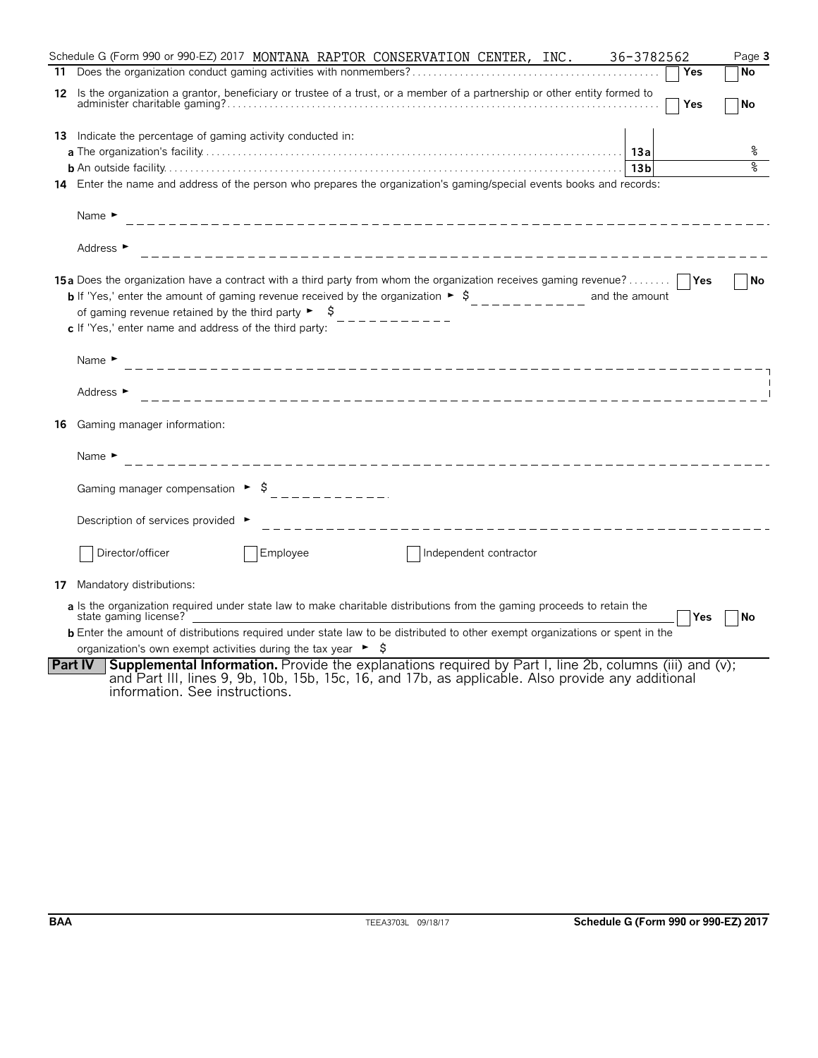|    | Schedule G (Form 990 or 990-EZ) 2017 MONTANA RAPTOR CONSERVATION CENTER, INC.<br>36-3782562                                                                                                                                                                                                                                                                                             | Page 3    |
|----|-----------------------------------------------------------------------------------------------------------------------------------------------------------------------------------------------------------------------------------------------------------------------------------------------------------------------------------------------------------------------------------------|-----------|
|    | Yes                                                                                                                                                                                                                                                                                                                                                                                     | <b>No</b> |
|    | 12 Is the organization a grantor, beneficiary or trustee of a trust, or a member of a partnership or other entity formed to<br>Yes                                                                                                                                                                                                                                                      | <b>No</b> |
|    | <b>13</b> Indicate the percentage of gaming activity conducted in:                                                                                                                                                                                                                                                                                                                      |           |
|    |                                                                                                                                                                                                                                                                                                                                                                                         |           |
|    |                                                                                                                                                                                                                                                                                                                                                                                         | ৡ         |
|    | 14 Enter the name and address of the person who prepares the organization's gaming/special events books and records:                                                                                                                                                                                                                                                                    |           |
|    | Name $\blacktriangleright$                                                                                                                                                                                                                                                                                                                                                              |           |
|    | Address ►                                                                                                                                                                                                                                                                                                                                                                               |           |
|    | <b>15a</b> Does the organization have a contract with a third party from whom the organization receives gaming revenue?<br><b>b</b> If 'Yes,' enter the amount of gaming revenue received by the organization $\rightarrow$ \$<br>and the amount<br>of gaming revenue retained by the third party $\triangleright$ $\uparrow$<br>c If 'Yes,' enter name and address of the third party: | No        |
|    | Name $\blacktriangleright$                                                                                                                                                                                                                                                                                                                                                              |           |
|    | Address ►                                                                                                                                                                                                                                                                                                                                                                               |           |
| 16 | Gaming manager information:                                                                                                                                                                                                                                                                                                                                                             |           |
|    | Name $\blacktriangleright$                                                                                                                                                                                                                                                                                                                                                              |           |
|    | Gaming manager compensation $\triangleright$ \$ __________.                                                                                                                                                                                                                                                                                                                             |           |
|    | Description of services provided ▶<br>____________________________________                                                                                                                                                                                                                                                                                                              |           |
|    | Director/officer<br>Employee<br>Independent contractor                                                                                                                                                                                                                                                                                                                                  |           |
| 17 | Mandatory distributions:                                                                                                                                                                                                                                                                                                                                                                |           |
|    | a Is the organization required under state law to make charitable distributions from the gaming proceeds to retain the<br>state gaming license?<br>Yes                                                                                                                                                                                                                                  | l No      |
|    | <b>b</b> Enter the amount of distributions required under state law to be distributed to other exempt organizations or spent in the                                                                                                                                                                                                                                                     |           |
|    | organization's own exempt activities during the tax year $\triangleright$ $\sharp$                                                                                                                                                                                                                                                                                                      |           |
|    | <b>Supplemental Information.</b> Provide the explanations required by Part I, line 2b, columns (iii) and (v);<br><b>Part IV</b><br>and Part III, lines 9, 9b, 10b, 15b, 15c, 16, and 17b, as applicable. Also provide any additional<br>information. See instructions.                                                                                                                  |           |